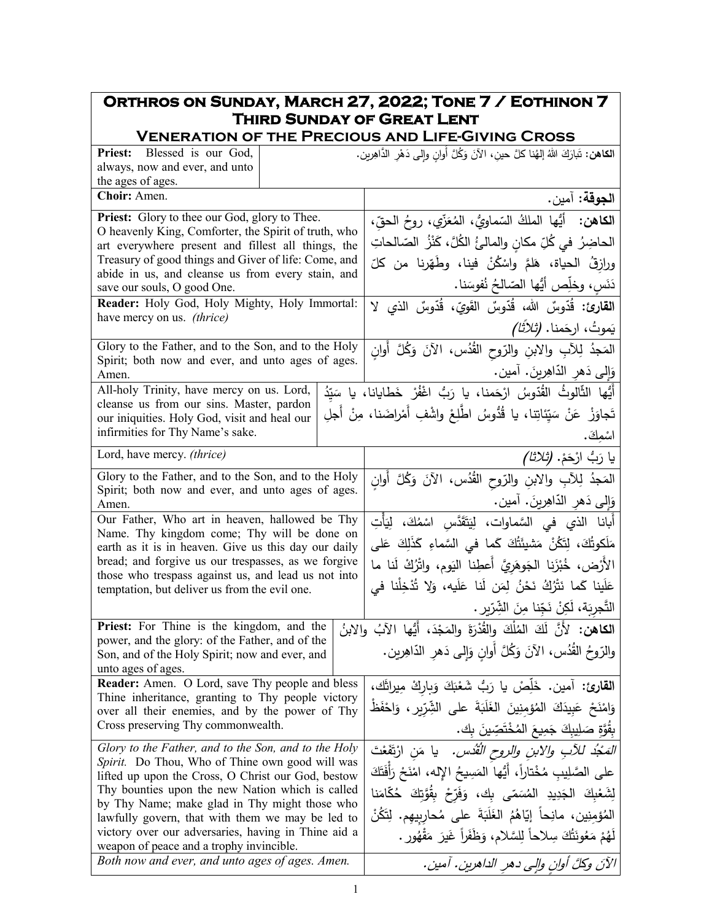| <b>VENERATION OF THE PRECIOUS AND LIFE-GIVING CROSS</b><br>Priest: Blessed is our God,<br>الكاهن: تَبارَكَ اللهُ إلهُنا كلَّ حينِ، الآنَ وَكُلَّ أَوانِ وإلى دَهْرِ الدَّاهِرين.<br>always, now and ever, and unto<br>the ages of ages.<br>Choir: Amen.<br>ا <b>لجوقة:</b> آمين.<br><b>Priest:</b> Glory to thee our God, glory to Thee.<br>الكاهن: أَيُّها الملكُ السّماويُّ، المُعَزِّي، روحُ الحقِّ،<br>O heavenly King, Comforter, the Spirit of truth, who<br>الحاضِرُ  في كُلِّ مكانٍ والمالئُ الكُلَّ، كَنْزُ  الصّالحاتِ<br>art everywhere present and fillest all things, the<br>Treasury of good things and Giver of life: Come, and<br>ورازقُ الحياة، هَلمَّ واسْكُنْ فينا، وطَهَرنا من كلّ<br>abide in us, and cleanse us from every stain, and<br>دَنَسٍ، وخلِّص أَيُّها الصّالحُ نُفوسَنا.<br>save our souls, O good One.<br>Reader: Holy God, Holy Mighty, Holy Immortal:<br>ا <b>لقارئ:</b> قُدّوسٌ الله، قُدّوسٌ القَو <i>يِّ</i> ، قُدّوسٌ الذ <i>ي</i> لا<br>have mercy on us. (thrice)<br>يَموتُ، ارجَمنا. <i>(ثلاثًا)</i><br>المَجْدُ لِلأَبِ والابنِ والرّوحِ القُدُس، الآنَ وَكُلَّ أَوانِ<br>Glory to the Father, and to the Son, and to the Holy<br>Spirit; both now and ever, and unto ages of ages.<br>وَإِلَى دَهْرِ الدَّاهِرِينَ. آمين.<br>Amen.<br>أَيُّها الثَّالوثُ القُدّوسُ ارْحَمنا، يا رَبُّ اغْفُرْ خَطايانا، يا سَيِّدُ<br>All-holy Trinity, have mercy on us. Lord,<br>cleanse us from our sins. Master, pardon<br>تَجاوَزْ عَنْ سَيِّئاتِنا، يا قُدُّوسُ اطَّلِعْ واشْفِ أَمْراضَنا، مِنْ أَجلِ<br>our iniquities. Holy God, visit and heal our<br>infirmities for Thy Name's sake.<br>اسْمِكَ.<br>Lord, have mercy. (thrice)<br>يا رَبُّ ارْحَمْ. <i>(ثلاثا)</i><br>المَجدُ لِلآبِ والابنِ والرّوحِ القُدُسِ، الآنَ وَكُلَّ أَوانِ<br>Glory to the Father, and to the Son, and to the Holy<br>Spirit; both now and ever, and unto ages of ages.<br>وَإِلَى دَهْرِ الدَّاهِرِينَ. آمين.<br>Amen.<br>Our Father, Who art in heaven, hallowed be Thy<br>أَبانا الذي في السَّماوات، لِيَتَقَدَّسِ اسْمُكَ، لِيَأْتِ<br>Name. Thy kingdom come; Thy will be done on<br>مَلَكوتُكَ، لِتَكُنْ مَشيئَتُكَ كَما في السَّماءِ كَذَلِكَ عَلى<br>earth as it is in heaven. Give us this day our daily<br>bread; and forgive us our trespasses, as we forgive<br>الأَرْض، خُبْزَنا الجَوهَريَّ أَعطِنا اليَوم، واتْرُكْ لَنا ما<br>those who trespass against us, and lead us not into<br>عَلَينا كَما نَتْرُكُ نَحْنُ لِمَن لَنا عَلَيه، وَلا تُذْخِلْنا في<br>temptation, but deliver us from the evil one.<br>التَّجرِبَة، لَكِنْ نَجِّنا مِنَ الشِّرّيرِ .<br>ا <b>لكاهن:</b> لأَنَّ لَكَ المُلْكَ والقُدْرَةَ والمَجْدَ، أَيُّها الآبُ والابنُ<br>Priest: For Thine is the kingdom, and the<br>power, and the glory: of the Father, and of the<br>والرّوحُ القُدُسِ، الآنَ وَكُلَّ أُوانٍ وَإِلَى دَهْرِ الدّاهِرِينِ.<br>Son, and of the Holy Spirit; now and ever, and<br>unto ages of ages.<br>القارئ: آمين. خَلِّصْ يا رَبُّ شَعْبَكَ وَبِارِكْ مِيراثَك،<br><b>Reader:</b> Amen. O Lord, save Thy people and bless<br>Thine inheritance, granting to Thy people victory<br>وَامْنَحْ عَبِيدَكَ الْمُؤْمِنِينَ الْغَلَبَةَ على الشِّرِّيرِ ، وَاحْفَظْ<br>over all their enemies, and by the power of Thy<br>Cross preserving Thy commonwealth.<br>بِقُوَّةٍ صَلِيبِكَ جَمِيعَ الْمُخْتَصِّينَ بِك.<br>Glory to the Father, and to the Son, and to the Holy<br><i>المَجْدُ للأبِ والابنِ والروحِ الْقُدْسِ.</i> يا مَنِ ارْتَفَعْتَ<br>Spirit. Do Thou, Who of Thine own good will was<br>على الصَّلِيبِ مُخْتاراً، أَيُّها المَسِيحُ اﻹله، امْنَحْ رَأَفَتَكَ<br>lifted up upon the Cross, O Christ our God, bestow<br>Thy bounties upon the new Nation which is called<br>لِشَعْبِكَ الْجَدِيدِ الْمُسَمّى بِكَ، وَفَرّحْ بِقُوَّتِكَ حُكَّامَنا<br>by Thy Name; make glad in Thy might those who<br>المُؤمِنِين، مانِحاً إِيّاهُمُ الغَلَبَةَ على مُحارِبِيهِم. لِتَكُنْ<br>lawfully govern, that with them we may be led to<br>victory over our adversaries, having in Thine aid a<br>لَهُمْ مَعُونَتُكَ سِلاحاً لِلسَّلامِ، وَظَفَراً غَيرَ مَقْهُورٍ .<br>weapon of peace and a trophy invincible.<br>Both now and ever, and unto ages of ages. Amen. | ORTHROS ON SUNDAY, MARCH 27, 2022; TONE 7 / EOTHINON 7 |                                             |  |
|---------------------------------------------------------------------------------------------------------------------------------------------------------------------------------------------------------------------------------------------------------------------------------------------------------------------------------------------------------------------------------------------------------------------------------------------------------------------------------------------------------------------------------------------------------------------------------------------------------------------------------------------------------------------------------------------------------------------------------------------------------------------------------------------------------------------------------------------------------------------------------------------------------------------------------------------------------------------------------------------------------------------------------------------------------------------------------------------------------------------------------------------------------------------------------------------------------------------------------------------------------------------------------------------------------------------------------------------------------------------------------------------------------------------------------------------------------------------------------------------------------------------------------------------------------------------------------------------------------------------------------------------------------------------------------------------------------------------------------------------------------------------------------------------------------------------------------------------------------------------------------------------------------------------------------------------------------------------------------------------------------------------------------------------------------------------------------------------------------------------------------------------------------------------------------------------------------------------------------------------------------------------------------------------------------------------------------------------------------------------------------------------------------------------------------------------------------------------------------------------------------------------------------------------------------------------------------------------------------------------------------------------------------------------------------------------------------------------------------------------------------------------------------------------------------------------------------------------------------------------------------------------------------------------------------------------------------------------------------------------------------------------------------------------------------------------------------------------------------------------------------------------------------------------------------------------------------------------------------------------------------------------------------------------------------------------------------------------------------------------------------------------------------------------------------------------------------------------------------------------------------------------------------------------------------------------------------------------------------------------------------------------------------------------------------------------------------------------------------------------------------------------------------------------------------------------------------------------------------------------------------------------------------------------------------------------------------------------------------------------------------------------------------------------------------------------------------------------------------------------------------------------------------------------------------------------------|--------------------------------------------------------|---------------------------------------------|--|
|                                                                                                                                                                                                                                                                                                                                                                                                                                                                                                                                                                                                                                                                                                                                                                                                                                                                                                                                                                                                                                                                                                                                                                                                                                                                                                                                                                                                                                                                                                                                                                                                                                                                                                                                                                                                                                                                                                                                                                                                                                                                                                                                                                                                                                                                                                                                                                                                                                                                                                                                                                                                                                                                                                                                                                                                                                                                                                                                                                                                                                                                                                                                                                                                                                                                                                                                                                                                                                                                                                                                                                                                                                                                                                                                                                                                                                                                                                                                                                                                                                                                                                                                                                                                   | <b>THIRD SUNDAY OF GREAT LENT</b>                      |                                             |  |
|                                                                                                                                                                                                                                                                                                                                                                                                                                                                                                                                                                                                                                                                                                                                                                                                                                                                                                                                                                                                                                                                                                                                                                                                                                                                                                                                                                                                                                                                                                                                                                                                                                                                                                                                                                                                                                                                                                                                                                                                                                                                                                                                                                                                                                                                                                                                                                                                                                                                                                                                                                                                                                                                                                                                                                                                                                                                                                                                                                                                                                                                                                                                                                                                                                                                                                                                                                                                                                                                                                                                                                                                                                                                                                                                                                                                                                                                                                                                                                                                                                                                                                                                                                                                   |                                                        |                                             |  |
|                                                                                                                                                                                                                                                                                                                                                                                                                                                                                                                                                                                                                                                                                                                                                                                                                                                                                                                                                                                                                                                                                                                                                                                                                                                                                                                                                                                                                                                                                                                                                                                                                                                                                                                                                                                                                                                                                                                                                                                                                                                                                                                                                                                                                                                                                                                                                                                                                                                                                                                                                                                                                                                                                                                                                                                                                                                                                                                                                                                                                                                                                                                                                                                                                                                                                                                                                                                                                                                                                                                                                                                                                                                                                                                                                                                                                                                                                                                                                                                                                                                                                                                                                                                                   |                                                        |                                             |  |
|                                                                                                                                                                                                                                                                                                                                                                                                                                                                                                                                                                                                                                                                                                                                                                                                                                                                                                                                                                                                                                                                                                                                                                                                                                                                                                                                                                                                                                                                                                                                                                                                                                                                                                                                                                                                                                                                                                                                                                                                                                                                                                                                                                                                                                                                                                                                                                                                                                                                                                                                                                                                                                                                                                                                                                                                                                                                                                                                                                                                                                                                                                                                                                                                                                                                                                                                                                                                                                                                                                                                                                                                                                                                                                                                                                                                                                                                                                                                                                                                                                                                                                                                                                                                   |                                                        |                                             |  |
|                                                                                                                                                                                                                                                                                                                                                                                                                                                                                                                                                                                                                                                                                                                                                                                                                                                                                                                                                                                                                                                                                                                                                                                                                                                                                                                                                                                                                                                                                                                                                                                                                                                                                                                                                                                                                                                                                                                                                                                                                                                                                                                                                                                                                                                                                                                                                                                                                                                                                                                                                                                                                                                                                                                                                                                                                                                                                                                                                                                                                                                                                                                                                                                                                                                                                                                                                                                                                                                                                                                                                                                                                                                                                                                                                                                                                                                                                                                                                                                                                                                                                                                                                                                                   |                                                        |                                             |  |
|                                                                                                                                                                                                                                                                                                                                                                                                                                                                                                                                                                                                                                                                                                                                                                                                                                                                                                                                                                                                                                                                                                                                                                                                                                                                                                                                                                                                                                                                                                                                                                                                                                                                                                                                                                                                                                                                                                                                                                                                                                                                                                                                                                                                                                                                                                                                                                                                                                                                                                                                                                                                                                                                                                                                                                                                                                                                                                                                                                                                                                                                                                                                                                                                                                                                                                                                                                                                                                                                                                                                                                                                                                                                                                                                                                                                                                                                                                                                                                                                                                                                                                                                                                                                   |                                                        |                                             |  |
|                                                                                                                                                                                                                                                                                                                                                                                                                                                                                                                                                                                                                                                                                                                                                                                                                                                                                                                                                                                                                                                                                                                                                                                                                                                                                                                                                                                                                                                                                                                                                                                                                                                                                                                                                                                                                                                                                                                                                                                                                                                                                                                                                                                                                                                                                                                                                                                                                                                                                                                                                                                                                                                                                                                                                                                                                                                                                                                                                                                                                                                                                                                                                                                                                                                                                                                                                                                                                                                                                                                                                                                                                                                                                                                                                                                                                                                                                                                                                                                                                                                                                                                                                                                                   |                                                        |                                             |  |
|                                                                                                                                                                                                                                                                                                                                                                                                                                                                                                                                                                                                                                                                                                                                                                                                                                                                                                                                                                                                                                                                                                                                                                                                                                                                                                                                                                                                                                                                                                                                                                                                                                                                                                                                                                                                                                                                                                                                                                                                                                                                                                                                                                                                                                                                                                                                                                                                                                                                                                                                                                                                                                                                                                                                                                                                                                                                                                                                                                                                                                                                                                                                                                                                                                                                                                                                                                                                                                                                                                                                                                                                                                                                                                                                                                                                                                                                                                                                                                                                                                                                                                                                                                                                   |                                                        |                                             |  |
|                                                                                                                                                                                                                                                                                                                                                                                                                                                                                                                                                                                                                                                                                                                                                                                                                                                                                                                                                                                                                                                                                                                                                                                                                                                                                                                                                                                                                                                                                                                                                                                                                                                                                                                                                                                                                                                                                                                                                                                                                                                                                                                                                                                                                                                                                                                                                                                                                                                                                                                                                                                                                                                                                                                                                                                                                                                                                                                                                                                                                                                                                                                                                                                                                                                                                                                                                                                                                                                                                                                                                                                                                                                                                                                                                                                                                                                                                                                                                                                                                                                                                                                                                                                                   |                                                        |                                             |  |
|                                                                                                                                                                                                                                                                                                                                                                                                                                                                                                                                                                                                                                                                                                                                                                                                                                                                                                                                                                                                                                                                                                                                                                                                                                                                                                                                                                                                                                                                                                                                                                                                                                                                                                                                                                                                                                                                                                                                                                                                                                                                                                                                                                                                                                                                                                                                                                                                                                                                                                                                                                                                                                                                                                                                                                                                                                                                                                                                                                                                                                                                                                                                                                                                                                                                                                                                                                                                                                                                                                                                                                                                                                                                                                                                                                                                                                                                                                                                                                                                                                                                                                                                                                                                   |                                                        |                                             |  |
|                                                                                                                                                                                                                                                                                                                                                                                                                                                                                                                                                                                                                                                                                                                                                                                                                                                                                                                                                                                                                                                                                                                                                                                                                                                                                                                                                                                                                                                                                                                                                                                                                                                                                                                                                                                                                                                                                                                                                                                                                                                                                                                                                                                                                                                                                                                                                                                                                                                                                                                                                                                                                                                                                                                                                                                                                                                                                                                                                                                                                                                                                                                                                                                                                                                                                                                                                                                                                                                                                                                                                                                                                                                                                                                                                                                                                                                                                                                                                                                                                                                                                                                                                                                                   |                                                        |                                             |  |
|                                                                                                                                                                                                                                                                                                                                                                                                                                                                                                                                                                                                                                                                                                                                                                                                                                                                                                                                                                                                                                                                                                                                                                                                                                                                                                                                                                                                                                                                                                                                                                                                                                                                                                                                                                                                                                                                                                                                                                                                                                                                                                                                                                                                                                                                                                                                                                                                                                                                                                                                                                                                                                                                                                                                                                                                                                                                                                                                                                                                                                                                                                                                                                                                                                                                                                                                                                                                                                                                                                                                                                                                                                                                                                                                                                                                                                                                                                                                                                                                                                                                                                                                                                                                   |                                                        |                                             |  |
|                                                                                                                                                                                                                                                                                                                                                                                                                                                                                                                                                                                                                                                                                                                                                                                                                                                                                                                                                                                                                                                                                                                                                                                                                                                                                                                                                                                                                                                                                                                                                                                                                                                                                                                                                                                                                                                                                                                                                                                                                                                                                                                                                                                                                                                                                                                                                                                                                                                                                                                                                                                                                                                                                                                                                                                                                                                                                                                                                                                                                                                                                                                                                                                                                                                                                                                                                                                                                                                                                                                                                                                                                                                                                                                                                                                                                                                                                                                                                                                                                                                                                                                                                                                                   |                                                        |                                             |  |
|                                                                                                                                                                                                                                                                                                                                                                                                                                                                                                                                                                                                                                                                                                                                                                                                                                                                                                                                                                                                                                                                                                                                                                                                                                                                                                                                                                                                                                                                                                                                                                                                                                                                                                                                                                                                                                                                                                                                                                                                                                                                                                                                                                                                                                                                                                                                                                                                                                                                                                                                                                                                                                                                                                                                                                                                                                                                                                                                                                                                                                                                                                                                                                                                                                                                                                                                                                                                                                                                                                                                                                                                                                                                                                                                                                                                                                                                                                                                                                                                                                                                                                                                                                                                   |                                                        |                                             |  |
|                                                                                                                                                                                                                                                                                                                                                                                                                                                                                                                                                                                                                                                                                                                                                                                                                                                                                                                                                                                                                                                                                                                                                                                                                                                                                                                                                                                                                                                                                                                                                                                                                                                                                                                                                                                                                                                                                                                                                                                                                                                                                                                                                                                                                                                                                                                                                                                                                                                                                                                                                                                                                                                                                                                                                                                                                                                                                                                                                                                                                                                                                                                                                                                                                                                                                                                                                                                                                                                                                                                                                                                                                                                                                                                                                                                                                                                                                                                                                                                                                                                                                                                                                                                                   |                                                        |                                             |  |
|                                                                                                                                                                                                                                                                                                                                                                                                                                                                                                                                                                                                                                                                                                                                                                                                                                                                                                                                                                                                                                                                                                                                                                                                                                                                                                                                                                                                                                                                                                                                                                                                                                                                                                                                                                                                                                                                                                                                                                                                                                                                                                                                                                                                                                                                                                                                                                                                                                                                                                                                                                                                                                                                                                                                                                                                                                                                                                                                                                                                                                                                                                                                                                                                                                                                                                                                                                                                                                                                                                                                                                                                                                                                                                                                                                                                                                                                                                                                                                                                                                                                                                                                                                                                   |                                                        |                                             |  |
|                                                                                                                                                                                                                                                                                                                                                                                                                                                                                                                                                                                                                                                                                                                                                                                                                                                                                                                                                                                                                                                                                                                                                                                                                                                                                                                                                                                                                                                                                                                                                                                                                                                                                                                                                                                                                                                                                                                                                                                                                                                                                                                                                                                                                                                                                                                                                                                                                                                                                                                                                                                                                                                                                                                                                                                                                                                                                                                                                                                                                                                                                                                                                                                                                                                                                                                                                                                                                                                                                                                                                                                                                                                                                                                                                                                                                                                                                                                                                                                                                                                                                                                                                                                                   |                                                        |                                             |  |
|                                                                                                                                                                                                                                                                                                                                                                                                                                                                                                                                                                                                                                                                                                                                                                                                                                                                                                                                                                                                                                                                                                                                                                                                                                                                                                                                                                                                                                                                                                                                                                                                                                                                                                                                                                                                                                                                                                                                                                                                                                                                                                                                                                                                                                                                                                                                                                                                                                                                                                                                                                                                                                                                                                                                                                                                                                                                                                                                                                                                                                                                                                                                                                                                                                                                                                                                                                                                                                                                                                                                                                                                                                                                                                                                                                                                                                                                                                                                                                                                                                                                                                                                                                                                   |                                                        |                                             |  |
|                                                                                                                                                                                                                                                                                                                                                                                                                                                                                                                                                                                                                                                                                                                                                                                                                                                                                                                                                                                                                                                                                                                                                                                                                                                                                                                                                                                                                                                                                                                                                                                                                                                                                                                                                                                                                                                                                                                                                                                                                                                                                                                                                                                                                                                                                                                                                                                                                                                                                                                                                                                                                                                                                                                                                                                                                                                                                                                                                                                                                                                                                                                                                                                                                                                                                                                                                                                                                                                                                                                                                                                                                                                                                                                                                                                                                                                                                                                                                                                                                                                                                                                                                                                                   |                                                        |                                             |  |
|                                                                                                                                                                                                                                                                                                                                                                                                                                                                                                                                                                                                                                                                                                                                                                                                                                                                                                                                                                                                                                                                                                                                                                                                                                                                                                                                                                                                                                                                                                                                                                                                                                                                                                                                                                                                                                                                                                                                                                                                                                                                                                                                                                                                                                                                                                                                                                                                                                                                                                                                                                                                                                                                                                                                                                                                                                                                                                                                                                                                                                                                                                                                                                                                                                                                                                                                                                                                                                                                                                                                                                                                                                                                                                                                                                                                                                                                                                                                                                                                                                                                                                                                                                                                   |                                                        |                                             |  |
|                                                                                                                                                                                                                                                                                                                                                                                                                                                                                                                                                                                                                                                                                                                                                                                                                                                                                                                                                                                                                                                                                                                                                                                                                                                                                                                                                                                                                                                                                                                                                                                                                                                                                                                                                                                                                                                                                                                                                                                                                                                                                                                                                                                                                                                                                                                                                                                                                                                                                                                                                                                                                                                                                                                                                                                                                                                                                                                                                                                                                                                                                                                                                                                                                                                                                                                                                                                                                                                                                                                                                                                                                                                                                                                                                                                                                                                                                                                                                                                                                                                                                                                                                                                                   |                                                        |                                             |  |
|                                                                                                                                                                                                                                                                                                                                                                                                                                                                                                                                                                                                                                                                                                                                                                                                                                                                                                                                                                                                                                                                                                                                                                                                                                                                                                                                                                                                                                                                                                                                                                                                                                                                                                                                                                                                                                                                                                                                                                                                                                                                                                                                                                                                                                                                                                                                                                                                                                                                                                                                                                                                                                                                                                                                                                                                                                                                                                                                                                                                                                                                                                                                                                                                                                                                                                                                                                                                                                                                                                                                                                                                                                                                                                                                                                                                                                                                                                                                                                                                                                                                                                                                                                                                   |                                                        |                                             |  |
|                                                                                                                                                                                                                                                                                                                                                                                                                                                                                                                                                                                                                                                                                                                                                                                                                                                                                                                                                                                                                                                                                                                                                                                                                                                                                                                                                                                                                                                                                                                                                                                                                                                                                                                                                                                                                                                                                                                                                                                                                                                                                                                                                                                                                                                                                                                                                                                                                                                                                                                                                                                                                                                                                                                                                                                                                                                                                                                                                                                                                                                                                                                                                                                                                                                                                                                                                                                                                                                                                                                                                                                                                                                                                                                                                                                                                                                                                                                                                                                                                                                                                                                                                                                                   |                                                        |                                             |  |
|                                                                                                                                                                                                                                                                                                                                                                                                                                                                                                                                                                                                                                                                                                                                                                                                                                                                                                                                                                                                                                                                                                                                                                                                                                                                                                                                                                                                                                                                                                                                                                                                                                                                                                                                                                                                                                                                                                                                                                                                                                                                                                                                                                                                                                                                                                                                                                                                                                                                                                                                                                                                                                                                                                                                                                                                                                                                                                                                                                                                                                                                                                                                                                                                                                                                                                                                                                                                                                                                                                                                                                                                                                                                                                                                                                                                                                                                                                                                                                                                                                                                                                                                                                                                   |                                                        |                                             |  |
|                                                                                                                                                                                                                                                                                                                                                                                                                                                                                                                                                                                                                                                                                                                                                                                                                                                                                                                                                                                                                                                                                                                                                                                                                                                                                                                                                                                                                                                                                                                                                                                                                                                                                                                                                                                                                                                                                                                                                                                                                                                                                                                                                                                                                                                                                                                                                                                                                                                                                                                                                                                                                                                                                                                                                                                                                                                                                                                                                                                                                                                                                                                                                                                                                                                                                                                                                                                                                                                                                                                                                                                                                                                                                                                                                                                                                                                                                                                                                                                                                                                                                                                                                                                                   |                                                        |                                             |  |
|                                                                                                                                                                                                                                                                                                                                                                                                                                                                                                                                                                                                                                                                                                                                                                                                                                                                                                                                                                                                                                                                                                                                                                                                                                                                                                                                                                                                                                                                                                                                                                                                                                                                                                                                                                                                                                                                                                                                                                                                                                                                                                                                                                                                                                                                                                                                                                                                                                                                                                                                                                                                                                                                                                                                                                                                                                                                                                                                                                                                                                                                                                                                                                                                                                                                                                                                                                                                                                                                                                                                                                                                                                                                                                                                                                                                                                                                                                                                                                                                                                                                                                                                                                                                   |                                                        |                                             |  |
|                                                                                                                                                                                                                                                                                                                                                                                                                                                                                                                                                                                                                                                                                                                                                                                                                                                                                                                                                                                                                                                                                                                                                                                                                                                                                                                                                                                                                                                                                                                                                                                                                                                                                                                                                                                                                                                                                                                                                                                                                                                                                                                                                                                                                                                                                                                                                                                                                                                                                                                                                                                                                                                                                                                                                                                                                                                                                                                                                                                                                                                                                                                                                                                                                                                                                                                                                                                                                                                                                                                                                                                                                                                                                                                                                                                                                                                                                                                                                                                                                                                                                                                                                                                                   |                                                        |                                             |  |
|                                                                                                                                                                                                                                                                                                                                                                                                                                                                                                                                                                                                                                                                                                                                                                                                                                                                                                                                                                                                                                                                                                                                                                                                                                                                                                                                                                                                                                                                                                                                                                                                                                                                                                                                                                                                                                                                                                                                                                                                                                                                                                                                                                                                                                                                                                                                                                                                                                                                                                                                                                                                                                                                                                                                                                                                                                                                                                                                                                                                                                                                                                                                                                                                                                                                                                                                                                                                                                                                                                                                                                                                                                                                                                                                                                                                                                                                                                                                                                                                                                                                                                                                                                                                   |                                                        |                                             |  |
|                                                                                                                                                                                                                                                                                                                                                                                                                                                                                                                                                                                                                                                                                                                                                                                                                                                                                                                                                                                                                                                                                                                                                                                                                                                                                                                                                                                                                                                                                                                                                                                                                                                                                                                                                                                                                                                                                                                                                                                                                                                                                                                                                                                                                                                                                                                                                                                                                                                                                                                                                                                                                                                                                                                                                                                                                                                                                                                                                                                                                                                                                                                                                                                                                                                                                                                                                                                                                                                                                                                                                                                                                                                                                                                                                                                                                                                                                                                                                                                                                                                                                                                                                                                                   |                                                        |                                             |  |
|                                                                                                                                                                                                                                                                                                                                                                                                                                                                                                                                                                                                                                                                                                                                                                                                                                                                                                                                                                                                                                                                                                                                                                                                                                                                                                                                                                                                                                                                                                                                                                                                                                                                                                                                                                                                                                                                                                                                                                                                                                                                                                                                                                                                                                                                                                                                                                                                                                                                                                                                                                                                                                                                                                                                                                                                                                                                                                                                                                                                                                                                                                                                                                                                                                                                                                                                                                                                                                                                                                                                                                                                                                                                                                                                                                                                                                                                                                                                                                                                                                                                                                                                                                                                   |                                                        |                                             |  |
|                                                                                                                                                                                                                                                                                                                                                                                                                                                                                                                                                                                                                                                                                                                                                                                                                                                                                                                                                                                                                                                                                                                                                                                                                                                                                                                                                                                                                                                                                                                                                                                                                                                                                                                                                                                                                                                                                                                                                                                                                                                                                                                                                                                                                                                                                                                                                                                                                                                                                                                                                                                                                                                                                                                                                                                                                                                                                                                                                                                                                                                                                                                                                                                                                                                                                                                                                                                                                                                                                                                                                                                                                                                                                                                                                                                                                                                                                                                                                                                                                                                                                                                                                                                                   |                                                        |                                             |  |
|                                                                                                                                                                                                                                                                                                                                                                                                                                                                                                                                                                                                                                                                                                                                                                                                                                                                                                                                                                                                                                                                                                                                                                                                                                                                                                                                                                                                                                                                                                                                                                                                                                                                                                                                                                                                                                                                                                                                                                                                                                                                                                                                                                                                                                                                                                                                                                                                                                                                                                                                                                                                                                                                                                                                                                                                                                                                                                                                                                                                                                                                                                                                                                                                                                                                                                                                                                                                                                                                                                                                                                                                                                                                                                                                                                                                                                                                                                                                                                                                                                                                                                                                                                                                   |                                                        |                                             |  |
|                                                                                                                                                                                                                                                                                                                                                                                                                                                                                                                                                                                                                                                                                                                                                                                                                                                                                                                                                                                                                                                                                                                                                                                                                                                                                                                                                                                                                                                                                                                                                                                                                                                                                                                                                                                                                                                                                                                                                                                                                                                                                                                                                                                                                                                                                                                                                                                                                                                                                                                                                                                                                                                                                                                                                                                                                                                                                                                                                                                                                                                                                                                                                                                                                                                                                                                                                                                                                                                                                                                                                                                                                                                                                                                                                                                                                                                                                                                                                                                                                                                                                                                                                                                                   |                                                        |                                             |  |
|                                                                                                                                                                                                                                                                                                                                                                                                                                                                                                                                                                                                                                                                                                                                                                                                                                                                                                                                                                                                                                                                                                                                                                                                                                                                                                                                                                                                                                                                                                                                                                                                                                                                                                                                                                                                                                                                                                                                                                                                                                                                                                                                                                                                                                                                                                                                                                                                                                                                                                                                                                                                                                                                                                                                                                                                                                                                                                                                                                                                                                                                                                                                                                                                                                                                                                                                                                                                                                                                                                                                                                                                                                                                                                                                                                                                                                                                                                                                                                                                                                                                                                                                                                                                   |                                                        |                                             |  |
|                                                                                                                                                                                                                                                                                                                                                                                                                                                                                                                                                                                                                                                                                                                                                                                                                                                                                                                                                                                                                                                                                                                                                                                                                                                                                                                                                                                                                                                                                                                                                                                                                                                                                                                                                                                                                                                                                                                                                                                                                                                                                                                                                                                                                                                                                                                                                                                                                                                                                                                                                                                                                                                                                                                                                                                                                                                                                                                                                                                                                                                                                                                                                                                                                                                                                                                                                                                                                                                                                                                                                                                                                                                                                                                                                                                                                                                                                                                                                                                                                                                                                                                                                                                                   |                                                        |                                             |  |
|                                                                                                                                                                                                                                                                                                                                                                                                                                                                                                                                                                                                                                                                                                                                                                                                                                                                                                                                                                                                                                                                                                                                                                                                                                                                                                                                                                                                                                                                                                                                                                                                                                                                                                                                                                                                                                                                                                                                                                                                                                                                                                                                                                                                                                                                                                                                                                                                                                                                                                                                                                                                                                                                                                                                                                                                                                                                                                                                                                                                                                                                                                                                                                                                                                                                                                                                                                                                                                                                                                                                                                                                                                                                                                                                                                                                                                                                                                                                                                                                                                                                                                                                                                                                   |                                                        | الآنَ وكلَّ أوان وإلى دهر الداهرينِ. آمينِ. |  |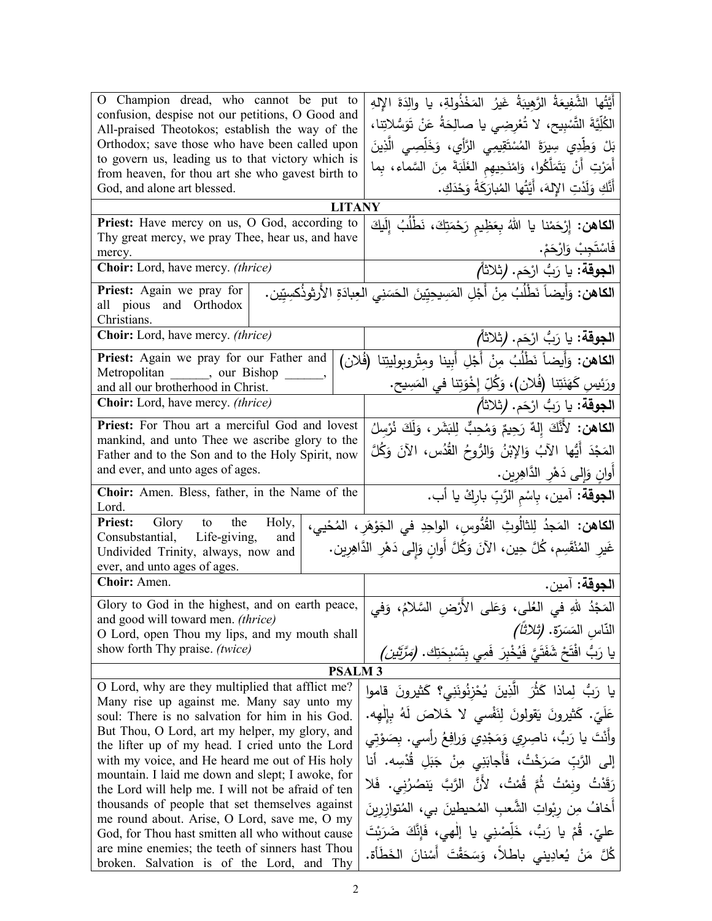| O Champion dread, who cannot be put to                                                                                  | أَيَّتُها الشَّفِيعَةُ الرَّهِيبَةُ غَيرُ المَخْذُولةِ، يا والِدَةَ الإِلهِ                   |  |
|-------------------------------------------------------------------------------------------------------------------------|-----------------------------------------------------------------------------------------------|--|
| confusion, despise not our petitions, O Good and<br>All-praised Theotokos; establish the way of the                     | الكُلِّيَّةَ التَّسْبِيح، لا تُعْرِضِي يا صالِحَةُ عَنْ تَوَسُّلاتِنا،                        |  |
| Orthodox; save those who have been called upon                                                                          | بَلْ وَطِّدِي سِيرَةَ المُسْتَقِيمِي الرَّأْيِ، وَخَلِّصِي الَّذِينَ                          |  |
| to govern us, leading us to that victory which is<br>from heaven, for thou art she who gavest birth to                  | أَمَرْتِ أَنْ يَتَمَلَّكُوا، وَامْنَحِيهِم الغَلَبَةَ مِنَ السَّماء، بِما                     |  |
| God, and alone art blessed.                                                                                             | أَنَّكِ وَلَدْتِ الإِلهَ، أَيَّتُها المُبارَكَةُ وَحْدَكِ.                                    |  |
| <b>LITANY</b>                                                                                                           |                                                                                               |  |
| Priest: Have mercy on us, O God, according to                                                                           | ا <b>لكاهن:</b> إِرْحَمْنا يا اللهُ بِعَظِيم رَحْمَتِكَ، نَطْلُبُ إِلَيكَ                     |  |
| Thy great mercy, we pray Thee, hear us, and have<br>mercy.                                                              | فَاسْتَجِبْ وَارْحَمْ.                                                                        |  |
| Choir: Lord, have mercy. (thrice)                                                                                       | ا <b>لجوقة:</b> يا رَبُّ ارْحَم. (ثلاثاً <i>)</i>                                             |  |
| Priest: Again we pray for<br>all pious and Orthodox<br>Christians.                                                      | الكاهن: وَأَيضاً نَطْلُبُ مِنْ أَجْلِ المَسِيجِيِّينَ الحَسَنِي الْعِبادَةِ الأَرثوذُكسِيّين. |  |
| Choir: Lord, have mercy. (thrice)                                                                                       | ا <b>لجوقة:</b> يا رَبُّ ارْحَم. (ثلاثاً <i>)</i>                                             |  |
| Priest: Again we pray for our Father and                                                                                | ا <b>لكاهن:</b> وَأَيضاً نَطْلُبُ مِنْ أَجْلِ أَبينا ومِتْروبوليتِنا (فُلان)                  |  |
| Metropolitan _______, our Bishop<br>and all our brotherhood in Christ.                                                  | ورَئِيسِ كَهَنَتِنا (فُلان)، وَكُلِّ إِخْوَتِنا في المَسِيح.                                  |  |
| Choir: Lord, have mercy. (thrice)                                                                                       | ا <b>لجوقة:</b> يا رَبُّ ارْحَم. (ثلاثاً <i>)</i>                                             |  |
| Priest: For Thou art a merciful God and lovest                                                                          | ا <b>لكاهن:</b> لأَنَّكَ إِلهٌ رَحِيمٌ وَمُحِبٌّ لِلبَشَرِ ، وَلَكَ نُرْسِلُ                  |  |
| mankind, and unto Thee we ascribe glory to the<br>Father and to the Son and to the Holy Spirit, now                     | المَجْدَ أَيُّها الآبُ وَالإِبْنُ وَالرُّوحُ القُدُسِ، الآنَ وَكُلَّ                          |  |
| and ever, and unto ages of ages.                                                                                        | أُوانِ وَإِلَى دَهْرِ الدَّاهِرِينِ.                                                          |  |
| Choir: Amen. Bless, father, in the Name of the<br>Lord.                                                                 | ا <b>لجوقة:</b> آمين، بِاسْم الرَّبِّ بارِكْ يا أب.                                           |  |
| <b>Priest:</b> Glory to the<br>Holy,                                                                                    | ا <b>لكاهن:</b> المَجدُ لِلثالُوثِ القُدُّوسِ، الواحِدِ في الجَوْهَرِ ، المُحْيي،             |  |
| Consubstantial, Life-giving,<br>and<br>غَيرِ المُنْقَسِم، كُلَّ حِين، الآنَ وَكُلَّ أُوانِ وَإِلى دَهْرِ الدَّاهِرِينِ. |                                                                                               |  |
| Undivided Trinity, always, now and<br>ever, and unto ages of ages.                                                      |                                                                                               |  |
| Choir: Amen.                                                                                                            | ا <b>لجوقة:</b> آمين.                                                                         |  |
| Glory to God in the highest, and on earth peace,                                                                        | المَجْدُ للهِ في العُلى، وَعَلى الأَرْضِ السَّلامُ، وَفي                                      |  |
| and good will toward men. <i>(thrice)</i>                                                                               | النّاس المَسَرّة. <i>(ثلاثاً)</i>                                                             |  |
| O Lord, open Thou my lips, and my mouth shall<br>show forth Thy praise. <i>(twice)</i>                                  | يا رَبُّ افْتَحْ شَفَتَيَّ فَيُخْبِرَ فَمِي بِتَسْبِحَتِكَ. ( <i>مَرَّتَيْنِ)</i>             |  |
| <b>PSALM 3</b>                                                                                                          |                                                                                               |  |
| O Lord, why are they multiplied that afflict me?                                                                        | يا رَبُّ لِماذا كَثُرَ الَّذِينَ يُحْزِنُونَنِى؟ كَثيرونَ قاموا                               |  |
| Many rise up against me. Many say unto my                                                                               |                                                                                               |  |
| soul: There is no salvation for him in his God.<br>But Thou, O Lord, art my helper, my glory, and                       | عَلَىِّ. كَثيرونَ يَقولونَ لِنَفْسي لا خَلاصَ لَهُ بِإِلْهِه.                                 |  |
| the lifter up of my head. I cried unto the Lord                                                                         | وأَنْتَ يا رَبُّ، ناصِرِي وَمَجْدِي وَرافِعُ رأسي. بصَوْتي                                    |  |
| with my voice, and He heard me out of His holy                                                                          | إِلَى الرَّبِّ صَرَخْتُ، فَأَجابَنِي مِنْ جَبَلِ قُدْسِه. أنا                                 |  |
| mountain. I laid me down and slept; I awoke, for<br>the Lord will help me. I will not be afraid of ten                  | رَقَدْتُ ونِمْتُ ثُمَّ قُمْتُ، لأَنَّ الرَّبَّ يَنصُرُني. فَلا                                |  |
| thousands of people that set themselves against                                                                         | أخافُ مِن رِبْواتِ الشَّعبِ المُحيطينَ بي، المُتوازرينَ                                       |  |
| me round about. Arise, O Lord, save me, O my<br>God, for Thou hast smitten all who without cause                        | عليّ. قُمْ يا رَبُّ، خَلِّصْنِي يا إِلْهِي، فَإِنَّكَ ضَرَبْتَ                                |  |
| are mine enemies; the teeth of sinners hast Thou<br>broken. Salvation is of the Lord, and Thy                           | كُلَّ مَنْ يُعادِيني باطلاً، وَسَحَقْتَ أَسْنانَ الخَطَأة.                                    |  |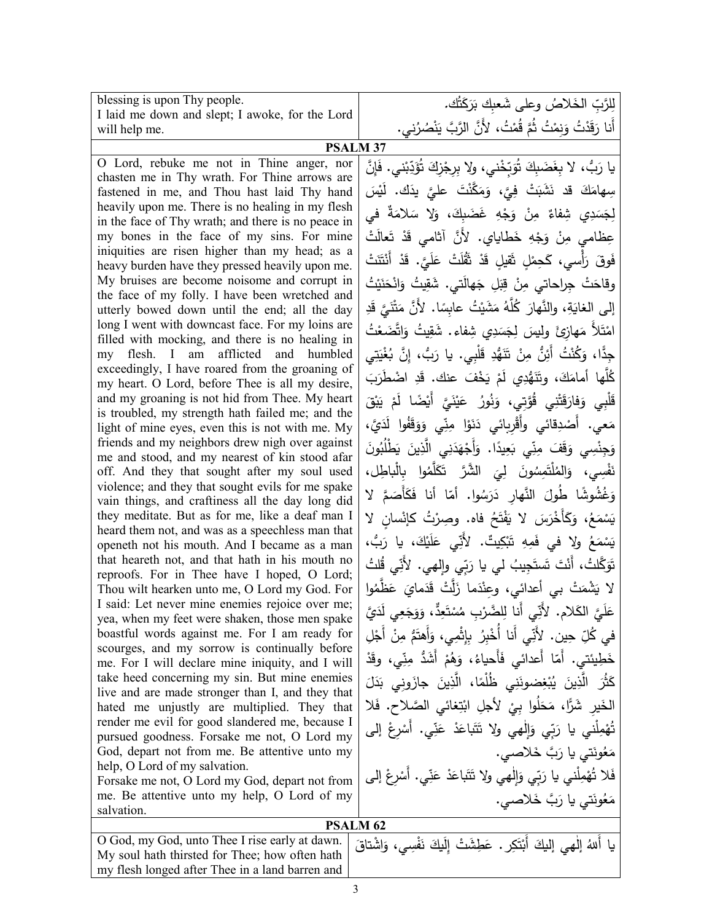| blessing is upon Thy people.                                                                        | لِلرَّبِّ الخَلاصُ وعلى شَعبِك بَرَكَتُك.                                     |
|-----------------------------------------------------------------------------------------------------|-------------------------------------------------------------------------------|
| I laid me down and slept; I awoke, for the Lord                                                     |                                                                               |
| will help me.                                                                                       | أَنا رَقَدْتُ وَنِمْتُ ثُمَّ قُمْتُ، لأَنَّ الرَّبَّ يَنْصُرُني.              |
| PSALM <sub>37</sub>                                                                                 |                                                                               |
| O Lord, rebuke me not in Thine anger, nor<br>chasten me in Thy wrath. For Thine arrows are          | يا رَبُّ، لا بِغَضَبِكَ تُوَبِّخْني، ولا بِرِجْزِكَ تُؤَدِّبْني. فَإِنَّ      |
| fastened in me, and Thou hast laid Thy hand                                                         | سِهامَكَ قد نَشَبَتْ فِيَّ، وَمَكَّنْتَ عليَّ يدَك. لَيْسَ                    |
| heavily upon me. There is no healing in my flesh                                                    | لِجَسَدِي شِفاءٌ مِنْ وَجْهِ غَضَبِكَ، وَلا سَلامَةٌ في                       |
| in the face of Thy wrath; and there is no peace in                                                  |                                                                               |
| my bones in the face of my sins. For mine                                                           | عِظامي مِنْ وَجْهِ خَطايايِ. لأَنَّ آثامي قَدْ تَعالَتْ                       |
| iniquities are risen higher than my head; as a<br>heavy burden have they pressed heavily upon me.   | فَوقَ رَأْسي، كَحِمْلٍ ثَقيلٍ قَدْ ثَقُلَتْ عَلَيَّ. قَدْ أَنْتَنَتْ          |
| My bruises are become noisome and corrupt in                                                        | وقاحَتْ جِراحاتي مِنْ قِبَلِ جَهالَتي. شَقِيتُ وَانْحَنَيْتُ                  |
| the face of my folly. I have been wretched and                                                      |                                                                               |
| utterly bowed down until the end; all the day                                                       | إلى الغايَةِ، والنَّهارَ كُلَّهُ مَشَيْتُ عابِسًا. لأَنَّ مَتْنَىَّ قَدِ      |
| long I went with downcast face. For my loins are<br>filled with mocking, and there is no healing in | امْتَلاً مَهازِئَ وليسَ لِجَسَدِي شِفاء. شَقِيتُ وَاتَّضَعْتُ                 |
| my flesh. I am afflicted and humbled                                                                | جِدًّا، وَكُنْتُ أَئِنٌ مِنْ تَنَهُّدِ قَلْبِي. يا رَبُّ، إِنَّ بُغْيَتِي     |
| exceedingly, I have roared from the groaning of                                                     | كُلُّها أمامَكَ، وتَنَهُّدِي لَمْ يَخْفَ عنك. قَدِ اضْطَرَبَ                  |
| my heart. O Lord, before Thee is all my desire,<br>and my groaning is not hid from Thee. My heart   | قَلْبِي وَفارَقَتْنِي قُوَّتِي، وَنُورُ عَيْنَيَّ أَيْضًا لَمْ يَبْقَ         |
| is troubled, my strength hath failed me; and the                                                    |                                                                               |
| light of mine eyes, even this is not with me. My                                                    | مَعي. أَصْدِقائي وأَقْرِبائي دَنَوْا مِنِّي وَوَقَفُوا لَدَيَّ،               |
| friends and my neighbors drew nigh over against<br>me and stood, and my nearest of kin stood afar   | وَجِنْسِي وَقَفَ مِنِّي بَعِيدًا. وَأَجْهَدَنِي الَّذِينَ يَطْلُبُونَ         |
| off. And they that sought after my soul used                                                        | نَفْسِي، وَالمُلْتَمِسُونَ لِيَ الشَّرَّ تَكَلَّمُوا بِالْباطِل،              |
| violence; and they that sought evils for me spake                                                   | وَغُشُوشًا طُولَ النَّهارِ دَرَسُوا. أمّا أنا فَكَأَصَمَّ لا                  |
| vain things, and craftiness all the day long did<br>they meditate. But as for me, like a deaf man I |                                                                               |
| heard them not, and was as a speechless man that                                                    | يَسْمَعُ، وَكَأَخْرَسَ لا يَفْتَحُ فاه. وصِرْتُ كإنْسان لا                    |
| openeth not his mouth. And I became as a man                                                        | يَسْمَعُ ولا في فَمِهِ تَبْكِيتٌ. لأَنِّى عَلَيْكَ، يا رَبُّ،                 |
| that heareth not, and that hath in his mouth no                                                     | تَوَكَّلتُ، أَنْتَ تَستَجِيبُ لي يا رَبِّي وإلهي. لأَنِّي قُلتُ               |
| reproofs. For in Thee have I hoped, O Lord;<br>Thou wilt hearken unto me, O Lord my God. For        | لا يَشْمَتْ بي أعدائي، وعِنْدَما زَلَّتْ قَدَمايَ عَظَّمُوا                   |
| I said: Let never mine enemies rejoice over me;                                                     | عَلَيَّ الكَلام. لأَنِّي أَنا لِلضَّرْبِ مُسْتَعِدٌّ، وَوَجَعِي لَدَيَّ       |
| yea, when my feet were shaken, those men spake<br>boastful words against me. For I am ready for     | في كُلِّ حِين. لأَنِّي أَنا أُخْبِرُ بِإِثْمِي، وَأَهتَمُّ مِنْ أَجْلِ        |
| scourges, and my sorrow is continually before                                                       |                                                                               |
| me. For I will declare mine iniquity, and I will                                                    | خَطِيئتي. أَمّا أَعدائي فَأَحياءُ، وَهُمْ أَشَدُّ مِنِّي، وقَدْ               |
| take heed concerning my sin. But mine enemies<br>live and are made stronger than I, and they that   | كَثُّرَ   الَّذِينَ   يُبْغِضونَنِي   ظُلْمًا،   الَّذِينَ   جازَوني   بَدَلَ |
| hated me unjustly are multiplied. They that                                                         | الخَيرِ شَرًّا، مَحَلُوا بِيْ لأجلِ ابْتِغائي الصَّلاحِ. فَلا                 |
| render me evil for good slandered me, because I                                                     | تُهْمِلْني يا رَبِّي وَإِلْهِي ولا تَتَباعَدْ عَنِّي. أَسْرِعْ إلى            |
| pursued goodness. Forsake me not, O Lord my<br>God, depart not from me. Be attentive unto my        |                                                                               |
| help, O Lord of my salvation.                                                                       | مَعُونَتي يا رَبَّ خَلاصي.                                                    |
| Forsake me not, O Lord my God, depart not from                                                      | فَلا تُهْمِلْني يا رَبِّي وَإِلٰهي ولا تَتَباعَدْ عَنِّي. أُسْرِعْ إلى        |
| me. Be attentive unto my help, O Lord of my                                                         | مَعُونَتي يا رَبَّ خَلاصي.                                                    |
| salvation.                                                                                          |                                                                               |
| <b>PSALM 62</b>                                                                                     |                                                                               |
| O God, my God, unto Thee I rise early at dawn.<br>My soul hath thirsted for Thee; how often hath    | يا أللهُ إِلْهِي إِلَيْكَ أَبْتَكِرٍ . عَطِشَتْ إِلَيْكَ نَفْسِي، وَاشْتاقَ   |
| my flesh longed after Thee in a land barren and                                                     |                                                                               |
|                                                                                                     |                                                                               |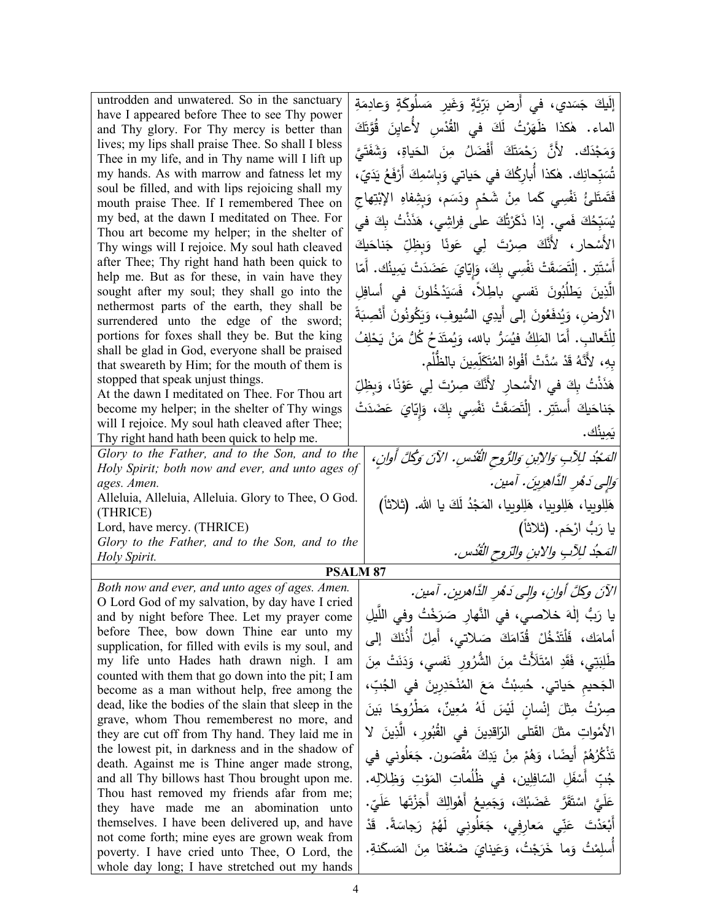| untrodden and unwatered. So in the sanctuary<br>have I appeared before Thee to see Thy power         | إِلَيكَ جَسَدي، في أَرضِ بَرِّيَّةٍ وَغَيرِ مَسلُوكَةٍ وَعادِمَةِ<br>الماء. هٰكذا ظَهَرْتُ لَكَ في القُدْسِ لأُعايِنَ قُوَّتَكَ |
|------------------------------------------------------------------------------------------------------|---------------------------------------------------------------------------------------------------------------------------------|
| and Thy glory. For Thy mercy is better than<br>lives; my lips shall praise Thee. So shall I bless    | وَمَجْدَك. لأَنَّ رَحْمَتَكَ أَفْضَلُ مِنَ الْحَياةِ، وَشَفَتَيَّ                                                               |
| Thee in my life, and in Thy name will I lift up<br>my hands. As with marrow and fatness let my       | تُسَبِّحانِك. هٰكذا أُبارِكُكَ في حَياتي وَبِاسْمِكَ أَرْفَعُ يَدَيِّ،                                                          |
| soul be filled, and with lips rejoicing shall my                                                     | فَتَمتَلئُ نَفْسِي كَما مِنْ شَحْمٍ ودَسَم، وَبِشِفاهِ الإِبْتِهاجِ                                                             |
| mouth praise Thee. If I remembered Thee on<br>my bed, at the dawn I meditated on Thee. For           | يُسَبِّحُكَ فَمي. إذا ذَكَرْتُكَ على فِراشِي، هَذَذْتُ بِكَ في                                                                  |
| Thou art become my helper; in the shelter of<br>Thy wings will I rejoice. My soul hath cleaved       | الأَسْحارِ ، لأَنَّكَ صِرْتَ لِي عَونًا وَبِظِلِّ جَناحَيكَ                                                                     |
| after Thee; Thy right hand hath been quick to                                                        | أَسْتَتِر . إِنْتَصَقَتْ نَفْسِى بِكَ، وَإِيّايَ عَضَدَتْ يَمِينُك. أَمّا                                                       |
| help me. But as for these, in vain have they<br>sought after my soul; they shall go into the         | الَّذِينَ يَطْلُبُونَ نَفسى باطِلاً، فَسَيَدْخُلونَ في أسافِلِ                                                                  |
| nethermost parts of the earth, they shall be                                                         | الأرض، وَيُدفَعُونَ إِلَى أَيدِي السُّيوفِ، وَيَكُونُونَ أَنْصِبَةً                                                             |
| surrendered unto the edge of the sword;<br>portions for foxes shall they be. But the king            |                                                                                                                                 |
| shall be glad in God, everyone shall be praised                                                      | لِلْثَعالبِ. أَمّا المَلِكُ فيُسَرُّ بالله، وَيُمتَدَحُ كُلُّ مَنْ يَحْلِفُ                                                     |
| that sweareth by Him; for the mouth of them is<br>stopped that speak unjust things.                  | بهِ، لأَنَّهُ قَدْ سُدَّتْ أَفْواهُ المُتَكَلِّمِينَ بِالظُّلْمِ.                                                               |
| At the dawn I meditated on Thee. For Thou art                                                        | هَذَنْتُ بِكَ في الأَسْحارِ  لأَنَّكَ صِرْتَ لِي عَوْنًا، وَبِظِلِّ                                                             |
| become my helper; in the shelter of Thy wings<br>will I rejoice. My soul hath cleaved after Thee;    | جَناحَيكَ أَستَتِر . إلْتَصَقَتْ نَفْسِي بِكَ، وَإِيّايَ عَضَدَتْ                                                               |
| Thy right hand hath been quick to help me.                                                           | يَمِينُك.                                                                                                                       |
| Glory to the Father, and to the Son, and to the<br>Holy Spirit; both now and ever, and unto ages of  | المَعْبُدُ لِلِآبِ وَالِإِبنِ وَالرُّوحِ الْقُدُسِ. الآنَ وَكُلَّ أُوانِ،                                                       |
| ages. Amen.                                                                                          | وَإِلِي دَهُرِ الذَّاهِرِينَ. آمين.                                                                                             |
| Alleluia, Alleluia, Alleluia. Glory to Thee, O God.<br>(THRICE)                                      | هَلِلوبِيا، هَلِلوبِيا، هَلِلوبِيا، المَجْدُ لَكَ يا الله. (ثلاثاً)                                                             |
| Lord, have mercy. (THRICE)                                                                           | يا رَبُّ ارْحَم. (ثلاثاً)                                                                                                       |
| Glory to the Father, and to the Son, and to the<br>Holy Spirit.                                      | المَجْد للِآبِ والابنِ والتروح القُدْس.                                                                                         |
|                                                                                                      | <b>PSALM 87</b>                                                                                                                 |
| Both now and ever, and unto ages of ages. Amen.<br>O Lord God of my salvation, by day have I cried   | الآنَ وكلَّ أوانِ، وإلى دَهْرِ الذَّاهرينِ. آمينِ.                                                                              |
| and by night before Thee. Let my prayer come                                                         | يا رَبُّ إِلٰهَ خلاصي، في النَّهارِ صَرَخْتُ وفي اللَّيلِ                                                                       |
| before Thee, bow down Thine ear unto my                                                              | أَمامَكَ، فَلْتَذْخُلْ قُدَّامَكَ صَلاتي، أَمِلْ أَذْنَكَ إلى                                                                   |
| supplication, for filled with evils is my soul, and<br>my life unto Hades hath drawn nigh. I am      | طَٰلِبَتِی، فَقَدِ امْتَلَأَتْ مِنَ الشُّرُورِ نَفسی، وَدَنَتْ مِنَ                                                             |
| counted with them that go down into the pit; I am                                                    | الْجَحيم حَياتي. حُسِبْتُ مَعَ الْمُنْحَدِرِينَ في الْجُبِّ،                                                                    |
| become as a man without help, free among the<br>dead, like the bodies of the slain that sleep in the | صِرْتُ مِثْلَ إِنْسانٍ لَيْسَ لَهُ مُعِينٌ، مَطْرُوهًا بَينَ                                                                    |
| grave, whom Thou rememberest no more, and                                                            | الأَمْواتِ مثلَ القَتلى الرّاقدِينَ في القُبُورِ ، الَّذِينَ لا                                                                 |
| they are cut off from Thy hand. They laid me in<br>the lowest pit, in darkness and in the shadow of  |                                                                                                                                 |
| death. Against me is Thine anger made strong,                                                        | تَذْكُرُهُمْ أَيضًا، وَهُمْ مِنْ يَذِكَ مُقْصَون. جَعَلُونی فی                                                                  |
| and all Thy billows hast Thou brought upon me.<br>Thou hast removed my friends afar from me;         | جُبِّ أَسْفَلِ السّافِلِين، في ظُلُماتِ المَوْتِ وَظِلالِه.                                                                     |
| they have made me an abomination unto                                                                | عَلَيَّ اسْتَقَرَّ  غَضَبُكَ، وَجَمِيعُ أَهْوالِكَ أَجَزْتَها  عَلَيّ.                                                          |
| themselves. I have been delivered up, and have<br>not come forth; mine eyes are grown weak from      | أَبْعَدْتَ عَنِّي مَعارِفِي، جَعَلُونِي لَهُمْ رَجاسَةً. قَدْ                                                                   |
| poverty. I have cried unto Thee, O Lord, the                                                         | أَسلِمْتُ وَما خَرَجْتُ، وَعَيناىَ ضَعُفَتا مِنَ المَسكَنةِ.                                                                    |
| whole day long; I have stretched out my hands                                                        |                                                                                                                                 |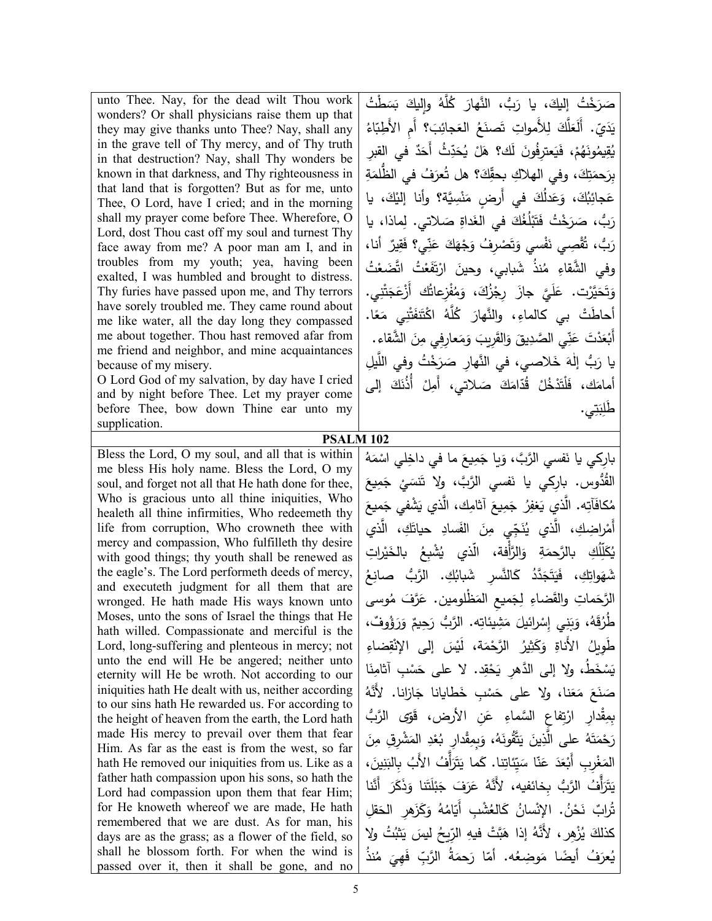unto Thee. Nay, for the dead wilt Thou work wonders? Or shall physicians raise them up that they may give thanks unto Thee? Nay, shall any in the grave tell of Thy mercy, and of Thy truth in that destruction? Nay, shall Thy wonders be known in that darkness, and Thy righteousness in that land that is forgotten? But as for me, unto Thee, O Lord, have I cried; and in the morning shall my prayer come before Thee. Wherefore, O Lord, dost Thou cast off my soul and turnest Thy face away from me? A poor man am I, and in troubles from my youth; yea, having been exalted, I was humbled and brought to distress. Thy furies have passed upon me, and Thy terrors have sorely troubled me. They came round about me like water, all the day long they compassed me about together. Thou hast removed afar from me friend and neighbor, and mine acquaintances because of my misery.

O Lord God of my salvation, by day have I cried and by night before Thee. Let my prayer come before Thee, bow down Thine ear unto my supplication.

Bless the Lord, O my soul, and all that is within me bless His holy name. Bless the Lord, O my soul, and forget not all that He hath done for thee, Who is gracious unto all thine iniquities, Who healeth all thine infirmities, Who redeemeth thy life from corruption, Who crowneth thee with mercy and compassion, Who fulfilleth thy desire with good things; thy youth shall be renewed as the eagle's. The Lord performeth deeds of mercy, and executeth judgment for all them that are wronged. He hath made His ways known unto Moses, unto the sons of Israel the things that He hath willed. Compassionate and merciful is the Lord, long-suffering and plenteous in mercy; not unto the end will He be angered; neither unto eternity will He be wroth. Not according to our iniquities hath He dealt with us, neither according to our sins hath He rewarded us. For according to the height of heaven from the earth, the Lord hath made His mercy to prevail over them that fear Him. As far as the east is from the west, so far hath He removed our iniquities from us. Like as a father hath compassion upon his sons, so hath the Lord had compassion upon them that fear Him; for He knoweth whereof we are made, He hath remembered that we are dust. As for man, his days are as the grass; as a flower of the field, so shall he blossom forth. For when the wind is passed over it, then it shall be gone, and no

صَرَخْتُ إِليكَ، يا رَبُّ، النَّهارَ كُلَّهُ وإِليكَ بَسَطْتُ<br>مَسَرَجْتُ إِليكَ، يَا رَبُّ، النَّهارَ كُلَّهُ وإليكَ بَسَطْتُ لَعَلَّكَ لِلأَمواتِ تَصنَعُ العَجائِبَ؟ أَمِ الأَطِبّاءُ يَدَيّ. أَل َبا مُمْ، فَيَعترِفُونَ لَك؟ هَلْ يُحَدِّثُ أَحَدٌ في القبرِ َه ُون ِ<br>مِّيمُ ق ٔ. و<br>= َ ِ<del>بَ</del>كَ ت َ َحم بِرَحمَتِكَ، وفي الهلاكِ بِحقِّكَ؟ هل تُعرَفُ في الظُّلمَةِ مَدلُكَ في أُرضٍ مَنْسِيَّة؟ وأنا إليْكَ، يا<br>مُمس ْ َع نَه، وَء ُك وو<br>ليليا َجائ ع ِماذا، �ا َ لاتي. ل ِ ص َداة َ في الغ ُك ُغ ل َب َت .<br>. رَخْتُ فَا َ رَ<br>ِ َنِبٌ، صَب<br>.. ر نْسي وَتَصْرِفُ وَجْهَكَ عَنِّي؟ فَقِيرٌ أنا، ف َ ةْصِ*ي* نَ ُق َ ُّب، ت رَد وفي الشَّقاءِ مُنذُ شَبابي، وحينَ ارْتَفَعْتُ اتَّضَعْتُ .<br>ا ِي. ْن ت َ َج ْزع ُك أَ ْ ِزعات ف ُ َم ،َ و ُك ْز َ ِ رج َ َّي جاز ل َ ْت. ع ؾٞۯڐ َ ئَدَ<br>أحد ت َ و أحاطَتْ بي كالماءِ، والنَّهارَ كُلَّهُ اكْتَنفَتْنِي مَعًا.<br>يَه أَبْعَدْتَ عَنِّي الصَّدِيقَ وَالقَرِيبَ وَمَعارِفِي مِنَ الشَّقاءِ. ٰ يا رَبُّ إِلٰهَ خَلاصي، في النَّهارِ صَرَخْتُ وفي اللَّيلِ<br>، أمامَك، فَلْتَدْخُلْ قُدّامَكَ صَلاتي، أَمِلْ أُذُنَكَ إلى<br>ِ طَلِبَتِي . .<br>ا

**PSALM 102**

بارِكي يا نَفسي الرَّبَّ، وَيا جَمِيعَ ما في داخِلي اسْمَهُ<br>.. َ ِ�ع َم ْ ج َ ي َنس َ َّ فسي الرَّب، ولا ت ُُّد ِ وس. �ار�ي �ا ن الق مُكافَآتِه. الَّذي يَغفِرُ جَمِيعَ آثامِك، الَّذي يَشْفي جَمِيعَ<br>يَ ڻراضِكِ، الَّذي يُنَجِّي مِنَ الفَسادِ حياتَكِ، الَّذ*ي*<br>... أَم َ ِ و مَةٍ<br>م لُكِ بالرَّحمَ ِلْلُهِ ل ا<br>أ ُ<br>يگ يُكَلِّلُكِ بالرَّحمَةِ وَالرَّأْفة، الَّذي يُشْبِعُ بالخَيْراتِ دَیْہِ<br>خیا ُ �الخ ِ<br>يَشْبِعُ الذي  $\zeta$ .<br>بع كَالنَّسرِ شَبابُكِ**.** الرَّبُّ صانِ<sub>ّ</sub><br>مُ ُ گ َّدد **∶** ئجَة<br>أ ت ُـا<br>ا فَدَ<br>فی بِّكِ<mark>، فَ</mark> َوات َشه ُوسى مَماتِ والقَضاءِ لِجَميعِ المَظْلومين. عَرَّفَ مُ الرَّحَ <sub>لُ</sub>وفٌ، َ ؤ َر <sub>َل</sub>َحِيمٌ وَرَ نِي إِسْرائيلَ مَشِيئاتِه. الرَّبُّ رَدِّ :<br>با با<br>أ Ĺ. َ ،ُ و ةُهُّ<br>ِ ق .<br>م طرُةِ ُ، الأَناةِ وَكَثِيرُ الرَّحْمَة، لَيْسَ إلى الإِنْا<br>، ِطَوِيلُ ِضاء <u>ئ</u>قہ<br>ح نَطُ، ولا إلى الدَّهرِ يَحْقِد. لا على حَسْبِ آثامِنَا ْ مْخَا َس � بَازانا. لأَنَّهُ صَنَعَ مَعَنا، ولا على حَسْبِ خَطايانا جَ مُّدارِ ارْتِفاعِ السَّماءِ عَنِ الأرض، قَوِّى الرَّبُّ<br>. .<br>ا ِق ِ�م .<br>ا َنِحْمَتَهُ على الَّذِينَ يَتَّقُونَهُ، وَبِمِقْدارِ بُعْدِ الْمَشْرِقِ مِنَ َ المَغْرِبِ أَبْعَدَ عَنّا سَيِّئاتِنا. كَما يَتَرَأَّفُ الأَبُ بِالبَنِينَ،<br>" ِيَتَرَأَّفُ الرَّبُّ بِخائفيه، لأَنَّهُ عَرَفَ جَبْلَتَنا وَذَكَرَ أَنَّنا<br>. <u>ٔ</u> َ َ بٌ نَحْنُ. الإِنْسانُ كَالعُشْبِ أَيّامُهُ وَكَزَهرِ الْحَقلِ<br>\* ُراب ت كذلكَ يُزْهِر ، لأَنَّهُ إذا هَبَّتْ فيهِ الرِّيحُ ليسَ يَثْبُتُ ولاِ ُ ُنذ َ م َ ِهي ِ ف ّ ُ َّ الرب َة َحم ّا ر ُه. أم َ ِوضع َ ُف ً أ�ضا م ُعر �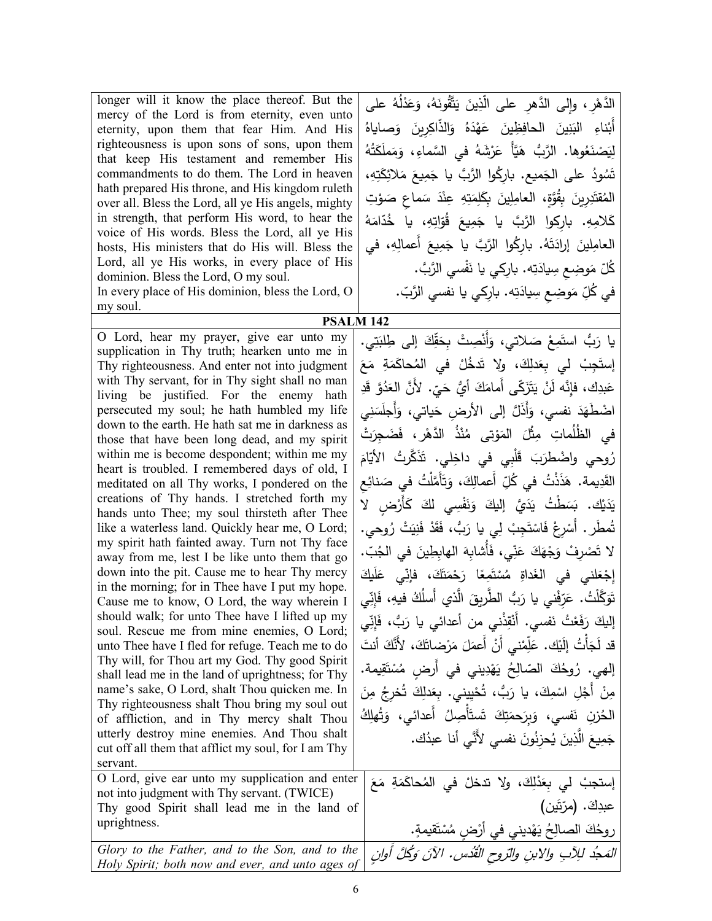| longer will it know the place thereof. But the<br>mercy of the Lord is from eternity, even unto<br>eternity, upon them that fear Him. And His<br>righteousness is upon sons of sons, upon them<br>that keep His testament and remember His<br>commandments to do them. The Lord in heaven<br>hath prepared His throne, and His kingdom ruleth | الدَّهْرِ ، وإلى الدَّهرِ على الَّذِينَ يَتَّقُونَهُ، وَعَدْلُهُ على<br>أبْناءِ البَنِينَ الحافِظِينَ عَهْدَهُ وَالذّاكِرِينَ وَصاياهُ<br>لِيَصْنَعُوها. الرَّبُّ هَيَّأٌ عَرْشَهُ في السَّماءِ، وَمَملَكَتُهُ<br>تَسُودُ على الجَميع. بارِكُوا الرَّبَّ يا جَمِيعَ مَلائِكَتِهِ، |
|-----------------------------------------------------------------------------------------------------------------------------------------------------------------------------------------------------------------------------------------------------------------------------------------------------------------------------------------------|-----------------------------------------------------------------------------------------------------------------------------------------------------------------------------------------------------------------------------------------------------------------------------------|
| over all. Bless the Lord, all ye His angels, mighty                                                                                                                                                                                                                                                                                           | المُقتَدِرِينَ بِقُوَّةٍ، العامِلِينَ بِكَلِمَتِهِ عِنْدَ سَماعٍ صَوْتِ                                                                                                                                                                                                           |
| in strength, that perform His word, to hear the<br>voice of His words. Bless the Lord, all ye His                                                                                                                                                                                                                                             | كَلامِهِ. باركوا الرَّبَّ يا جَمِيعَ قُوّاتِهِ، يا خُدّامَهُ                                                                                                                                                                                                                      |
| hosts, His ministers that do His will. Bless the                                                                                                                                                                                                                                                                                              | العامِلينَ إرادَتَهُ. باركُوا الرَّبَّ يا جَمِيعَ أعمالِهِ، في                                                                                                                                                                                                                    |
| Lord, all ye His works, in every place of His<br>dominion. Bless the Lord, O my soul.                                                                                                                                                                                                                                                         | كُلّ مَوضِع سِيادَتِه. بارِكي يا نَفْسي الرَّبَّ.                                                                                                                                                                                                                                 |
| In every place of His dominion, bless the Lord, O                                                                                                                                                                                                                                                                                             | في كُلِّ مَوضِعٍ سِيادَتِه. بارِكي يا نفسي الرَّبّ.                                                                                                                                                                                                                               |
| my soul.                                                                                                                                                                                                                                                                                                                                      |                                                                                                                                                                                                                                                                                   |
| <b>PSALM 142</b>                                                                                                                                                                                                                                                                                                                              |                                                                                                                                                                                                                                                                                   |
| O Lord, hear my prayer, give ear unto my<br>supplication in Thy truth; hearken unto me in                                                                                                                                                                                                                                                     | يا رَبُّ استَمِعْ صَلاتي، وَأَنْصِتْ بِحَقِّكَ إلى طِلبَتِي.                                                                                                                                                                                                                      |
| Thy righteousness. And enter not into judgment                                                                                                                                                                                                                                                                                                | إِستَجِبْ ل <sub>َّ</sub> ى بِعَدلِكَ، ولا تَدخُلْ ف <sub>َى</sub> المُحاكَمَةِ مَعَ                                                                                                                                                                                              |
| with Thy servant, for in Thy sight shall no man                                                                                                                                                                                                                                                                                               | عَبدِك، فإِنَّه لَنْ يَتَزَكَّى أَمامَكَ أَيُّ حَيّ. لأَنَّ الْعَدُوَّ قَدِ                                                                                                                                                                                                       |
| living be justified. For the enemy hath                                                                                                                                                                                                                                                                                                       |                                                                                                                                                                                                                                                                                   |
| persecuted my soul; he hath humbled my life<br>down to the earth. He hath sat me in darkness as                                                                                                                                                                                                                                               | اضْطَهَدَ نفسى، وَأَذَلَّ إلى الأرض حَياتي، وَأَجلَسَنِي                                                                                                                                                                                                                          |
| those that have been long dead, and my spirit                                                                                                                                                                                                                                                                                                 | في الظُلُماتِ مِثْلَ المَوْتي مُنْذُ الدَّهْرِ ، فَضَجِرَتْ                                                                                                                                                                                                                       |
| within me is become despondent; within me my                                                                                                                                                                                                                                                                                                  | رُوحي واضْطرَبَ قَلْبِي في داخِلي. تَذَكَّرتُ الأيّامَ                                                                                                                                                                                                                            |
| heart is troubled. I remembered days of old, I                                                                                                                                                                                                                                                                                                |                                                                                                                                                                                                                                                                                   |
| meditated on all Thy works, I pondered on the                                                                                                                                                                                                                                                                                                 | القَدِيمة. هَذَذْتُ في كُلِّ أَعمالِكَ، وَتَأَمَّلْتُ في صَنائِع                                                                                                                                                                                                                  |
| creations of Thy hands. I stretched forth my<br>hands unto Thee; my soul thirsteth after Thee                                                                                                                                                                                                                                                 | يَدَيْك. بَسَطْتُ يَدَيَّ إِليكَ وَنَفْسِي لَكَ كَأَرْضِ لا                                                                                                                                                                                                                       |
| like a waterless land. Quickly hear me, O Lord;                                                                                                                                                                                                                                                                                               | تُمطَر . أَسْرِعْ فَاسْتَجِبْ لِي يا رَبُّ، فَقَدْ فَنِيَتْ رُوحى.                                                                                                                                                                                                                |
| my spirit hath fainted away. Turn not Thy face                                                                                                                                                                                                                                                                                                | لا تَصْرِفْ وَجْهَكَ عَنِّى، فَأَشابِهَ الهابِطِينَ في الْجُبّ.                                                                                                                                                                                                                   |
| away from me, lest I be like unto them that go                                                                                                                                                                                                                                                                                                |                                                                                                                                                                                                                                                                                   |
| down into the pit. Cause me to hear Thy mercy<br>in the morning; for in Thee have I put my hope.                                                                                                                                                                                                                                              | إِجْعَلْنِي فِي الْغَداةِ مُسْتَمِعًا رَحْمَتَكَ، فَإِنِّي عَلَيْكَ                                                                                                                                                                                                               |
| Cause me to know, O Lord, the way wherein I                                                                                                                                                                                                                                                                                                   | تَوَكَّلْتُ. عَرِّفْني يا رَبُّ الطَّرِيقَ الَّذي أسلُكُ فيهِ، فَإِنِّي                                                                                                                                                                                                           |
| should walk; for unto Thee have I lifted up my                                                                                                                                                                                                                                                                                                | إليكَ رَفَعْتُ نَفسي. أَنْقِذْني من أعدائي يا رَبٌّ، فَإِنِّي                                                                                                                                                                                                                     |
| soul. Rescue me from mine enemies, O Lord;                                                                                                                                                                                                                                                                                                    |                                                                                                                                                                                                                                                                                   |
| unto Thee have I fled for refuge. Teach me to do<br>Thy will, for Thou art my God. Thy good Spirit                                                                                                                                                                                                                                            | قد لَجَأْتُ إِلَيْك. عَلِّمْني أَنْ أَعمَلَ مَرْضاتَكَ، لأَنَّكَ أنتَ                                                                                                                                                                                                             |
| shall lead me in the land of uprightness; for Thy                                                                                                                                                                                                                                                                                             | إلهي. رُوحُكَ الصّالِحُ يَهْدِيني في أرض مُسْتَقِيمة.                                                                                                                                                                                                                             |
| name's sake, O Lord, shalt Thou quicken me. In                                                                                                                                                                                                                                                                                                | مِنْ أَجْلِ اسْمِكَ، يا رَبُّ، تُحْيِيني. بِعَدلِكَ تُخرجُ مِنَ                                                                                                                                                                                                                   |
| Thy righteousness shalt Thou bring my soul out                                                                                                                                                                                                                                                                                                |                                                                                                                                                                                                                                                                                   |
| of affliction, and in Thy mercy shalt Thou                                                                                                                                                                                                                                                                                                    | الحُزنِ  نَفسى،  وَبِرَحمَتِكَ  تَستَأْصِلُ  أَعدائى،  وَتُهلِكُ                                                                                                                                                                                                                  |
| utterly destroy mine enemies. And Thou shalt<br>cut off all them that afflict my soul, for I am Thy                                                                                                                                                                                                                                           | جَمِيعَ الَّذِينَ يُحزِنُونَ نفسي لأَنَّى أنا عبدُك.                                                                                                                                                                                                                              |
| servant.                                                                                                                                                                                                                                                                                                                                      |                                                                                                                                                                                                                                                                                   |
| O Lord, give ear unto my supplication and enter                                                                                                                                                                                                                                                                                               | إستجبْ لي بِعَدْلِكَ، ولا تدخلْ في المُحاكَمَةِ مَعَ                                                                                                                                                                                                                              |
| not into judgment with Thy servant. (TWICE)                                                                                                                                                                                                                                                                                                   |                                                                                                                                                                                                                                                                                   |
| Thy good Spirit shall lead me in the land of                                                                                                                                                                                                                                                                                                  | عبدِكَ. (مرّتَين)                                                                                                                                                                                                                                                                 |
| uprightness.                                                                                                                                                                                                                                                                                                                                  | روحُكَ الصالِحُ يَهْديني في أَرْضٍ مُسْتَقيمةٍ.<br><i>المَجُد للِأبِ والابنِ والتروحِ القُدُس. الآنَ وَكُلَّ أَوانٍ</i>                                                                                                                                                           |
| Glory to the Father, and to the Son, and to the                                                                                                                                                                                                                                                                                               |                                                                                                                                                                                                                                                                                   |
| Holy Spirit; both now and ever, and unto ages of                                                                                                                                                                                                                                                                                              |                                                                                                                                                                                                                                                                                   |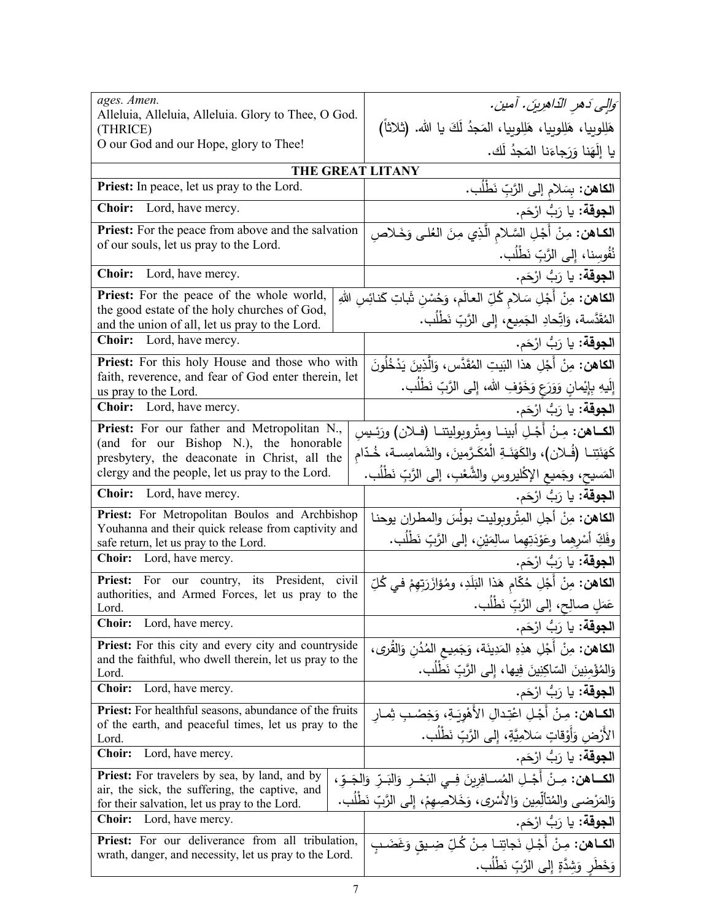| ages. Amen.<br>Alleluia, Alleluia, Alleluia. Glory to Thee, O God.<br>(THRICE)                         | وَالِي دَهرِ الدَّاهِرِينَ. آمين.<br>هَلِلوبِيا، هَلِلوبِيا، هَلِلوبِيا، المَجدُ لَكَ يا الله. (ثلاثاً)                                     |
|--------------------------------------------------------------------------------------------------------|---------------------------------------------------------------------------------------------------------------------------------------------|
| O our God and our Hope, glory to Thee!                                                                 | يا إِلَهَنا وَرَجاءَنا المَجدُ لَك.                                                                                                         |
| THE GREAT LITANY                                                                                       |                                                                                                                                             |
| Priest: In peace, let us pray to the Lord.                                                             | الكاهن: بِسَلامِ إلى الرَّبِّ نَطْلُب.                                                                                                      |
| Choir: Lord, have mercy.                                                                               | ا <b>لجوقة:</b> يا رَبُّ ارْحَم.                                                                                                            |
| Priest: For the peace from above and the salvation                                                     | ا <b>لكـاهن:</b> مِنْ أَجْلِ السَّلام الَّذِي مِنَ العُلـى وَخَـلاصِ                                                                        |
| of our souls, let us pray to the Lord.                                                                 | نُفُوسِنا، إِلى الرَّبِّ نَطْلُب.                                                                                                           |
| <b>Choir:</b><br>Lord, have mercy.                                                                     | ا <b>لجوقة:</b> يا رَبُّ ارْحَم.                                                                                                            |
| <b>Priest:</b> For the peace of the whole world,<br>the good estate of the holy churches of God,       | ا <b>لكاهن:</b> مِنْ أَجْلِ سَلام كُلِّ العالَم، وَحُسْنِ شَاتِ كَنائِسِ اللهِ<br>المُقَدَّسة، وَاتِّحادِ الجَمِيعِ، إِلى الرَّبِّ نَطْلُب. |
| and the union of all, let us pray to the Lord.                                                         |                                                                                                                                             |
| Choir: Lord, have mercy.                                                                               | ا <b>لجوقة:</b> يا رَبُّ ارْحَم.                                                                                                            |
| Priest: For this holy House and those who with<br>faith, reverence, and fear of God enter therein, let | ا <b>لكاهن:</b> مِنْ أَجْلِ هذا البَيتِ المُقَدَّسِ، وَالَّذِينَ يَدْخُلُونَ                                                                |
| us pray to the Lord.                                                                                   | إِلَيهِ بِإِيْمانِ وَوَرَعٍ وَخَوْفِ الله، إِلى الرَّبِّ نَطْلُبٍ.                                                                          |
| Choir: Lord, have mercy.                                                                               | ا <b>لجوقة:</b> يا رَبُّ ارْحَم.                                                                                                            |
| Priest: For our father and Metropolitan N.,                                                            | الكـاهن: مِنْ أَجْلِ أبينـا ومِتْروبوليتنـا (فـلان) ورَئـيس                                                                                 |
| (and for our Bishop N.), the honorable<br>presbytery, the deaconate in Christ, all the                 | كَهَنَتِنا (فُـلان)، والكَهَنَـةِ الْمُكَـرَّمينَ، والشَمامِسـة، خُـدّامِ                                                                   |
| clergy and the people, let us pray to the Lord.                                                        | المَسيح، وجَميع الإكْليروسِ والشَّعْبِ، إلى الرَّبِّ نَطْلُب.                                                                               |
| <b>Choir:</b> Lord, have mercy.                                                                        |                                                                                                                                             |
|                                                                                                        | ا <b>لجوقة:</b> يا رَبُّ ارْحَم.                                                                                                            |
| Priest: For Metropolitan Boulos and Archbishop                                                         |                                                                                                                                             |
| Youhanna and their quick release from captivity and                                                    | ا <b>لكاهن:</b> مِنْ أجلِ المِتْروبِوليت بولُسَ والمطران يوحنـا                                                                             |
| safe return, let us pray to the Lord.<br>Choir: Lord, have mercy.                                      | وفَكِّ أَسْرِهِما وعَوْدَتِهِما سالِمَيْنِ، إلى الرَّبِّ نَطْلُبٍ.                                                                          |
| Priest: For our country, its President,<br>civil                                                       | ا <b>لجوقة:</b> يا رَبُّ ارْحَم.                                                                                                            |
| authorities, and Armed Forces, let us pray to the                                                      | ا <b>لكاهن:</b> مِنْ أَجْلِ حُكّام هَذا البَلَدِ، ومُؤازَرَتِهِمْ في كُلِّ                                                                  |
| Lord.<br><b>Choir:</b><br>Lord, have mercy.                                                            | عَمَلٍ صالِحٍ، إلى الرَّبِّ نَطْلُبٍ.                                                                                                       |
| Priest: For this city and every city and countryside                                                   | ا <b>لجوقة:</b> يا رَبُّ ارْحَم.                                                                                                            |
| and the faithful, who dwell therein, let us pray to the                                                | ا <b>لكاهن:</b> مِنْ أَجْلِ هذِهِ المَدِينَة، وَجَمِيعِ المُدُنِ وَالقُرى،                                                                  |
| Lord.<br><b>Choir:</b><br>Lord, have mercy.                                                            | وَالْمُؤْمِنِينَ السّاكِنِينَ فِيها، إِلى الرَّبِّ نَطْلُب.                                                                                 |
| <b>Priest:</b> For healthful seasons, abundance of the fruits                                          | ا <b>لجوقة:</b> يا رَبُّ ارْحَم.                                                                                                            |
| of the earth, and peaceful times, let us pray to the                                                   | <b>الكــاهن:</b> مِـنْ أَجْـلِ اعْتِـدالِ الأَهْوِيَـةِ، وَخِصْـب ثِمــار                                                                   |
| Lord.<br><b>Choir:</b><br>Lord, have mercy.                                                            | الأَرْضِ وَأَوْقَاتٍ سَلامِيَّةٍ، إِلَى الرَّبِّ نَطْلُب.                                                                                   |
| <b>Priest:</b> For travelers by sea, by land, and by                                                   | ا <b>لجوقة:</b> يا رَبُّ ارْحَم.                                                                                                            |
| air, the sick, the suffering, the captive, and                                                         | الكــاهن: مِـنْ أَجْـلِ المُســافِرِينَ فِـي البَحْـرِ وَالبَـرِّ وَالجَـوِّ ،                                                              |
| for their salvation, let us pray to the Lord.<br>Lord, have mercy.<br><b>Choir:</b>                    | وَالمَرْضـى والمُتأْلِّمِين وَالأَسْرِي، وَخَلاصِهِمْ، إِلـى الرَّبِّ نَطْلُب.                                                              |
| Priest: For our deliverance from all tribulation,                                                      | ا <b>لجوقة:</b> يا رَبُّ ارْحَم.                                                                                                            |
| wrath, danger, and necessity, let us pray to the Lord.                                                 | <b>الكــاهن:</b> مِـنْ أَجْـلِ نَجاتِنـا مِـنْ كُـلِّ ضِـيقِ وَغَضَــبِ<br>وَخَطَرٍ وَشِدَّةٍ إِلَى الرَّبِّ نَطْلُبٍ.                      |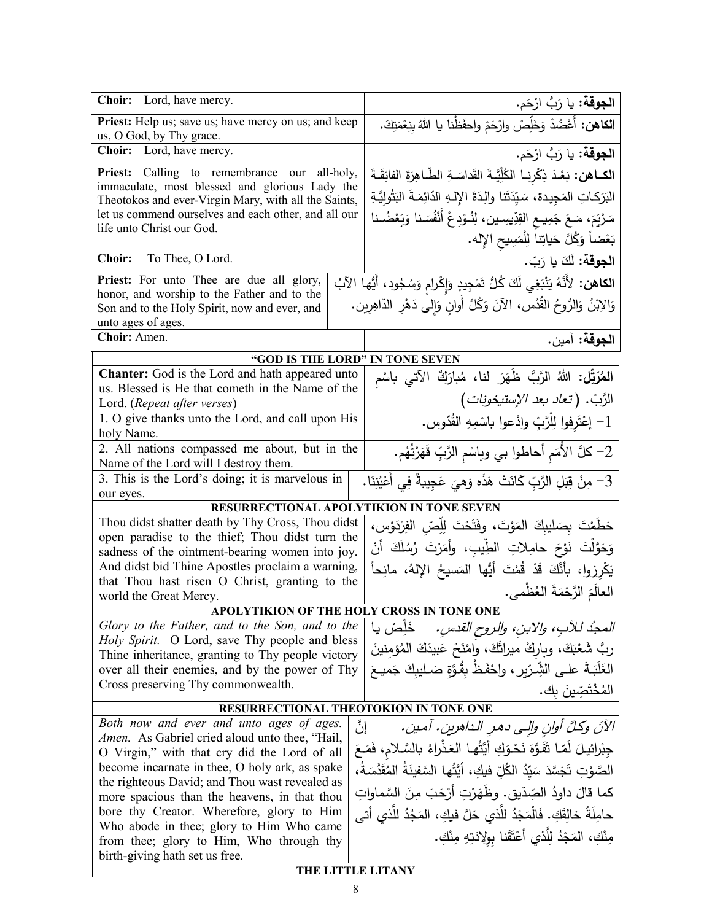| Choir: Lord, have mercy.                                                                               | ا <b>لجوقة:</b> يا رَبُّ ارْحَم.                                                               |  |
|--------------------------------------------------------------------------------------------------------|------------------------------------------------------------------------------------------------|--|
| Priest: Help us; save us; have mercy on us; and keep<br>us, O God, by Thy grace.                       | الكاهن: أَعْضُدْ وَخَلِّصْ وارْحَمْ واحفَظْنا يا اللهُ بنِعْمَتِكَ.                            |  |
| Choir: Lord, have mercy.                                                                               | ا <b>لجوقة:</b> يا رَبُّ ارْحَم.                                                               |  |
| Priest: Calling to remembrance our all-holy,                                                           | الكــاهن: بَعْدَ ذِكْرِنـا الكُلِّيَّـةَ القَداسَـةِ الطَّـاهِرَةَ الفائِقَـةَ                 |  |
| immaculate, most blessed and glorious Lady the<br>Theotokos and ever-Virgin Mary, with all the Saints, | البَرَكاتِ المَجِيدة، سَيِّدَتَنا والِدَةَ الإِلـهِ الدّائِمَـةَ البَتُولِيَّـةِ               |  |
| let us commend ourselves and each other, and all our                                                   | مَـرْيَمَ، مَـعَ جَمِيــع القِدِّيسِـين، لِنُـوْدِعْ أَنْفُسَـنا وَبَعْضُـنا                   |  |
| life unto Christ our God.                                                                              |                                                                                                |  |
| To Thee, O Lord.<br><b>Choir:</b>                                                                      | بَعْضاً وَكُلَّ حَياتِنا لِلْمَسِيحِ الإِله.<br>ا <b>لجوقة:</b> لَكَ يا رَبّ.                  |  |
|                                                                                                        |                                                                                                |  |
| <b>Priest:</b> For unto Thee are due all glory,<br>honor, and worship to the Father and to the         | ا <b>لكاهن:</b> لأَنَّهُ يَنْبَغِي لَكَ كُلُّ تَمْجِيدٍ وَإِكْرامٍ وَسُجُودٍ، أَيُّها الآبُ    |  |
| Son and to the Holy Spirit, now and ever, and<br>unto ages of ages.                                    | وَالِإِبْنُ وَالرُّوحُ القُدُس، الآنَ وَكُلَّ أُوانِ وَإِلى دَهْرِ الدّاهِرِينِ.               |  |
| Choir: Amen.                                                                                           | ا <b>لجوقة:</b> آمين.                                                                          |  |
|                                                                                                        | "GOD IS THE LORD" IN TONE SEVEN                                                                |  |
| <b>Chanter:</b> God is the Lord and hath appeared unto                                                 | المُعْرَقِّل: اللهُ الرَّبُّ ظَهَرَ لذا، مُبارَكٌ الآتي باسْم                                  |  |
| us. Blessed is He that cometh in the Name of the<br>Lord. (Repeat after verses)                        |                                                                                                |  |
| 1. O give thanks unto the Lord, and call upon His                                                      | الرَّبّ. (تع <i>اد بعد الإستيخونات)</i><br>1– إعْتَرِفوا لِلْرَّبِّ وادْعوا باسْمِهِ القُدّوس. |  |
| holy Name.                                                                                             |                                                                                                |  |
| 2. All nations compassed me about, but in the                                                          | 2– كلُّ الأُمَم أحاطوا بي وباسْم الرَّبِّ قَهَرْتُهُم.                                         |  |
| Name of the Lord will I destroy them.<br>3. This is the Lord's doing; it is marvelous in               |                                                                                                |  |
| 3– مِنْ قِبَلِ الرَّبّ كَانَتْ هَذَه وَهِيَ عَجِيبةٌ فِي أَعْيُنِنَا.<br>our eyes.                     |                                                                                                |  |
|                                                                                                        | RESURRECTIONAL APOLYTIKION IN TONE SEVEN                                                       |  |
| Thou didst shatter death by Thy Cross, Thou didst                                                      | حَطَمْتَ بِصَليبِكَ المَوْتَ، وفَتَحْتَ لِلِّصّ الفِرْدَوْسِ،                                  |  |
| open paradise to the thief; Thou didst turn the<br>sadness of the ointment-bearing women into joy.     | وَحَوَّلْتَ نَوْحَ حامِلاتِ الطِّيبِ، وأَمَرْتَ رُسُلَكَ أَنْ                                  |  |
| And didst bid Thine Apostles proclaim a warning,                                                       | يَكْرِزوا، بأنَّكَ قَدْ قُمْتَ أَيُّها المَسيحُ الإِلهُ، مانِحاً                               |  |
| that Thou hast risen O Christ, granting to the                                                         |                                                                                                |  |
| العالَمَ الرَّحْمَةَ العُظْمي.<br>world the Great Mercy.                                               |                                                                                                |  |
| Glory to the Father, and to the Son, and to the                                                        | APOLYTIKION OF THE HOLY CROSS IN TONE ONE                                                      |  |
| Holy Spirit. O Lord, save Thy people and bless                                                         | المجدُ للآبِ، والابنِ، والروح القدسِ. ﴿ خَلِصْ يا                                              |  |
| Thine inheritance, granting to Thy people victory                                                      | رِبُّ شَعْبَكَ، وباركْ ميراثَكَ، وامْنَحْ عَبِيدَكَ الْمُؤمِنينَ                               |  |
| over all their enemies, and by the power of Thy                                                        | الْغَلَبَـةَ علـى الشِّرّيرِ ، واحْفَـظ بِقُـوَّةٍ صَـليبِكَ جَميــعَ                          |  |
| Cross preserving Thy commonwealth.<br>المُخْتَصِّينَ بِك.                                              |                                                                                                |  |
| RESURRECTIONAL THEOTOKION IN TONE ONE                                                                  |                                                                                                |  |
| Both now and ever and unto ages of ages.                                                               | إِنَّ<br>الآنَ وكلَّ أوانِ والِـي دهرِ الـداهرينِ. آمـين.                                      |  |
| Amen. As Gabriel cried aloud unto thee, "Hail,<br>O Virgin," with that cry did the Lord of all         | جِبْرائيلَ لَمّا تَفَوَّهَ نَحْوَكِ أَيَّتُها العَذْراءُ بالسَّلام، فَمَعَ                     |  |
| become incarnate in thee, O holy ark, as spake                                                         | الصَّوْتِ تَجَسَّدَ سَيِّدُ الكُلِّ فيكِ، أَيَّتُها السَّفينَةُ المُقَدَّسَةُ،                 |  |
| the righteous David; and Thou wast revealed as                                                         | كما قالَ داودُ الصِّدّيقِ. وظُهَرْتِ أَرْحَبَ مِنَ السَّماواتِ                                 |  |
| more spacious than the heavens, in that thou<br>bore thy Creator. Wherefore, glory to Him              |                                                                                                |  |
| Who abode in thee; glory to Him Who came                                                               | حامِلَةً خالِقَكِ. فَالْمَجْدُ للَّذي حَلَّ فيكِ، المَجُدُ للَّذي أتى                          |  |
| from thee; glory to Him, Who through thy                                                               | مِنْكِ، المَجْدُ لِلَّذِي أَعْتَقَنا بِولِادَتِهِ مِنْكِ.                                      |  |
| birth-giving hath set us free.<br>THE LITTLE LITANY                                                    |                                                                                                |  |
|                                                                                                        |                                                                                                |  |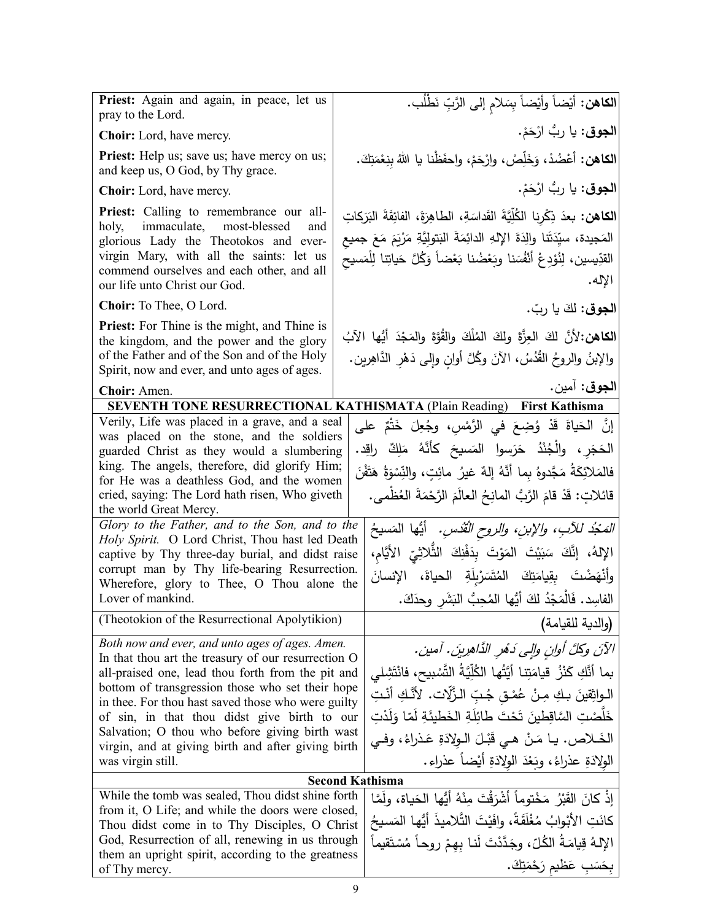| Priest: Again and again, in peace, let us<br>pray to the Lord.                                                                                                                                                                                                                                                                                                                                                                                                                                                                                                                                                                                                                                                                 | الكاهن: أيْضاً وأيْضاً بِسَلامِ إلى الرَّبِّ نَطْلُب.                                                                                                                                                                                                                                                                                                                                                   |  |
|--------------------------------------------------------------------------------------------------------------------------------------------------------------------------------------------------------------------------------------------------------------------------------------------------------------------------------------------------------------------------------------------------------------------------------------------------------------------------------------------------------------------------------------------------------------------------------------------------------------------------------------------------------------------------------------------------------------------------------|---------------------------------------------------------------------------------------------------------------------------------------------------------------------------------------------------------------------------------------------------------------------------------------------------------------------------------------------------------------------------------------------------------|--|
| <b>Choir:</b> Lord, have mercy.                                                                                                                                                                                                                                                                                                                                                                                                                                                                                                                                                                                                                                                                                                | ا <b>لجوق</b> : يا ربُّ ارْحَمْ.                                                                                                                                                                                                                                                                                                                                                                        |  |
| <b>Priest:</b> Help us; save us; have mercy on us;<br>and keep us, O God, by Thy grace.                                                                                                                                                                                                                                                                                                                                                                                                                                                                                                                                                                                                                                        | ا <b>لكاهن:</b> أعْضُدْ، وَخَلِّصْ، وارْحَمْ، واحفَظْنا يا اللهُ بِنِعْمَتِكَ.                                                                                                                                                                                                                                                                                                                          |  |
| <b>Choir:</b> Lord, have mercy.                                                                                                                                                                                                                                                                                                                                                                                                                                                                                                                                                                                                                                                                                                | ا <b>لجوق</b> : يا ربُّ ارْحَمْ.                                                                                                                                                                                                                                                                                                                                                                        |  |
| Priest: Calling to remembrance our all-<br>immaculate, most-blessed<br>holy,<br>and<br>glorious Lady the Theotokos and ever-<br>virgin Mary, with all the saints: let us<br>commend ourselves and each other, and all<br>our life unto Christ our God.                                                                                                                                                                                                                                                                                                                                                                                                                                                                         | ا <b>لكاهن:</b> بعدَ ذِكْرِنا الكُلِّيَّةَ القَداسَةِ، الطاهِرَةَ، الفائِقَةَ البَرَكاتِ<br>المَجيدة، سيِّدَتَنا والِدَةَ الإِلهِ الدائِمَةَ البَتولِيَّةِ مَرْيَمَ مَعَ جميع<br>القدِّيسين، لِنُؤدِعْ أَنْفُسَنا وبَعْضُنا بَعْضاً وَكُلَّ حَياتِنا لِلْمَسيح<br>الإله.                                                                                                                                |  |
| Choir: To Thee, O Lord.                                                                                                                                                                                                                                                                                                                                                                                                                                                                                                                                                                                                                                                                                                        | ا <b>لجوق</b> : لكَ يا ربّ.                                                                                                                                                                                                                                                                                                                                                                             |  |
| <b>Priest:</b> For Thine is the might, and Thine is<br>the kingdom, and the power and the glory<br>of the Father and of the Son and of the Holy<br>Spirit, now and ever, and unto ages of ages.                                                                                                                                                                                                                                                                                                                                                                                                                                                                                                                                | الكاهن: لأنَّ لكَ العِزَّةَ ولكَ المُلْكَ والقُوَّةَ والمَجْدَ أَيُّها الآبُ<br>والإبنُ والروحُ القُدُسُ، الآنَ وكُلَّ أوانِ وإلى دَهْرِ الدَّاهِرين.                                                                                                                                                                                                                                                   |  |
| Choir: Amen.                                                                                                                                                                                                                                                                                                                                                                                                                                                                                                                                                                                                                                                                                                                   | ا <b>لجوق</b> : آمين.<br>SEVENTH TONE RESURRECTIONAL KATHISMATA (Plain Reading) First Kathisma                                                                                                                                                                                                                                                                                                          |  |
| Verily, Life was placed in a grave, and a seal<br>إِنَّ الْحَياةَ قَدْ وُضِعَ في الرَّمْسِ، وجُعِلَ خَتْمٌ على<br>was placed on the stone, and the soldiers<br>الْحَجَرِ ، والْجُنْدُ حَرَسوا المَسيحَ كَأَنَّهُ مَلِكٌ راقِد.<br>guarded Christ as they would a slumbering<br>king. The angels, therefore, did glorify Him;<br>فالمَلائِكَةُ مَجَّدوهُ بما أنَّهُ إلهٌ غيرُ مائِتٍ، والنِّسْوَةُ هَتَفْنَ<br>for He was a deathless God, and the women<br>قائلاتٍ: قَدْ قامَ الرَّبُّ المانِحُ العالَمَ الرَّحْمَةَ العُظْمي.<br>cried, saying: The Lord hath risen, Who giveth<br>the world Great Mercy.<br>Glory to the Father, and to the Son, and to the<br>الصَّجْدُ للآبِ، والإبنِ، والروح القُدْسِ. ۚ أَيُّها المَسيحُ |                                                                                                                                                                                                                                                                                                                                                                                                         |  |
| Holy Spirit. O Lord Christ, Thou hast led Death<br>captive by Thy three-day burial, and didst raise<br>corrupt man by Thy life-bearing Resurrection.<br>Wherefore, glory to Thee, O Thou alone the<br>Lover of mankind.                                                                                                                                                                                                                                                                                                                                                                                                                                                                                                        | الإِلهُ، إِنَّكَ سَبَيْتَ الْمَوْتَ بِدَفْنِكَ الثُّلاثِيِّ الأَيَّامِ،<br>وأَنْهَضْتَ بِقِيامَتِكَ المُتَسَرْبِلَةِ الحياةَ، الإنسانَ<br>الفاسِد. فَالْمَجْدُ لَكَ أَيُّها المُحِبُّ النِّشَرِ وحدَكَ.                                                                                                                                                                                                 |  |
| (Theotokion of the Resurrectional Apolytikion)                                                                                                                                                                                                                                                                                                                                                                                                                                                                                                                                                                                                                                                                                 | (والدية للقيامة)                                                                                                                                                                                                                                                                                                                                                                                        |  |
| Both now and ever, and unto ages of ages. Amen.<br>In that thou art the treasury of our resurrection O<br>all-praised one, lead thou forth from the pit and<br>bottom of transgression those who set their hope<br>in thee. For thou hast saved those who were guilty<br>of sin, in that thou didst give birth to our<br>Salvation; O thou who before giving birth wast<br>virgin, and at giving birth and after giving birth<br>was virgin still.                                                                                                                                                                                                                                                                             | الآنَ وكُلَّ أُوانِ وإِلَى دَهْرِ الدَّاهِرِينَ. آمين.<br>بما أَنَّكِ كَنْزُ قيامَتِنا أَيَّتُها الكُلِّيَّةُ التَّسْبِيحِ، فانْتَشِلِّي<br>الــواثِقينَ بـكِ مِـنْ عُمْـق جُـبّ الـزَّلَات. لأَنَّـكِ أَنْـتِ<br>خَلَّصْتِ السَّاقِطينَ تَحْتَ طَائِلَةِ الخَطيئَةِ لَمّا وَلَدْتِ<br>الخَـلاص. يـا مَـنْ هـي قَبْـلَ الـولادَةِ عَـذراءُ، وفـي<br>الولادَةِ عذراءُ، وبَعْدَ الولادَةِ أَيْضاً عذراءٍ. |  |
| While the tomb was sealed, Thou didst shine forth                                                                                                                                                                                                                                                                                                                                                                                                                                                                                                                                                                                                                                                                              | <b>Second Kathisma</b>                                                                                                                                                                                                                                                                                                                                                                                  |  |
| from it, O Life; and while the doors were closed,<br>Thou didst come in to Thy Disciples, O Christ<br>God, Resurrection of all, renewing in us through<br>them an upright spirit, according to the greatness<br>of Thy mercy.                                                                                                                                                                                                                                                                                                                                                                                                                                                                                                  | إِذْ كَانَ الْقَبْرُ ۖ مَخْتوماً أَشْرَقْتَ مِنْهُ أَيُّها الْحَياة، ولَمَّا<br>كانَتِ الأَبْوابُ مُغْلَقَةً، وافَيْتَ التَّلاميذَ أَيُّها المَسيحُ<br>الإِلهُ قِيامَةُ الكُلِّ، وجَدَّدْتَ لَنا بهمْ روحاً مُسْتَقيماً<br>بِحَسَبِ عَظْيمِ رَحْمَتِكَ.                                                                                                                                                 |  |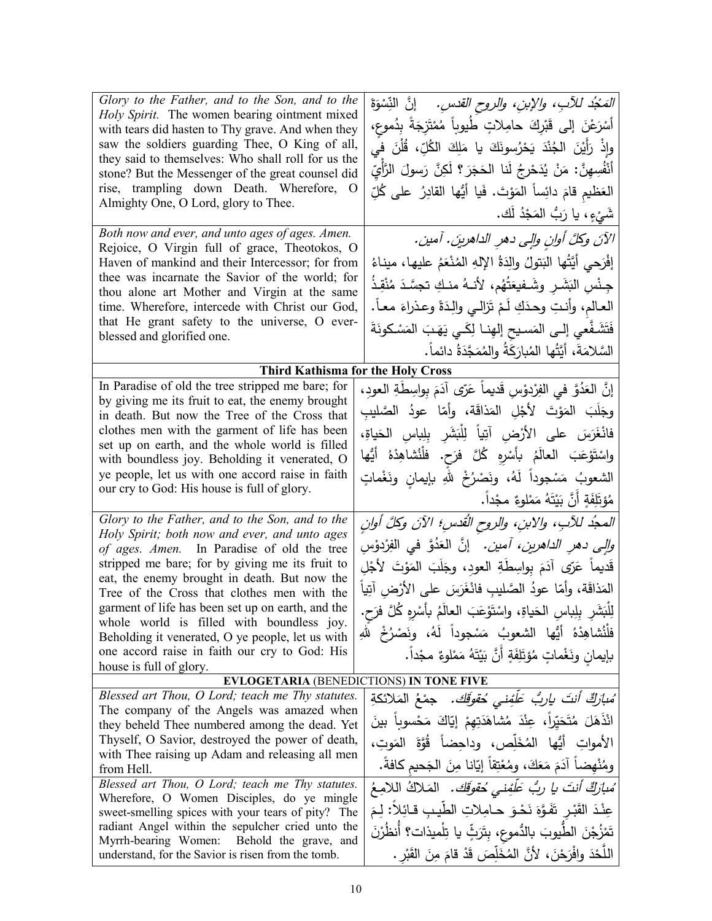| Glory to the Father, and to the Son, and to the<br>Holy Spirit. The women bearing ointment mixed<br>with tears did hasten to Thy grave. And when they<br>saw the soldiers guarding Thee, O King of all,<br>they said to themselves: Who shall roll for us the<br>stone? But the Messenger of the great counsel did<br>rise, trampling down Death. Wherefore, O<br>Almighty One, O Lord, glory to Thee.                                                                                                                             | الْمَجْدُ للآبِ، والإبنِ، والروح القدسِ.    إنَّ النِّسْوَةَ<br>أَسْرَعْنَ إِلَى قَبْرِكَ حامِلاتٍ طُيوباً مُمْتَزِجَةً بِدُموعٍ،<br>وإِذْ رَأَيْنَ الْجُنْدَ يَحْرُسونَكَ يا مَلِكَ الكُلِّ، قُلْنَ في<br>أَنْفُسِهِنَّ: مَنْ يُدَحْرِجُ لَنا الْحَجَرَ ؟ لَكِنَّ رَسولَ الرَّأْيِّ<br>العَظيم قامَ دائِساً المَوْتَ. فَيا أَيُّها القادِرُ  على كُلِّ<br>شَيْءٍ، يا رَبُّ المَجْدُ لَك.                                                                                      |  |
|------------------------------------------------------------------------------------------------------------------------------------------------------------------------------------------------------------------------------------------------------------------------------------------------------------------------------------------------------------------------------------------------------------------------------------------------------------------------------------------------------------------------------------|--------------------------------------------------------------------------------------------------------------------------------------------------------------------------------------------------------------------------------------------------------------------------------------------------------------------------------------------------------------------------------------------------------------------------------------------------------------------------------|--|
| Both now and ever, and unto ages of ages. Amen.<br>Rejoice, O Virgin full of grace, Theotokos, O<br>Haven of mankind and their Intercessor; for from<br>thee was incarnate the Savior of the world; for<br>thou alone art Mother and Virgin at the same<br>time. Wherefore, intercede with Christ our God,<br>that He grant safety to the universe, O ever-<br>blessed and glorified one.                                                                                                                                          | الآنَ وكلَّ أوانِ والِي دهرِ الداهرينَ. آمين.<br>إفْرَحي أَيَّتُها البَتولُ والِدَةُ الإِلهِ المُنْعَمُ عليها، ميناءُ<br>جِنْسِ النِّشَرِ وشَـفيعَتُهُم، لأنــهُ منـكِ تجسَّـدَ مُنْقِـذَ<br>العالم، وأنتِ وحدَكِ لَمْ تَزالـي والِدَةَ وعذراءَ معـاً.<br>فَتَشَفَّعي إلـى المَسـيح إلهِنــا لِكَــي يَهَـبَ المَسْـكونَةَ<br>السَّلامَةَ، أَيَّتُها المُبارَكَةُ والمُمَجَّدَةُ دائماً.                                                                                       |  |
|                                                                                                                                                                                                                                                                                                                                                                                                                                                                                                                                    | <b>Third Kathisma for the Holy Cross</b>                                                                                                                                                                                                                                                                                                                                                                                                                                       |  |
| In Paradise of old the tree stripped me bare; for<br>by giving me its fruit to eat, the enemy brought<br>in death. But now the Tree of the Cross that<br>clothes men with the garment of life has been<br>set up on earth, and the whole world is filled<br>with boundless joy. Beholding it venerated, O<br>ye people, let us with one accord raise in faith<br>our cry to God: His house is full of glory.                                                                                                                       | إِنَّ العَدُوَّ في الفِرْدوْسِ قَديماً عَرِّي آدَمَ بِواسِطَةِ العودِ،<br>وجَلَبَ المَوْتَ لأَجْلِ المَذاقَة، وأمّا عودُ الصَّليبِ<br>فانْغَرَسَ على الأرْضِ آتِياً لِلْبَشَرِ بِلِباسِ الحَياةِ،<br>واسْتَوْعَبَ العالَمُ بِأَسْرِهِ كُلَّ فَرَحٍ. فَلْنُشَاهِدْهُ أَيُّهَا<br>الشعوبُ مَسْجوداً لَهُ، ونَصْرُخْ للهِ بإيمان ونَغْماتٍ<br>ِ مُؤتَلِفَةٍ أَنَّ بَيْتَهُ مَمْلُومٌ مَجْداً.                                                                                     |  |
| Glory to the Father, and to the Son, and to the<br>Holy Spirit; both now and ever, and unto ages<br>of ages. Amen. In Paradise of old the tree<br>stripped me bare; for by giving me its fruit to<br>eat, the enemy brought in death. But now the<br>Tree of the Cross that clothes men with the<br>garment of life has been set up on earth, and the<br>whole world is filled with boundless joy.<br>Beholding it venerated, O ye people, let us with<br>one accord raise in faith our cry to God: His<br>house is full of glory. | المجدُ للآبِ، والإبنِ، والروح القُدسِ؛ الآنَ وكلَّ أوانِ<br><i>والى دهرِ الداهرين، آمين.</i> إنَّ العَدُوَّ في الفِرْدوْسِ<br>قَديماً عَرِّي آدَمَ بِواسِطَةِ العودِ، وجَلَبَ المَوْتَ لأجْلِ<br>المَذاقَة، وأمّا عودُ الصَّليبِ فانْغَرَسَ على الأرْضِ آتِياً<br>لِلْبَشَرِ بِلِبِاسِ الحَياةِ، واسْتَوْعَبَ العالَمُ بِأَسْرِهِ كُلَّ فرَحٍ.<br>فلْنُشاهِدْهُ أَيُّها الشعوبُ مَسْجوداً لَهُ، ونَصْرُخْ للهِ<br>بإيمان ونَغْماتٍ مُؤتَلِفَةٍ أَنَّ بَيْتَهُ مَمْلوءٌ مجْداً. |  |
| <b>EVLOGETARIA (BENEDICTIONS) IN TONE FIVE</b>                                                                                                                                                                                                                                                                                                                                                                                                                                                                                     |                                                                                                                                                                                                                                                                                                                                                                                                                                                                                |  |
| Blessed art Thou, O Lord; teach me Thy statutes.<br>The company of the Angels was amazed when<br>they beheld Thee numbered among the dead. Yet<br>Thyself, O Savior, destroyed the power of death,<br>with Thee raising up Adam and releasing all men<br>from Hell.<br>Blessed art Thou, O Lord; teach me Thy statutes.<br>Wherefore, O Women Disciples, do ye mingle<br>sweet-smelling spices with your tears of pity? The<br>radiant Angel within the sepulcher cried unto the                                                   | ُ <i>مْبازڭْ أَنتَ ياربُّ عَلَمِْنى حُقوقَك.</i> جمْعُ المَلائكةِ<br>انْذَهَلَ مُتَحَيِّراً، عِنْدَ مُشَاهَدَتِهِمْ إِيَّاكَ مَحْسوباً بينَ<br>الأمواتِ أَيُّها المُخَلِّص، وداحِضاً قُوَّةَ المَوتِ،<br>ومُنْهِضاً آدَمَ مَعَكَ، ومُعْتِقاً إيّانا مِنَ الجَحيم كافةً.<br>مُ <i>بارَكٌ أنتَ يا ربُّ عَلَّفِنى حُقوقَك.</i> المَلاكُ اللامِعُ<br>عِنْدَ القَبْرِ تَفَوَّهَ نَحْوَ حامِلاتِ الطَّيبِ قـائِلاً: لِـمَ                                                            |  |
| Myrrh-bearing Women: Behold the grave, and<br>understand, for the Savior is risen from the tomb.                                                                                                                                                                                                                                                                                                                                                                                                                                   | تَمْزُجْنَ الطَّيوبَ بالدُّموعِ، بِتَرَتٍّ يا تِلْميذات؟ أنظُرْنَ<br>اللَّحْدَ وافْرَحْنَ، لأَنَّ المُخَلِّصَ قَدْ قامَ مِنَ القَبْرِ .                                                                                                                                                                                                                                                                                                                                        |  |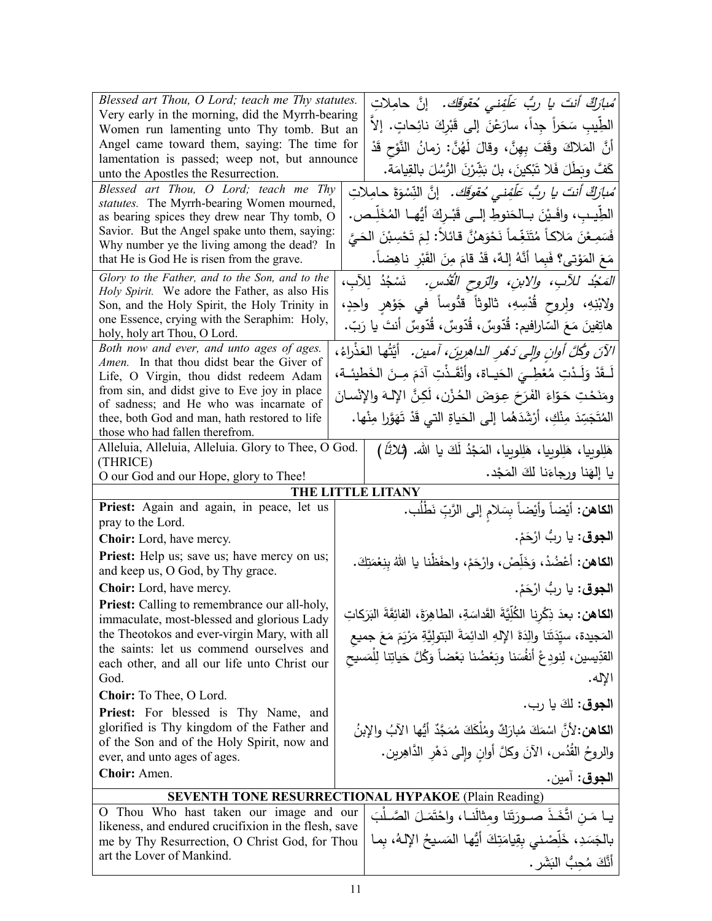| Blessed art Thou, O Lord; teach me Thy statutes.<br>Very early in the morning, did the Myrrh-bearing<br>Women run lamenting unto Thy tomb. But an<br>Angel came toward them, saying: The time for<br>lamentation is passed; weep not, but announce<br>unto the Apostles the Resurrection.<br>Blessed art Thou, O Lord; teach me Thy<br>statutes. The Myrrh-bearing Women mourned,<br>as bearing spices they drew near Thy tomb, O<br>Savior. But the Angel spake unto them, saying:<br>Why number ye the living among the dead? In<br>that He is God He is risen from the grave.<br>Glory to the Father, and to the Son, and to the<br>Holy Spirit. We adore the Father, as also His<br>Son, and the Holy Spirit, the Holy Trinity in<br>one Essence, crying with the Seraphim: Holy,<br>holy, holy art Thou, O Lord.<br>Both now and ever, and unto ages of ages. |  | مُ <i>بازڭ أنتَ يا ربُّ عَلَّفِنى حُقوقَك.</i> إنَّ حامِلاتِ<br>الطِّيبِ سَحَراً جِداً، سارَعْنَ إلى قَبْرِكَ نائِحاتٍ. إلاَّ<br>أَنَّ المَلاكَ وقَفَ بِهِنَّ، وقالَ لَهُنَّ: زمانُ النَّوْحِ قَدْ<br>كَفَّ وبَطَلَ فَلا تَبْكينَ، بلْ بَشِّرْنَ الرُّسُلَ بِالقِيامَة.<br>ُ <i>مبارَكٌ أنتَ يا ربُ عَلَّفِنى مُقوقَك.</i> إنَّ النِّسْوَةَ حامِلاتِ<br>الطِّيبِ، وافَـيْنَ بـالحَنوطِ إلــي قَبْـركَ أَيُّهـا المُخَلِّـص.<br>فَسَمِعْنَ مَلاكاً مُتَنَغِّماً نَحْوَهُنَّ قائلاً: لِمَ تَحْسِبْنَ الْحَيَّ<br>مَعَ المَوْتي؟ فَبِما أَنَّهُ إِلهٌ، قَدْ قامَ مِنَ القَبْرِ ناهِضاً.<br>الْمَجُدُ للآبِ، وإلابنِ، والرّوحِ الْقُدْسِ. ۚ نَسْجُدُ لِلآبِ،<br>ولابْنِهِ، ولروح قُدْسِهِ، ثالوثاً قدُّوساً في جَوْهرٍ واحِدٍ،<br>هاتِفينَ مَعَ السّارافيم: قُدّوسٌ، قُدّوسٌ، قُدّوسٌ أنتَ يا رَبّ.<br>الآنَ وكُلَّ أُولِنِ وإلى دَمُرِ الداهرِينَ، آمين. ۖ أَيَّتُها العَذْراءُ، |
|--------------------------------------------------------------------------------------------------------------------------------------------------------------------------------------------------------------------------------------------------------------------------------------------------------------------------------------------------------------------------------------------------------------------------------------------------------------------------------------------------------------------------------------------------------------------------------------------------------------------------------------------------------------------------------------------------------------------------------------------------------------------------------------------------------------------------------------------------------------------|--|-------------------------------------------------------------------------------------------------------------------------------------------------------------------------------------------------------------------------------------------------------------------------------------------------------------------------------------------------------------------------------------------------------------------------------------------------------------------------------------------------------------------------------------------------------------------------------------------------------------------------------------------------------------------------------------------------------------------------------------------------------------------------------------------------------------------------------------------------------------------------------|
| Amen. In that thou didst bear the Giver of<br>Life, O Virgin, thou didst redeem Adam<br>from sin, and didst give to Eve joy in place<br>of sadness; and He who was incarnate of<br>thee, both God and man, hath restored to life<br>those who had fallen therefrom.                                                                                                                                                                                                                                                                                                                                                                                                                                                                                                                                                                                                |  | لَـقَدْ وَلَـدْتِ مُعْطِـيَ الحَيـاة، وأَنْقَـذْتِ آدَمَ مِـنَ الخَطيئـة،<br>ومَنَحْتِ حَوّاءَ الفَرَحَ عِوَضَ الحُزْنِ، لَكِنَّ الإِلـهَ والإِنْسانَ<br>الْمُتَجَسِّدَ مِنْكِ، أَرْشَدَهُما إِلَى الْحَياةِ الَّتِي قَدْ تَهَوَّرا مِنْها.                                                                                                                                                                                                                                                                                                                                                                                                                                                                                                                                                                                                                                   |
| Alleluia, Alleluia, Alleluia. Glory to Thee, O God.<br>(THRICE)<br>O our God and our Hope, glory to Thee!                                                                                                                                                                                                                                                                                                                                                                                                                                                                                                                                                                                                                                                                                                                                                          |  | هَلِلوبِيا، هَلِلوبِيا، هَلِلوبِيا، المَجْدُ لَكَ يا الله. (ثلاثًا )<br>يا إلهَنا ورجاءَنا لكَ المَجْد.                                                                                                                                                                                                                                                                                                                                                                                                                                                                                                                                                                                                                                                                                                                                                                       |
|                                                                                                                                                                                                                                                                                                                                                                                                                                                                                                                                                                                                                                                                                                                                                                                                                                                                    |  | THE LITTLE LITANY                                                                                                                                                                                                                                                                                                                                                                                                                                                                                                                                                                                                                                                                                                                                                                                                                                                             |
| Priest: Again and again, in peace, let us<br>pray to the Lord.                                                                                                                                                                                                                                                                                                                                                                                                                                                                                                                                                                                                                                                                                                                                                                                                     |  | ا <b>لكاهن:</b> أيْضاً وأيْضاً بِسَلامِ إلى الرَّبِّ نَطْلُب.                                                                                                                                                                                                                                                                                                                                                                                                                                                                                                                                                                                                                                                                                                                                                                                                                 |
| Choir: Lord, have mercy.                                                                                                                                                                                                                                                                                                                                                                                                                                                                                                                                                                                                                                                                                                                                                                                                                                           |  | ا <b>لجوق</b> : يا ربُّ ارْحَمْ.                                                                                                                                                                                                                                                                                                                                                                                                                                                                                                                                                                                                                                                                                                                                                                                                                                              |
| Priest: Help us; save us; have mercy on us;<br>and keep us, O God, by Thy grace.                                                                                                                                                                                                                                                                                                                                                                                                                                                                                                                                                                                                                                                                                                                                                                                   |  | الكاهن: أعْضُدْ، وَخَلِّصْ، وارْحَمْ، واحفَظْنا يا اللهُ بِنِعْمَتِكَ.                                                                                                                                                                                                                                                                                                                                                                                                                                                                                                                                                                                                                                                                                                                                                                                                        |
| <b>Choir:</b> Lord, have mercy.                                                                                                                                                                                                                                                                                                                                                                                                                                                                                                                                                                                                                                                                                                                                                                                                                                    |  | ا <b>لجوق</b> : يا ربُّ ارْحَمْ.                                                                                                                                                                                                                                                                                                                                                                                                                                                                                                                                                                                                                                                                                                                                                                                                                                              |
| <b>Priest:</b> Calling to remembrance our all-holy,<br>immaculate, most-blessed and glorious Lady<br>the Theotokos and ever-virgin Mary, with all<br>the saints: let us commend ourselves and<br>each other, and all our life unto Christ our<br>God.                                                                                                                                                                                                                                                                                                                                                                                                                                                                                                                                                                                                              |  | الكاهن: بعدَ ذِكْرِنا الكُلِّيَّةَ القَداسَةِ، الطاهِرَةَ، الفائِقَةَ البَرَكاتِ<br>المَجيدة، سيِّدَتَنا والِدَةَ الإِلهِ الدائِمَةَ البَتولِيَّةِ مَرْيَمَ مَعَ جميع<br>القدِّيسين، لِنودعْ أَنفُسَنا ويَعْضُنا بَعْضاً وَكُلَّ حَياتِنا للِّمَسيح<br>الإله.                                                                                                                                                                                                                                                                                                                                                                                                                                                                                                                                                                                                                 |
| Choir: To Thee, O Lord.                                                                                                                                                                                                                                                                                                                                                                                                                                                                                                                                                                                                                                                                                                                                                                                                                                            |  | ا <b>لجوق:</b> لكَ يا رب.                                                                                                                                                                                                                                                                                                                                                                                                                                                                                                                                                                                                                                                                                                                                                                                                                                                     |
| <b>Priest:</b> For blessed is Thy Name, and<br>glorified is Thy kingdom of the Father and<br>of the Son and of the Holy Spirit, now and<br>ever, and unto ages of ages.<br>Choir: Amen.                                                                                                                                                                                                                                                                                                                                                                                                                                                                                                                                                                                                                                                                            |  | ا <b>لكاهن:</b> لأنَّ اسْمَكَ مُبارَكٌ ومُلْكَكَ مُمَجَّدٌ أَيُّها الآبُ والإِبنُ<br>والروحُ القُدُس، الآنَ وكلَّ أوانِ وإلى دَهْرِ الدَّاهِرينِ.<br>الجوق: آمين.                                                                                                                                                                                                                                                                                                                                                                                                                                                                                                                                                                                                                                                                                                             |
| <b>SEVENTH TONE RESURRECTIONAL HYPAKOE (Plain Reading)</b>                                                                                                                                                                                                                                                                                                                                                                                                                                                                                                                                                                                                                                                                                                                                                                                                         |  |                                                                                                                                                                                                                                                                                                                                                                                                                                                                                                                                                                                                                                                                                                                                                                                                                                                                               |
| O Thou Who hast taken our image and our<br>likeness, and endured crucifixion in the flesh, save<br>me by Thy Resurrection, O Christ God, for Thou<br>art the Lover of Mankind.                                                                                                                                                                                                                                                                                                                                                                                                                                                                                                                                                                                                                                                                                     |  | يـا مَـن اتَّخَـذَ صــورَتَنا ومثالَنـا، واحْتَمَـلَ الصَّـلبَ<br>بالجَسَدِ، خَلِّصْني بقِيامَتِكَ أَيُّها المَسيحُ الإِلهُ، بما<br>أَنَّكَ مُحِبُّ الْبَشَرِ .                                                                                                                                                                                                                                                                                                                                                                                                                                                                                                                                                                                                                                                                                                               |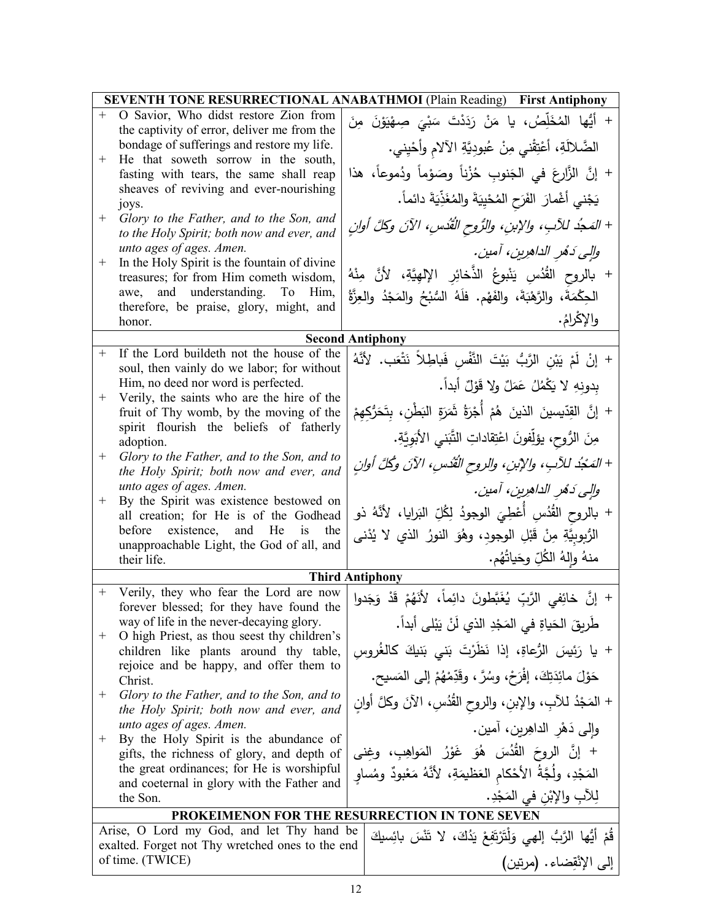|        | <b>SEVENTH TONE RESURRECTIONAL ANABATHMOI</b> (Plain Reading) First Antiphony                 |                                                                            |  |  |
|--------|-----------------------------------------------------------------------------------------------|----------------------------------------------------------------------------|--|--|
| $^{+}$ | O Savior, Who didst restore Zion from                                                         | + أَيُّها الْمُخَلِّصُ، يا مَنْ رَدَدْتَ سَبْيَ صِهْيَوْنَ مِنَ            |  |  |
|        | the captivity of error, deliver me from the                                                   |                                                                            |  |  |
| $^{+}$ | bondage of sufferings and restore my life.<br>He that soweth sorrow in the south,             | الضَّلالَةِ، أَعْتِقْني مِنْ عُبودِيَّةِ الآلامِ وأَحْيِني.                |  |  |
|        | fasting with tears, the same shall reap                                                       | + إنَّ الزَّارعَ في الجَنوبِ حُزْناً وصَوْماً ودُموعاً، هذا                |  |  |
|        | sheaves of reviving and ever-nourishing<br>joys.                                              | يَجْني أَغْمارَ الفَرَحِ المُحْيِيَةَ والمُغَذِّيَةَ دائماً.               |  |  |
| $^+$   | Glory to the Father, and to the Son, and<br>to the Holy Spirit; both now and ever, and        | + المَجْدُ للآبِ، والإبنِ، والرُّوحِ الْقُدْسِ، الآنَ وكلَّ أُوانٍ         |  |  |
|        | unto ages of ages. Amen.                                                                      | والِي دَهُرِ الداهِرِينِ، آمينِ.                                           |  |  |
| $^{+}$ | In the Holy Spirit is the fountain of divine                                                  | + بالروح القُدُسِ يَنْبوعُ الذَّخائِرِ الإِلهِيَّةِ، لأنَّ مِنْهُ          |  |  |
|        | treasures; for from Him cometh wisdom,<br>awe, and understanding. To Him,                     |                                                                            |  |  |
|        | therefore, be praise, glory, might, and                                                       | الحِكْمَةُ، والرَّهْبَةَ، والفَهْم. فلَهُ السُّبْحُ والمَجْدُ والعِزَّةُ   |  |  |
|        | honor.                                                                                        | والإكْرامُ.                                                                |  |  |
|        |                                                                                               | <b>Second Antiphony</b>                                                    |  |  |
| $+$    | If the Lord buildeth not the house of the<br>soul, then vainly do we labor; for without       | + إِنْ لَمْ يَبْنِ الرَّبُّ بَيْتَ النَّفْسِ فَباطِلاً نَتْعَب. لأَنَّهُ   |  |  |
|        | Him, no deed nor word is perfected.                                                           | بِدونِهِ لا يَكْمُلُ عَمَلٌ ولا قَوْلٌ أبداً.                              |  |  |
| $^{+}$ | Verily, the saints who are the hire of the<br>fruit of Thy womb, by the moving of the         | + إنَّ القِدّيسينَ الذينَ هُمْ أُجْرَةُ ثَمَرَةٍ النَطْنِ، بِتَحَرُّكِهِمْ |  |  |
|        | spirit flourish the beliefs of fatherly                                                       | مِنَ الرُّوحِ، يؤلِّفونَ اعْتِقاداتِ التَّبَنيِ الأُبَوِيَّةِ.             |  |  |
|        | adoption.                                                                                     |                                                                            |  |  |
| $^+$   | Glory to the Father, and to the Son, and to<br>the Holy Spirit; both now and ever, and        | + المَجْدُ للآبِ، والإبنِ، والروح القُدْسِ، الآنَ وكُلَّ أُوانٍ            |  |  |
|        | unto ages of ages. Amen.                                                                      | والِي دَهْرِ الداهِرِينِ، آمينِ.                                           |  |  |
| $^+$   | By the Spirit was existence bestowed on<br>all creation; for He is of the Godhead             | + بالروح القُدُسِ أَعْطِيَ الوجودُ لِكُلِّ البَرايا، لأنَّهُ ذو            |  |  |
|        | before existence, and He is the<br>unapproachable Light, the God of all, and                  | الرُّبوبِيَّةِ مِنْ قَبْلِ الوجودِ، وهُوَ النورُ الذي لا يُذنى             |  |  |
|        | their life.                                                                                   | منهُ وإِلهُ الكُلِّ وحَياتُهُم.                                            |  |  |
|        |                                                                                               | <b>Third Antiphony</b>                                                     |  |  |
| $+$    | Verily, they who fear the Lord are now<br>forever blessed; for they have found the            | + إِنَّ خائِفي الرَّبِّ يُغَبَّطونَ دائِماً، لأَنَهُمْ قَدْ وَجَدوا        |  |  |
|        | way of life in the never-decaying glory.                                                      | طْرِيقَ الحَياةِ في المَجْدِ الذي لَنْ يَبْلَى أَبِداً.                    |  |  |
| $^+$   | O high Priest, as thou seest thy children's<br>children like plants around thy table,         | + يا رَئِيسَ الرُّعاةِ، إذا نَظَرْتَ بَني بَنيكَ كالغُروسِ                 |  |  |
|        | rejoice and be happy, and offer them to<br>Christ.                                            | حَوْلَ مائِدَتِكَ، إفْرَحْ، وسُرَّ ، وقَدِّمْهُمْ إلى المَسيح.             |  |  |
| $^{+}$ | Glory to the Father, and to the Son, and to                                                   | + المَجْدُ للأبِ، والإبنِ، والروح القُدُسِ، الآنَ وكلَّ أوانِ              |  |  |
|        | the Holy Spirit; both now and ever, and<br>unto ages of ages. Amen.                           | وإلى دَهْرِ الداهِرِينِ، آمينِ.                                            |  |  |
| $^+$   | By the Holy Spirit is the abundance of                                                        |                                                                            |  |  |
|        | gifts, the richness of glory, and depth of                                                    | + إنَّ الروحَ القُدُسَ هُوَ غَوْرُ المَواهِبِ، وغنى                        |  |  |
|        | the great ordinances; for He is worshipful<br>and coeternal in glory with the Father and      | المَجْدِ، ولَجَّةُ الأَحْكام العَظيمَةِ، لأَنَّهُ مَعْبودٌ ومُساو          |  |  |
|        | the Son.                                                                                      | لِلآبِ والإِبْنِ في المَجْدِ.                                              |  |  |
|        |                                                                                               | PROKEIMENON FOR THE RESURRECTION IN TONE SEVEN                             |  |  |
|        | Arise, O Lord my God, and let Thy hand be<br>exalted. Forget not Thy wretched ones to the end | قُمْ أَيُّها الرَّبُّ إلهي وَلْتَرْتَفِعْ يَدُكَ، لا تَنْسَ بِائِسيكَ      |  |  |
|        | of time. (TWICE)                                                                              | إلى الإنْقِضاء. (مرتين)                                                    |  |  |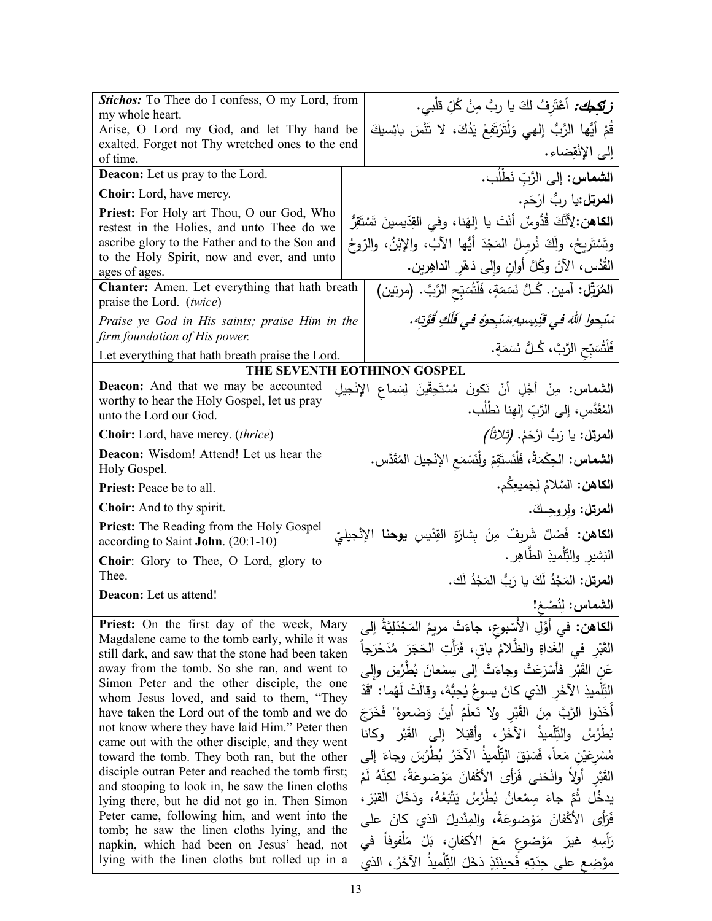| <b>Stichos:</b> To Thee do I confess, O my Lord, from                                                 |  | <b><i>زِنْكَـجْكَ:</i></b> أَعْتَرِفُ لَكَ يا رِبُّ مِنْ كُلِّ قَلْبِي.             |  |
|-------------------------------------------------------------------------------------------------------|--|-------------------------------------------------------------------------------------|--|
| my whole heart.                                                                                       |  |                                                                                     |  |
| Arise, O Lord my God, and let Thy hand be<br>exalted. Forget not Thy wretched ones to the end         |  | قُمْ أَيُّها الرَّبُّ إلهي وَلْتَرْتَفِعْ يَذُكَ، لا تَنْسَ بائِسيكَ                |  |
| of time.                                                                                              |  | إلى الإنْقِضاء.                                                                     |  |
| <b>Deacon:</b> Let us pray to the Lord.                                                               |  | ا <b>لشماس:</b> إلى الرَّبّ نَطْلُب.                                                |  |
| <b>Choir:</b> Lord, have mercy.                                                                       |  | ا <b>لمرتل:</b> يا ربُّ ارْحَم.                                                     |  |
| <b>Priest:</b> For Holy art Thou, O our God, Who                                                      |  | ا <b>لكاهن:</b> 'لِأَنَّكَ قُدُّوسٌ أَنْتَ يا إِلهَنا، وفي القِدّيسينَ تَسْتَقِرُّ  |  |
| restest in the Holies, and unto Thee do we                                                            |  |                                                                                     |  |
| ascribe glory to the Father and to the Son and<br>to the Holy Spirit, now and ever, and unto          |  | وتَسْتَرِيحُ، ولَكَ نُرسِلُ المَجْدَ أَيُّها الآبُ، والإِبْنُ، والرّوحُ             |  |
| ages of ages.                                                                                         |  | الْقُدُس، الآنَ وكُلَّ أُوانٍ وإِلَى دَهْرِ الداهِرِينِ.                            |  |
| <b>Chanter:</b> Amen. Let everything that hath breath<br>praise the Lord. (twice)                     |  | المُرَبِّل: آمين. كُـلُّ نَسَمَةٍ، فَلْتُسَبِّحِ الرَّبَّ. (مرتين)                  |  |
| Praise ye God in His saints; praise Him in the                                                        |  | سَبْحوا اللهَ في قَدِيسيهِ سَبْحوهُ في فَلَكِ قُوَّتِه .                            |  |
| firm foundation of His power.                                                                         |  |                                                                                     |  |
| Let everything that hath breath praise the Lord.                                                      |  | فَلْتُسَبِّحِ الرَّبَّ، كُـلُّ نَسَمَةٍ.                                            |  |
|                                                                                                       |  | THE SEVENTH EOTHINON GOSPEL                                                         |  |
| <b>Deacon:</b> And that we may be accounted<br>worthy to hear the Holy Gospel, let us pray            |  | ا <b>لشماس:</b> مِنْ أَجْلِ أَنْ نَكونَ مُسْتَحِقِّينَ لِسَماعِ الإِنْجِيلِ         |  |
| unto the Lord our God.                                                                                |  | المُقَدَّس، إلى الرَّبِّ إلهِنا نَطْلُب.                                            |  |
| <b>Choir:</b> Lord, have mercy. <i>(thrice)</i>                                                       |  | ا <b>لمرتل:</b> يا رَبُّ ارْحَمْ. <i>(ثلاثاً)</i>                                   |  |
| Deacon: Wisdom! Attend! Let us hear the<br>Holy Gospel.                                               |  | <b>الشماس:</b> الحِكْمَةُ، فَلْنَستَقِمْ ولْنَسْمَع الإِنْجيلَ المُقَدَّس.          |  |
| <b>Priest:</b> Peace be to all.                                                                       |  | ا <b>لكاهن:</b> السَّلامُ لِجَميعِكُم.                                              |  |
| <b>Choir:</b> And to thy spirit.                                                                      |  | المرتل: ولروجكَ.                                                                    |  |
| <b>Priest:</b> The Reading from the Holy Gospel<br>according to Saint John. (20:1-10)                 |  | ا <b>لكاهن:</b> فَصْلٌ شَرِيفٌ مِنْ بِشارَةِ القِدّيسِ <b>يوحنا</b> الإنْجيليّ      |  |
| Choir: Glory to Thee, O Lord, glory to                                                                |  | الْبَشْيْرِ وْالتِّلْمِيْذِ الطَّاهِرِ .                                            |  |
| Thee.                                                                                                 |  | ا <b>لمرتل:</b> المَجْدُ لَكَ يا رَبُّ المَجْدُ لَك.                                |  |
| Deacon: Let us attend!                                                                                |  | الشماس: لِنُصْـغ!                                                                   |  |
|                                                                                                       |  |                                                                                     |  |
| Priest: On the first day of the week, Mary<br>Magdalene came to the tomb early, while it was          |  | ا <b>لكاهن:</b> في أوَّلِ الأسْبوعِ، جاءَتْ مريمُ المَجْدَلِيَّةُ إلى               |  |
| still dark, and saw that the stone had been taken                                                     |  | القَبْرِ  في  الغَداةِ والظَّلامُ باقِ، فَرَأْتِ  الحَجَرَ  مُدَحْرَجاً             |  |
| away from the tomb. So she ran, and went to                                                           |  | عَنِ القَبْرِ فَأَسْرَعَتْ وجاءَتْ إِلَى سِمْعانَ بُطْرُسَ والِي                    |  |
| Simon Peter and the other disciple, the one                                                           |  | النِّلْميذِ الآخَرِ  الذي كانَ يسوعُ يُحِبُّهُ، وقالَتْ لَهُما: "قَدْ               |  |
| whom Jesus loved, and said to them, "They<br>have taken the Lord out of the tomb and we do            |  | أَخَذُوا الرَّبَّ مِنَ القَبْرِ ولا نَعلَمُ أَينَ وَضَعوهُ" فَخَرَجَ                |  |
| not know where they have laid Him." Peter then                                                        |  | بُطْرُسُ والتِّلْميذُ الآخَرُ، وأقبَلا إلى القَبْرِ وكانا                           |  |
| came out with the other disciple, and they went                                                       |  |                                                                                     |  |
| toward the tomb. They both ran, but the other                                                         |  | مُسْرِعَيْنِ مَعاً، فَسَبَقَ النِّلْميذُ الآخَرُ بُطْرُسَ وجاءَ إلى                 |  |
| disciple outran Peter and reached the tomb first;<br>and stooping to look in, he saw the linen cloths |  | القَبْرِ   أُولاً   وانْحَنى   فَرَأَى   الأَكْفانَ   مَوْضوعَةً،   لكِنَّهُ   لَمْ |  |
| lying there, but he did not go in. Then Simon                                                         |  | يدخُل ثُمَّ جاءَ سِمْعانُ بُطْرُسُ يَتْبَعُهُ، ودَخَلَ القبْرَ،                     |  |
| Peter came, following him, and went into the                                                          |  | فَرَأَى الأَكْفَانَ مَوْضوعَةً، والمِنْديلَ الذي كَانَ على                          |  |
| tomb; he saw the linen cloths lying, and the<br>napkin, which had been on Jesus' head, not            |  | رَأْسِهِ غيرَ مَوْضوعٍ مَعَ الأَكفانِ، بَلْ مَلْفوفاً في                            |  |
| lying with the linen cloths but rolled up in a                                                        |  | مؤضِعٍ على حِدَتِهِ فَحينَئِذٍ دَخَلَ النِّلْميذُ الآخَرُ ، الذي                    |  |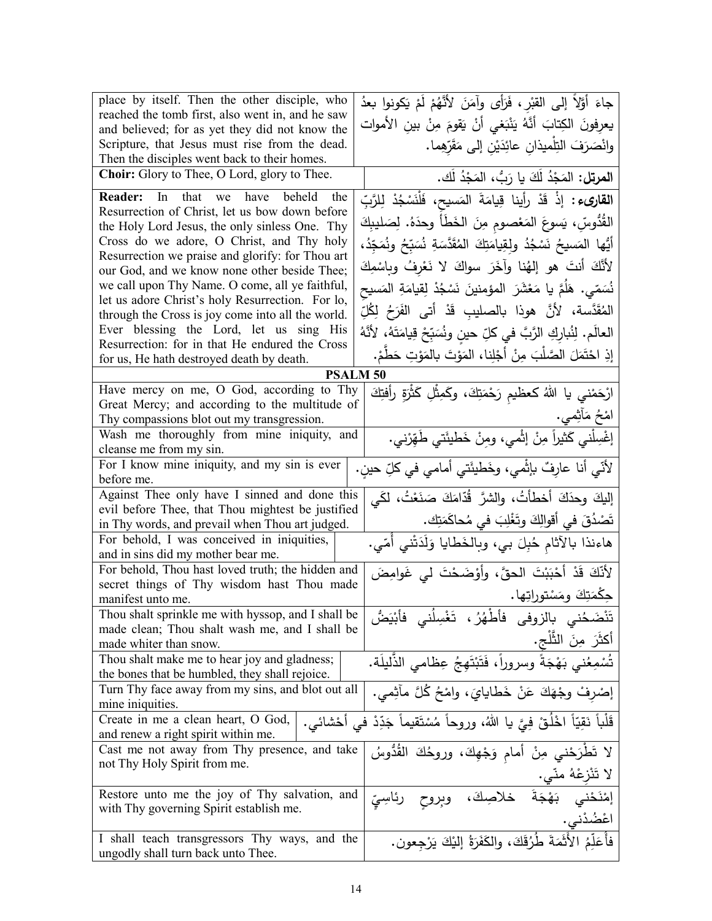| place by itself. Then the other disciple, who                                                      | جاءَ أَوَّلاً إلى القَبْرِ ، فَرَأَى وآمَنَ لأَنَّهُمْ لَمْ يَكُونُوا بَعْدُ      |  |
|----------------------------------------------------------------------------------------------------|-----------------------------------------------------------------------------------|--|
| reached the tomb first, also went in, and he saw<br>and believed; for as yet they did not know the | يعرِفونَ الكِتابَ أَنَّهُ يَنْبَغي أَنْ يَقومَ مِنْ بينِ الأموات                  |  |
| Scripture, that Jesus must rise from the dead.                                                     | وانْصَرَفَ النِّلْميذان عائِدَيْنِ إِلَى مَقَرِّهِما.                             |  |
| Then the disciples went back to their homes.                                                       |                                                                                   |  |
| <b>Choir:</b> Glory to Thee, O Lord, glory to Thee.                                                | ا <b>لمرتل:</b> المَجْدُ لَكَ يا رَبُّ، المَجْدُ لَك.                             |  |
| <b>Reader:</b> In that we have beheld<br>the                                                       | ا <b>لقارىء :</b> إذْ قَدْ رأينا قِيامَةَ المَسيح، فَلْنَسْجُدْ لِلرَّبِّ         |  |
| Resurrection of Christ, let us bow down before                                                     |                                                                                   |  |
| the Holy Lord Jesus, the only sinless One. Thy                                                     | القُدُّوسِّ، يَسوعَ المَعْصومِ مِنَ الخَطَأَ وحدَهُ. لِصَليبِكَ                   |  |
| Cross do we adore, O Christ, and Thy holy                                                          | أَيُّها المَسيحُ نَسْجُدُ ولقِيامَتِكَ المُقَدَّسَةِ نُسَبِّحُ ونُمَجِّدُ،        |  |
| Resurrection we praise and glorify: for Thou art                                                   |                                                                                   |  |
| our God, and we know none other beside Thee;                                                       | لأَنَّكَ أَنتَ هو إلهُنا وآخَرَ سواكَ لا نَعْرِفُ وبِاسْمِكَ                      |  |
| we call upon Thy Name. O come, all ye faithful,                                                    | نُسَمّى. هَلَمَّ يا مَعْشَرَ المؤمنينَ نَسْجُدْ لِقيامَةِ المَسيح                 |  |
| let us adore Christ's holy Resurrection. For lo,                                                   | المُقَدَّسة، لأنَّ هوذا بالصليبِ قَدْ أتى الفَرَحُ لِكُلِّ                        |  |
| through the Cross is joy come into all the world.<br>Ever blessing the Lord, let us sing His       |                                                                                   |  |
| Resurrection: for in that He endured the Cross                                                     | العالَم. لِنُبارِكِ الرَّبَّ في كلِّ حينٍ ونُسَبِّحْ قِيامَتَهُ، لأَنَّهُ         |  |
| for us, He hath destroyed death by death.                                                          | إِذِ احْتَمَلَ الصَّلْبَ مِنْ أَجْلِنا، المَوْتَ بالمَوْتِ حَطَّمْ.               |  |
|                                                                                                    | <b>PSALM 50</b>                                                                   |  |
| Have mercy on me, O God, according to Thy                                                          | ارْحَمْني يا اللهُ كعظيمِ رَحْمَتِكَ، وكَمِثْلِ كَثْرَةِ رأفتِكَ                  |  |
| Great Mercy; and according to the multitude of                                                     |                                                                                   |  |
| Thy compassions blot out my transgression.                                                         | امْحُ مَأْثِمي.                                                                   |  |
| Wash me thoroughly from mine iniquity, and                                                         | إغْسِلْني كَثيراً مِنْ إثْمي، ومِنْ خَطْيَنَتي طَهِّرْني.                         |  |
| cleanse me from my sin.                                                                            |                                                                                   |  |
| For I know mine iniquity, and my sin is ever                                                       | لأنّي أنا عارِفٌ بإثْمي، وخَطيئَتي أمامي في كلِّ حينٍ.                            |  |
| before me.                                                                                         |                                                                                   |  |
| Against Thee only have I sinned and done this<br>evil before Thee, that Thou mightest be justified | إليكَ وحدَكَ أخطأتُ، والشرَّ قُدّامَكَ صَنَعْتُ، لكَي                             |  |
| in Thy words, and prevail when Thou art judged.                                                    | تَصْدُقَ في أقوالِكَ وتَغْلِبَ في مُحاكَمَتِك.                                    |  |
| For behold, I was conceived in iniquities,                                                         | هاءنذا بالآثام حُبِلَ بي، وبالخَطايا وَلَدَتْني أُمّي.                            |  |
| and in sins did my mother bear me.                                                                 |                                                                                   |  |
| For behold, Thou hast loved truth; the hidden and                                                  | لِأَنَّكَ قَدْ أَحْبَبْتَ الْحقَّ، وأَوْضَحْتَ لَي غَوامِضَ                       |  |
| secret things of Thy wisdom hast Thou made                                                         |                                                                                   |  |
| manifest unto me.                                                                                  | جِكْمَتِكَ ومَسْتوراتِها.                                                         |  |
| Thou shalt sprinkle me with hyssop, and I shall be                                                 | تَنْضَحُني بالزوفى فأطْهُرُ ، تَغْسِلُنى فأبْيَضُّ                                |  |
| made clean; Thou shalt wash me, and I shall be                                                     | أكثَرَ مِنَ الثَّلْجِ.                                                            |  |
| made whiter than snow.<br>Thou shalt make me to hear joy and gladness;                             |                                                                                   |  |
| the bones that be humbled, they shall rejoice.                                                     | تُسْمِعُني بَهْجَةً وسروراً، فَتَبْتَهجُ عِظامي الذَّليلَة.                       |  |
| Turn Thy face away from my sins, and blot out all                                                  | إِصْرِفْ وِجْهَكَ عَنْ خَطَايَايَ، وَلِمْحُ كُلَّ مآثِمي.                         |  |
| mine iniquities.                                                                                   |                                                                                   |  |
| Create in me a clean heart, O God,                                                                 | قَلْباً نَقِيّاً اخْلُقْ فِيَّ يا اللهُ، وروحاً مُسْتَقيماً جَدِّدْ فَي أَحْشائي. |  |
| and renew a right spirit within me.                                                                |                                                                                   |  |
| Cast me not away from Thy presence, and take                                                       | لا تَطْرَحْني مِنْ أمام وَجْهِكَ، وروحُكَ القُدُّوسُ                              |  |
| not Thy Holy Spirit from me.                                                                       |                                                                                   |  |
|                                                                                                    |                                                                                   |  |
| Restore unto me the joy of Thy salvation, and                                                      | لا تَنْزِعْهُ منّي.<br>إمْنَحْني بَهْجَةَ خلاصِكَ، وبِروحِ                        |  |
| with Thy governing Spirit establish me.                                                            | اعْضُدْني.                                                                        |  |
| I shall teach transgressors Thy ways, and the                                                      | فأُعَلِّمُ الْأَثَمَةَ طَٰرُقَكَ، والكَفَرَةُ إِلَيْكَ يَرْجِعون.                 |  |
| ungodly shall turn back unto Thee.                                                                 |                                                                                   |  |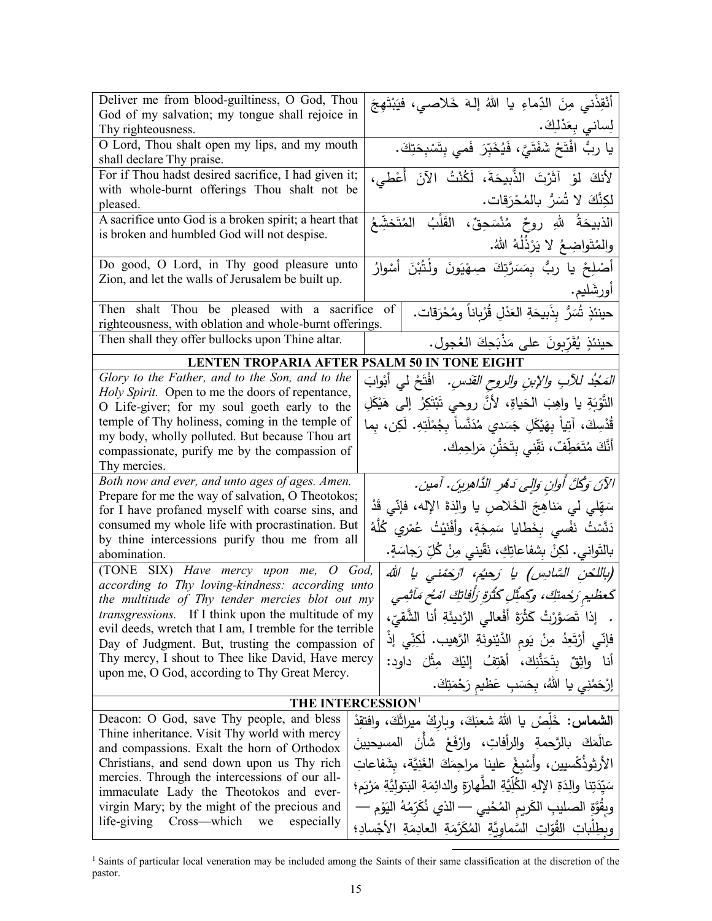| Deliver me from blood-guiltiness, O God, Thou                                                                                                                                       | أَنْقِذْني مِنَ الدِّماءِ يا اللهُ إلهَ خَلاصي، فيَبْتَهِجَ             |  |  |
|-------------------------------------------------------------------------------------------------------------------------------------------------------------------------------------|-------------------------------------------------------------------------|--|--|
| God of my salvation; my tongue shall rejoice in                                                                                                                                     | لِساني بِعَدْلِكَ.                                                      |  |  |
| Thy righteousness.                                                                                                                                                                  |                                                                         |  |  |
| O Lord, Thou shalt open my lips, and my mouth<br>shall declare Thy praise.                                                                                                          | يا ربُّ افْتَحْ شَفَتَيَّ، فَيُخَبِّرَ فَمي بِتَسْبِحَتِكَ.             |  |  |
| For if Thou hadst desired sacrifice, I had given it;                                                                                                                                |                                                                         |  |  |
| with whole-burnt offerings Thou shalt not be                                                                                                                                        | لأنكَ لَوْ آثَرْتَ الذَّبِيحَةَ، لَكُنْتُ الآنَ أُعْطَى،                |  |  |
| pleased.                                                                                                                                                                            | لكِنَّكَ لا تُسَرُّ بالمُحْرَقات.                                       |  |  |
| A sacrifice unto God is a broken spirit; a heart that                                                                                                                               | الذبيحَةُ للهِ روحٌ مُنْسَحِقٌ، القَلْبُ المُتَخشِّعُ                   |  |  |
| is broken and humbled God will not despise.                                                                                                                                         |                                                                         |  |  |
|                                                                                                                                                                                     | والمُتَواضِعُ لا يَرْذُلُهُ اللهُ.                                      |  |  |
| Do good, O Lord, in Thy good pleasure unto                                                                                                                                          | أَصْلِحْ يا ربُّ بِمَسَرَّتِكَ صِهْيَونَ ولْمَتُبْنَ أَسْوارُ           |  |  |
| Zion, and let the walls of Jerusalem be built up.                                                                                                                                   |                                                                         |  |  |
|                                                                                                                                                                                     | أورشَليم.                                                               |  |  |
| Then shalt Thou be pleased with a sacrifice of                                                                                                                                      | حينئذٍ شُرٌّرٍ بِذَبِيحَةِ العَدْلِ قُرْبِاناً ومُحْرَقات.              |  |  |
| righteousness, with oblation and whole-burnt offerings.                                                                                                                             |                                                                         |  |  |
| Then shall they offer bullocks upon Thine altar.                                                                                                                                    | حينئذٍ يُقَرّبونَ على مَذْبَحِكَ العُجولِ.                              |  |  |
| <b>LENTEN TROPARIA AFTER PSALM 50 IN TONE EIGHT</b>                                                                                                                                 |                                                                         |  |  |
| Glory to the Father, and to the Son, and to the                                                                                                                                     | <i>المَعْبُد للأبِ والإبنِ والروح القدّسِ.</i> افْتَحْ لمي أبْوابَ      |  |  |
| Holy Spirit. Open to me the doors of repentance,                                                                                                                                    |                                                                         |  |  |
| O Life-giver; for my soul goeth early to the                                                                                                                                        | النَّوْبَةِ يا واهِبَ الحَياةِ، لأنَّ روحي تَبْتَكِرُ إلى هَيْكَلِ      |  |  |
| temple of Thy holiness, coming in the temple of<br>قُدْسِكَ، آتِياً بِهَيْكَلِ جَسَدي مُدَنَّساً بِجُمْلَتِهِ. لَكِن، بِما                                                          |                                                                         |  |  |
| my body, wholly polluted. But because Thou art                                                                                                                                      |                                                                         |  |  |
| compassionate, purify me by the compassion of                                                                                                                                       | أَنَّكَ مُتَعَطِّفٌ، نَقِّنى بتَحَذُّن مَراحِمِك.                       |  |  |
| Thy mercies.                                                                                                                                                                        |                                                                         |  |  |
| Both now and ever, and unto ages of ages. Amen.                                                                                                                                     | الآنَ وَكُلَّ أُوانٍ وَإِلَى دَهْرِ الذَّاهِرِينَ. آمين.                |  |  |
| Prepare for me the way of salvation, O Theotokos;                                                                                                                                   | سَهِّلي لي مَناهِجَ الْخَلاص يا والِدَةَ الإِله، فإنِّي قَدْ            |  |  |
| for I have profaned myself with coarse sins, and<br>consumed my whole life with procrastination. But                                                                                |                                                                         |  |  |
| by thine intercessions purify thou me from all                                                                                                                                      | دَنَّسْتُ نَفْسى بِخَطايا سَمِجَةٍ، وأَفْنَيْتُ عُمْرِي كُلَّهُ         |  |  |
| abomination.                                                                                                                                                                        | بالتَواني. لكِنْ بِشفاعاتِكِ، نَقّيني مِنْ كُلِّ رَجاسَةٍ.              |  |  |
| (TONE SIX) Have mercy upon me, O God,                                                                                                                                               | (باللحن السَّادِس) يا رَحيُم، ارْجَمْنِي يا الله                        |  |  |
| according to Thy loving-kindness: according unto                                                                                                                                    |                                                                         |  |  |
| the multitude of Thy tender mercies blot out my                                                                                                                                     | كَعظيم رَحْمتِكَ، وكَمثِّلِ كَثْرَةِ رَأَفاتِكَ امْحُ مَأْثِمِي         |  |  |
| transgressions. If I think upon the multitude of my                                                                                                                                 | . ۖ إِذا تَصَوَّرْتُ كَثْرَةَ أَفْعالَى الرَّدِيئَةِ أَنا الشَّقيِّ،    |  |  |
| evil deeds, wretch that I am, I tremble for the terrible                                                                                                                            |                                                                         |  |  |
| Day of Judgment. But, trusting the compassion of                                                                                                                                    | فإنّي أَرْتَعِدُ مِنْ يَومِ الدَّيْنونَةِ الرَّهيبِ. لَكِنِّي إِذْ      |  |  |
| Thy mercy, I shout to Thee like David, Have mercy                                                                                                                                   | أنا واثِقٌ بتَحَنُّنِكَ، أَهْتِفُ إِلَيْكَ مِثْلَ داوِد:                |  |  |
| upon me, O God, according to Thy Great Mercy.                                                                                                                                       | إرْحَمْنِي يا اللّٰهُ، بِحَسَبِ عَظيم رَحْمَتِكَ.                       |  |  |
| THE INTERCESSION <sup>1</sup>                                                                                                                                                       |                                                                         |  |  |
|                                                                                                                                                                                     |                                                                         |  |  |
| Deacon: O God, save Thy people, and bless                                                                                                                                           | <b>الشماس:</b> خَلِّصْ يا اللهُ شعبَكَ، وباركْ ميراثَكَ، وافتقِدْ       |  |  |
| Thine inheritance. Visit Thy world with mercy<br>عالَمَكَ بالرَّحمةِ والرأفاتِ، وارْفَعْ شأنَ المسيحيينَ                                                                            |                                                                         |  |  |
| and compassions. Exalt the horn of Orthodox                                                                                                                                         |                                                                         |  |  |
| الأرثوذُكْسيين، وأَسْبغْ علينا مراحِمَكَ الغَنِيَّة، بشَفاعاتِ<br>Christians, and send down upon us Thy rich                                                                        |                                                                         |  |  |
| mercies. Through the intercessions of our all-<br>سَيّدَتِنا والِدَةِ الإِلهِ الكُلِّيَّةِ الطّهارَةِ والدائِمَةِ البَتوليَّةِ مَرْبَمِ؛<br>immaculate Lady the Theotokos and ever- |                                                                         |  |  |
| وبِقَوَّةِ الصليبِ الكَريمِ المُحْييِ — الذي نُكَرِّمُهُ اليَوْمِ —<br>virgin Mary; by the might of the precious and                                                                |                                                                         |  |  |
| life-giving<br>Cross—which<br>especially<br>we                                                                                                                                      |                                                                         |  |  |
|                                                                                                                                                                                     | وبطِلْباتِ القُوّاتِ السَّماويَّةِ المُكَرَّمَةِ العادِمَةِ الأَجْسادِ؛ |  |  |

<span id="page-14-0"></span><sup>1</sup> Saints of particular local veneration may be included among the Saints of their same classification at the discretion of the pastor.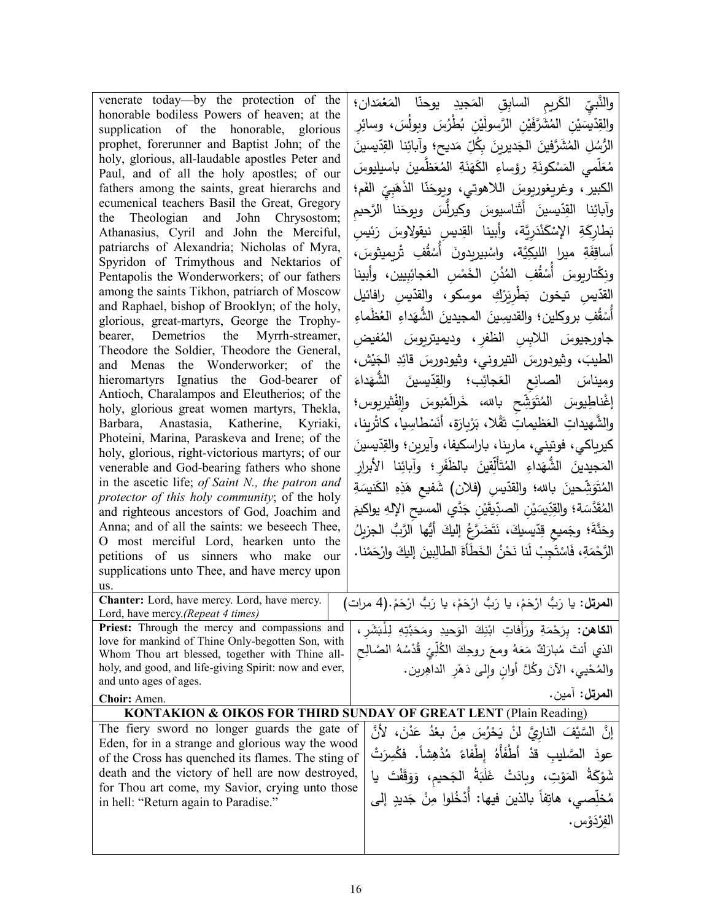| venerate today-by the protection of the<br>honorable bodiless Powers of heaven; at the<br>supplication of the honorable, glorious<br>prophet, forerunner and Baptist John; of the<br>holy, glorious, all-laudable apostles Peter and<br>Paul, and of all the holy apostles; of our<br>fathers among the saints, great hierarchs and<br>ecumenical teachers Basil the Great, Gregory<br>the Theologian and John Chrysostom;<br>Athanasius, Cyril and John the Merciful,<br>patriarchs of Alexandria; Nicholas of Myra,<br>Spyridon of Trimythous and Nektarios of<br>Pentapolis the Wonderworkers; of our fathers<br>among the saints Tikhon, patriarch of Moscow<br>and Raphael, bishop of Brooklyn; of the holy,<br>glorious, great-martyrs, George the Trophy-<br>bearer, Demetrios the Myrrh-streamer,<br>Theodore the Soldier, Theodore the General,<br>and Menas the Wonderworker; of the<br>hieromartyrs Ignatius the God-bearer of<br>Antioch, Charalampos and Eleutherios; of the<br>holy, glorious great women martyrs, Thekla,<br>Barbara, Anastasia, Katherine, Kyriaki,<br>Photeini, Marina, Paraskeva and Irene; of the | والنَّبيِّ   الكَريمِ   السابِقِ   المَجيدِ    يوحنّا    المَعْمَدانِ؛<br>والقِدّيسَيْنِ المُشَرَّفَيْنِ الرَّسولَيْنِ بُطْرُسَ وبولَسَ، وسائِر<br>الرُّسُلِ المُشَرَّفينَ الْجَديرِينَ بِكُلِّ مَديح؛ وآبائِنا القِدّيسينَ<br>مُعَلِّمي المَسْكونَةِ رؤساءِ الكَهَنَةِ المُعَظَّمينَ باسيليوسَ<br>الكبير ، وغريغوريوسَ اللاهوتي، ويوحَنّا الذَهَبِيّ الفَم؛<br>وآبائِنا القِدّيسينَ أَثَناسيوسَ وكيرلِّسَ وبوحَنا الرَّحيم<br>بَطارِكَةِ الإِسْكَنْدَرِيَّة، وأَبينا القِديس نيقولِاوسَ رَئيس<br>أساقِفَةِ ميرا الليكِيَّة، واسْبيريدونَ أَسْقُفِ تْرِيمِيثوسَ،<br>ونكْتاريوسَ أَسْقُفِ المُدُنِ الخَمْسِ العَجائِبِيين، وأبينا<br>القدّيس تيخون بَطْرِيَرْكِ موسكو ،والقدّيس رافائيل<br>أَسْقُفِ بروكلين؛ والقديسِينَ المجيدينَ الشَّهَداءِ العُظَماءِ<br>جاورجيوسَ اللابِسِ الظفرِ ، وديميتريوسَ المُفيضِ<br>الطيبَ، وثيودورسَ التيروني، وثيودورسَ قائِدِ الْجَيْشِ،<br>وميناسَ الصانِعِ العَجائِبِ؛ والقِدّيسينَ الشُّهَداءَ<br>إغْناطِيوسَ المُتَوَشِّح بالله، خَرالَمْبوسَ والِفْثيربِوس؛<br>والشَّهيداتِ العَظيماتِ تَقْلا، بَرْبِارَة، أَنَسْطَاسِيا، كاثْرِينا،<br>كيرياكي، فوتيني، مارينا، باراسكيفا، وآيرين؛ والقِدّيسينَ |
|--------------------------------------------------------------------------------------------------------------------------------------------------------------------------------------------------------------------------------------------------------------------------------------------------------------------------------------------------------------------------------------------------------------------------------------------------------------------------------------------------------------------------------------------------------------------------------------------------------------------------------------------------------------------------------------------------------------------------------------------------------------------------------------------------------------------------------------------------------------------------------------------------------------------------------------------------------------------------------------------------------------------------------------------------------------------------------------------------------------------------------------|--------------------------------------------------------------------------------------------------------------------------------------------------------------------------------------------------------------------------------------------------------------------------------------------------------------------------------------------------------------------------------------------------------------------------------------------------------------------------------------------------------------------------------------------------------------------------------------------------------------------------------------------------------------------------------------------------------------------------------------------------------------------------------------------------------------------------------------------------------------------------------------------------------------------------------------------------------------------------------------------------------------------------------------------------------------------------------------------------------------------------------------|
|                                                                                                                                                                                                                                                                                                                                                                                                                                                                                                                                                                                                                                                                                                                                                                                                                                                                                                                                                                                                                                                                                                                                      |                                                                                                                                                                                                                                                                                                                                                                                                                                                                                                                                                                                                                                                                                                                                                                                                                                                                                                                                                                                                                                                                                                                                      |
| holy, glorious, right-victorious martyrs; of our<br>venerable and God-bearing fathers who shone<br>in the ascetic life; of Saint N., the patron and<br>protector of this holy community; of the holy<br>and righteous ancestors of God, Joachim and<br>Anna; and of all the saints: we beseech Thee,<br>O most merciful Lord, hearken unto the<br>petitions of us sinners who make our<br>supplications unto Thee, and have mercy upon                                                                                                                                                                                                                                                                                                                                                                                                                                                                                                                                                                                                                                                                                               | المَجيدينَ الشُّهَداءِ المُتَأَلِّقِينَ بالظَفَرِ؛ وآبائِنا الأبرارِ<br>الْمُتَوَشِّحينَ بالله؛ والقدّيسِ (فلان) شَفيع هَذِهِ الكَنيسَةِ<br>المُقَدَّسَة؛ والقِدِّيسَيْنِ الصدِّيقَيْنِ جَدَّي المسيح الإِلهِ يواكيمَ<br>وِحَنَّةَ؛ وجَميع قِدّيسيكَ، نَتَضَرَّعُ إِليكَ أَيُّها الرَّبُّ الجزيلُ<br>الرَّحْمَةِ، فَاسْتَجِبْ لَنا نَحْنُ الخَطَأَةَ الطالِبِينَ إِليكَ وارْحَمْنا .                                                                                                                                                                                                                                                                                                                                                                                                                                                                                                                                                                                                                                                                                                                                                 |
| us.<br>Chanter: Lord, have mercy. Lord, have mercy.                                                                                                                                                                                                                                                                                                                                                                                                                                                                                                                                                                                                                                                                                                                                                                                                                                                                                                                                                                                                                                                                                  | ا <b>لمرتل:</b> يا رَبُّ ارْحَمْ، يا رَبُّ ارْحَمْ، يا رَبُّ ارْحَمْ.(4 مرات)                                                                                                                                                                                                                                                                                                                                                                                                                                                                                                                                                                                                                                                                                                                                                                                                                                                                                                                                                                                                                                                        |
| Lord, have mercy.(Repeat 4 times)<br><b>Priest:</b> Through the mercy and compassions and<br>love for mankind of Thine Only-begotten Son, with<br>Whom Thou art blessed, together with Thine all-<br>holy, and good, and life-giving Spirit: now and ever,<br>and unto ages of ages.                                                                                                                                                                                                                                                                                                                                                                                                                                                                                                                                                                                                                                                                                                                                                                                                                                                 | ِ ا <b>لكاهن:</b> برَحْمَةِ ورَأفاتِ ابْنِكَ الوَحيدِ ومَحَبَّتِهِ لِلْبَشَرِ ،<br>الذي أنتَ مُبارَكٌ مَعَهُ ومعَ روحِكَ الكُلِّيِّ قُدْسُهُ الصَّالِحِ<br>والمُحْيى، الآنَ وكُلَّ أوانِ وإلى دَهْرِ الداهِرين.<br>ا <b>لمرتل:</b> آمين.                                                                                                                                                                                                                                                                                                                                                                                                                                                                                                                                                                                                                                                                                                                                                                                                                                                                                             |
| Choir: Amen.                                                                                                                                                                                                                                                                                                                                                                                                                                                                                                                                                                                                                                                                                                                                                                                                                                                                                                                                                                                                                                                                                                                         | <b>KONTAKION &amp; OIKOS FOR THIRD SUNDAY OF GREAT LENT (Plain Reading)</b>                                                                                                                                                                                                                                                                                                                                                                                                                                                                                                                                                                                                                                                                                                                                                                                                                                                                                                                                                                                                                                                          |
| The fiery sword no longer guards the gate of                                                                                                                                                                                                                                                                                                                                                                                                                                                                                                                                                                                                                                                                                                                                                                                                                                                                                                                                                                                                                                                                                         |                                                                                                                                                                                                                                                                                                                                                                                                                                                                                                                                                                                                                                                                                                                                                                                                                                                                                                                                                                                                                                                                                                                                      |
| Eden, for in a strange and glorious way the wood<br>of the Cross has quenched its flames. The sting of<br>death and the victory of hell are now destroyed,<br>for Thou art come, my Savior, crying unto those<br>in hell: "Return again to Paradise."                                                                                                                                                                                                                                                                                                                                                                                                                                                                                                                                                                                                                                                                                                                                                                                                                                                                                | إِنَّ السَّيْفَ النارِيَّ لَنْ يَحْرُسَ مِنْ بِعْدُ عَدْنَ، لِأَنَّ<br>عودَ الصَّليبِ قدْ أَطْفَأْهُ إِطْفاءَ مُدْهِشاً. فكُسِرَتْ<br>شَوْكَةُ المَوْتِ، وبِادَتْ غَلَبَةُ الْجَحيم، وَوَقَفْتَ يا<br>مُخلِّصـى، هاتِفاً بالذين فيها: أَدْخُلوا مِنْ جَديدٍ إلى<br>الفرْدَوْس.                                                                                                                                                                                                                                                                                                                                                                                                                                                                                                                                                                                                                                                                                                                                                                                                                                                       |
|                                                                                                                                                                                                                                                                                                                                                                                                                                                                                                                                                                                                                                                                                                                                                                                                                                                                                                                                                                                                                                                                                                                                      |                                                                                                                                                                                                                                                                                                                                                                                                                                                                                                                                                                                                                                                                                                                                                                                                                                                                                                                                                                                                                                                                                                                                      |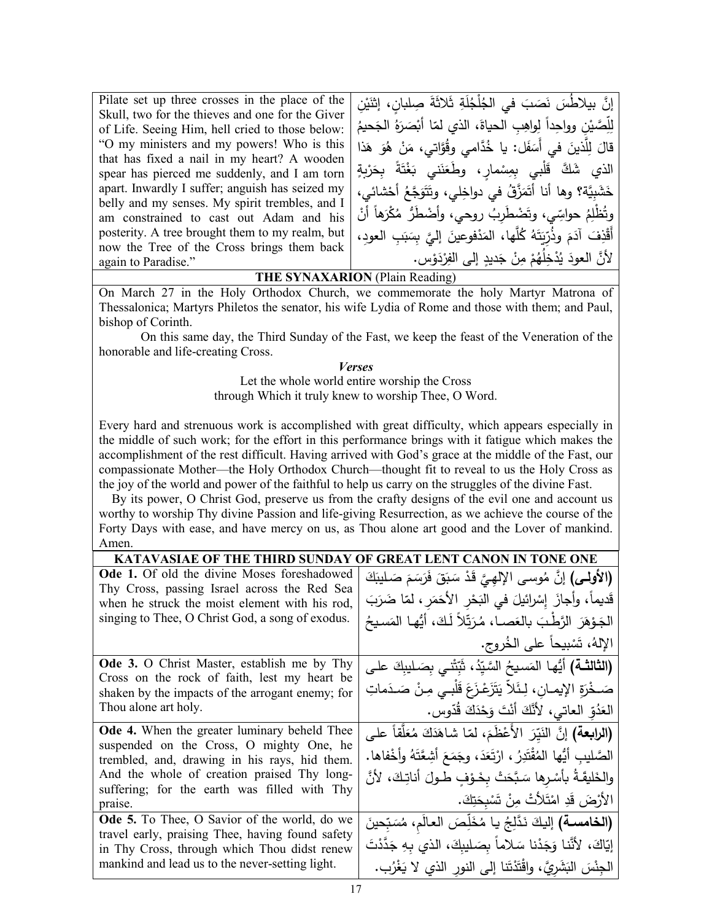Pilate set up three crosses in the place of the Skull, two for the thieves and one for the Giver of Life. Seeing Him, hell cried to those below: "O my ministers and my powers! Who is this that has fixed a nail in my heart? A wooden spear has pierced me suddenly, and I am torn apart. Inwardly I suffer; anguish has seized my belly and my senses. My spirit trembles, and I am constrained to cast out Adam and his posterity. A tree brought them to my realm, but now the Tree of the Cross brings them back again to Paradise." إِنَّ بيلاطُسَ نَصَبَ في الجُلْجُلَةِ ثَلاثَةَ صِلبانٍ، إثْنَيْنِ ْ لِلِّصَيْنِ وواحِداً لِواهِبِ الحياةَ، الذي لمّا أَبْصَرَهُ الجَحيمُ<br>سيستمين ْ َذا َ ه ُو ْ ه َن َُّواتي، م ُ َّدامي وق َل: �ا خ َ ف َ في أَس َّذین ِل َ ل قال الذي شَكَّ قَلْبي بِمِسْمارٍ، وطَعَنَني بَغْتَةً بِحَرْبةٍ خَشَبِيَّة؟ وها أنا أتَمَزَّقُ في دواخِلي، وتَتَوَجَّعُ أَحْشائي،<br>أُمْنُونَ مَسْتَفَرَّةً في اللَّهُ في اللَّهُ مِنْ أَمْنِ مَنْ أَمْنَ مِنْ أَمْنَ مِنْ أَمْنَ الْمَنْ وَالْمَن .<br>-وتُظْلِمُ حواسِّي، وتَضْطَرِبُ روحي، وأَضْطَرُّ مُكْرَهاً أنْ<br>أ ؘ أَقْذِفَ آدَمَ وذُرِّيَتَهُ كُلَّها، المَدْفوعينَ إليَّ بِسَبَبِ العودِ،<br>أَقْذِفَ آدَمَ وذُرِّيَتَهُ كُلَّها، المَدْفوعينَ إليَّ بِسَبَبِ العودِ، ْ ُم ُه ْ ِخل د ُ ْ َّلأن العود س. َ ی َو ْد ِر ٍ إلى الف َدید ْ ج ِن م

**THE SYNAXARION** (Plain Reading)

On March 27 in the Holy Orthodox Church, we commemorate the holy Martyr Matrona of Thessalonica; Martyrs Philetos the senator, his wife Lydia of Rome and those with them; and Paul, bishop of Corinth.

On this same day, the Third Sunday of the Fast, we keep the feast of the Veneration of the honorable and life-creating Cross.

## *Verses*

Let the whole world entire worship the Cross through Which it truly knew to worship Thee, O Word.

Every hard and strenuous work is accomplished with great difficulty, which appears especially in the middle of such work; for the effort in this performance brings with it fatigue which makes the accomplishment of the rest difficult. Having arrived with God's grace at the middle of the Fast, our compassionate Mother—the Holy Orthodox Church—thought fit to reveal to us the Holy Cross as the joy of the world and power of the faithful to help us carry on the struggles of the divine Fast.

 By its power, O Christ God, preserve us from the crafty designs of the evil one and account us worthy to worship Thy divine Passion and life-giving Resurrection, as we achieve the course of the Forty Days with ease, and have mercy on us, as Thou alone art good and the Lover of mankind. Amen.

| <b>KATAVASIAE OF THE THIRD SUNDAY</b>                                                                                                                                                               | <b>GREAT LENT CANON IN TONE ONE</b>                                        |
|-----------------------------------------------------------------------------------------------------------------------------------------------------------------------------------------------------|----------------------------------------------------------------------------|
| Ode 1. Of old the divine Moses foreshadowed<br>Thy Cross, passing Israel across the Red Sea                                                                                                         | (الأولى) إنَّ مُوسى الإلهِيَّ قَدْ سَبَقَ فَرَسَمَ صَلِيبَكَ               |
| when he struck the moist element with his rod,                                                                                                                                                      | قَديماً، وأجازَ  إسْرائيلَ في البَحْرِ  الأَحَمَرِ ، لمّا ضَرَبَ           |
| singing to Thee, O Christ God, a song of exodus.                                                                                                                                                    | الْجَوْهَرَ الرَّطْبَ بِالْعَصِـا، مُرَتِّلاً لَكَ، أَيُّها الْمَسيحُ      |
|                                                                                                                                                                                                     | الإلهُ، تَسْبِيحاً على الخُروج.                                            |
| Ode 3. O Christ Master, establish me by Thy                                                                                                                                                         | <b>(الثالثـة)</b> أيُهـا المَسيحُ السَّيّدُ، ثَبَتْنـى بصَـليبكَ علـى      |
| Cross on the rock of faith, lest my heart be<br>shaken by the impacts of the arrogant enemy; for                                                                                                    | صَـخْرَةِ الإيمــانِ، لِـئَلاً يَتَزَعْـزَعَ قَلْبــِي مِـنْ صَـدَماتِ     |
| Thou alone art holy.                                                                                                                                                                                | العَدُقِ العاتي، لأَنَّكَ أَنْتَ وَحْدَكَ قُدّوس.                          |
| Ode 4. When the greater luminary beheld Thee                                                                                                                                                        | (ا <b>لرابعة)</b> إنَّ النَيِّرَ  الأَعْظَمَ، لمّا شاهَدَكَ مُعَلَّقاً على |
| suspended on the Cross, O mighty One, he<br>trembled, and, drawing in his rays, hid them.<br>And the whole of creation praised Thy long-<br>suffering; for the earth was filled with Thy<br>praise. | الصَّليبِ أَيُّها المُقْتَدِرُ ، ارْتَعَدَ، وجَمَعَ أَشِعَّتَهُ وأَخْفاها. |
|                                                                                                                                                                                                     | والخَليقَةُ بِأَسْرِها سَبَّحَتْ بِخَوْفٍ طولَ أناتِكَ، لأنَّ              |
|                                                                                                                                                                                                     | الأَرْضَ قَدِ امْتَلَأْتْ مِنْ تَسْبِحَتِكَ.                               |
| <b>Ode 5.</b> To Thee, O Savior of the world, do we                                                                                                                                                 | (الخامسة) إليكَ نَدَّلِجُ يا مُخَلِّصَ العالَمِ، مُسَبِّحينَ               |
| travel early, praising Thee, having found safety<br>in Thy Cross, through which Thou didst renew<br>mankind and lead us to the never-setting light.                                                 | إيّاكَ، لأنَّنا وَجَدْنا سَلاماً بِصَليبِكَ، الذي بِهِ جَدَّدْتَ           |
|                                                                                                                                                                                                     | الْجِنْسَ البَشَرِيَّ، واقْتَدْتَنا إلى النور الذي لا يَغْرُب.             |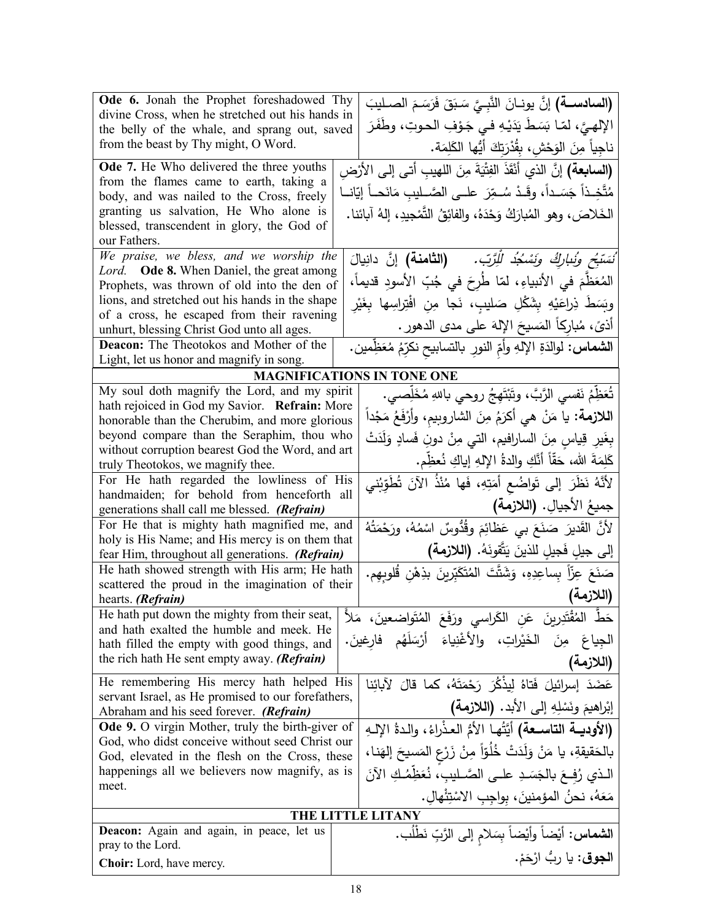| Ode 6. Jonah the Prophet foreshadowed Thy                                                                                       |                                  | <b>(السادســة)</b> إنَّ يونــانَ النَّبِـيَّ سَبَقَ فَرَسَـمَ الصــليبَ     |  |  |
|---------------------------------------------------------------------------------------------------------------------------------|----------------------------------|-----------------------------------------------------------------------------|--|--|
| divine Cross, when he stretched out his hands in                                                                                |                                  |                                                                             |  |  |
| the belly of the whale, and sprang out, saved                                                                                   |                                  | الإلهيَّ، لمّا بَسَطَ يَدَيْهِ في جَوْفِ الحوتِ، وطَفَرَ                    |  |  |
| from the beast by Thy might, O Word.                                                                                            |                                  | ناجِياً مِنَ الوَحْشِ، بِقُدْرَتِكَ أَيُّها الكَلِمَة.                      |  |  |
| Ode 7. He Who delivered the three youths                                                                                        |                                  | (ا <b>لسابعة)</b> إنَّ الذي أَنْقَذَ الفِتْيَةَ مِنَ اللهيبِ أتى إلى الأرْض |  |  |
| from the flames came to earth, taking a                                                                                         |                                  | مُتَّخِـذاً جَسَـداً، وقَـدْ سُـمِّرَ  علــى الصَّــليبِ مَانَحــأ إيّانــا |  |  |
| body, and was nailed to the Cross, freely<br>granting us salvation, He Who alone is                                             |                                  |                                                                             |  |  |
| blessed, transcendent in glory, the God of                                                                                      |                                  | الخَلاصَ، وهو المُبارَكُ وَحْدَهُ، والفائِقُ التَّمْجِيدِ، إلهُ آبائنا.     |  |  |
| our Fathers.                                                                                                                    |                                  |                                                                             |  |  |
| We praise, we bless, and we worship the<br>ُنَصَ <i>ّبَحْ وَنُباركُ وَنَسْجُدُ لِلِّرَّبِّ.</i> (ا <b>لثامنة)</b> إنَّ دانِيالَ |                                  |                                                                             |  |  |
| Lord. Ode 8. When Daniel, the great among                                                                                       |                                  |                                                                             |  |  |
| Prophets, was thrown of old into the den of                                                                                     |                                  | المُعَظَّمَ في الأنبياءِ، لمّا طَرِحَ في جُبِّ الأسودِ قديماً،              |  |  |
| lions, and stretched out his hands in the shape                                                                                 |                                  | وبَسَطَ ذِراعَيْهِ بِشَكْلِ صَليبٍ، نَجا مِنِ افْتِراسِها بِغَيْرِ          |  |  |
| of a cross, he escaped from their ravening                                                                                      |                                  | أذيً، مُباركاً المَسيحَ الإِلهَ على مدى الدهور .                            |  |  |
| unhurt, blessing Christ God unto all ages.<br>Deacon: The Theotokos and Mother of the                                           |                                  |                                                                             |  |  |
| Light, let us honor and magnify in song.                                                                                        |                                  | ا <b>لشماس:</b> لوالدَةِ الإلهِ وأمِّ النورِ بالتسابيح نكرِّمُ مُعَظِّمين.  |  |  |
|                                                                                                                                 |                                  | <b>MAGNIFICATIONS IN TONE ONE</b>                                           |  |  |
| My soul doth magnify the Lord, and my spirit                                                                                    |                                  | تُعَظِّمُ نَفسي الرَّبَّ، وتَبْتَهِجُ روحي باللهِ مُخَلِّصي.                |  |  |
| hath rejoiced in God my Savior. Refrain: More                                                                                   |                                  |                                                                             |  |  |
| honorable than the Cherubim, and more glorious                                                                                  |                                  | اللازمة: يا مَنْ هي أكرَمُ مِنَ الشاروبيم، وأرْفَعُ مَجْداً                 |  |  |
| beyond compare than the Seraphim, thou who                                                                                      |                                  | بِغَيرِ قِياسِ مِنَ الساراِفيمِ، التي مِنْ دونِ فَسادٍ وَلَدَتْ             |  |  |
| without corruption bearest God the Word, and art                                                                                |                                  |                                                                             |  |  |
| كَلِمَةَ الله، حَقًّا أَنَّكِ والدةُ اﻹلهِ إياكِ نُعظِّم.<br>truly Theotokos, we magnify thee.                                  |                                  |                                                                             |  |  |
| For He hath regarded the lowliness of His<br>handmaiden; for behold from henceforth all                                         |                                  | لأَنَّهُ نَظَرَ إلى تَواضُعٍ أَمَتِهِ، فَها مُنْذُ الآنَ تُطَوِّبُني        |  |  |
| generations shall call me blessed. (Refrain)                                                                                    |                                  | جميعُ الأجيالِ. (اللازمة)                                                   |  |  |
| For He that is mighty hath magnified me, and                                                                                    |                                  | لأنَّ القَديرَ  صَنَعَ بي عَظائِمَ وقُدُّوسٌ  اسْمُهُ، ورَحْمَتُهُ          |  |  |
| holy is His Name; and His mercy is on them that                                                                                 |                                  |                                                                             |  |  |
| fear Him, throughout all generations. (Refrain)                                                                                 |                                  | إلى جيلٍ فَجيلٍ للذينَ يَتَّقونَهُ. (اللازمة)                               |  |  |
| He hath showed strength with His arm; He hath                                                                                   |                                  | صَنَعَ عِزّاً بِساعِدِهِ، وَشَتَّتَ المُتَكَبِّرِينَ بذِهْنِ قُلوبِهِم.     |  |  |
| scattered the proud in the imagination of their<br>hearts. (Refrain)                                                            |                                  | (اللازمة)                                                                   |  |  |
| He hath put down the mighty from their seat,                                                                                    |                                  |                                                                             |  |  |
| and hath exalted the humble and meek. He                                                                                        |                                  | حَطِّ المُقْتَدِرِينَ عَنِ الكَراسي ورَفَعَ المُتَواضعينَ، مَلأً            |  |  |
| hath filled the empty with good things, and                                                                                     |                                  | الْجِياعَ مِنَ الْخَيْرِاتِ، والأَغْنِياءَ أَرْسَلَهُم فَارِغِينَ.          |  |  |
| the rich hath He sent empty away. (Refrain)                                                                                     |                                  | (اللازمة)                                                                   |  |  |
| He remembering His mercy hath helped His                                                                                        |                                  | عَضَدَ إسرائيلَ فَتاهُ لِيذْكُرَ رَحْمَتَهُ، كما قالَ لآبائِنا              |  |  |
| servant Israel, as He promised to our forefathers,                                                                              |                                  |                                                                             |  |  |
| Abraham and his seed forever. (Refrain)                                                                                         |                                  | إبْراهيمَ ونَسْلِهِ إلى الأبد. (اللازمة)                                    |  |  |
| Ode 9. O virgin Mother, truly the birth-giver of<br>God, who didst conceive without seed Christ our                             |                                  | (الأوديــة التاســعة) أيَّتُهـا الأمُّ العـذْراءُ، والدةُ الإلـهِ           |  |  |
| God, elevated in the flesh on the Cross, these                                                                                  |                                  | بالحَقيقةِ، يا مَنْ وَلَدَتْ خُلُوّاً مِنْ زَرْعِ المَسيحَ إلهَنا،          |  |  |
| happenings all we believers now magnify, as is                                                                                  |                                  | الذي رُفِعَ بالجَسَدِ علـى الصَّـليبِ، نُعَظِّمُـكِ الآنَ                   |  |  |
| meet.                                                                                                                           |                                  | مَعَهُ، نحنُ المؤمنينَ، بِواجِبِ الاسْتِئْهالِ.                             |  |  |
|                                                                                                                                 |                                  | THE LITTLE LITANY                                                           |  |  |
| Deacon: Again and again, in peace, let us                                                                                       |                                  | ا <b>لشماس:</b> أيْضاً وأيْضاً بِسَلام إلى الرَّبِّ نَطْلُب.                |  |  |
| pray to the Lord.                                                                                                               | ا <b>لجوق</b> : يا ربُّ ارْحَمْ. |                                                                             |  |  |
| Choir: Lord, have mercy.                                                                                                        |                                  |                                                                             |  |  |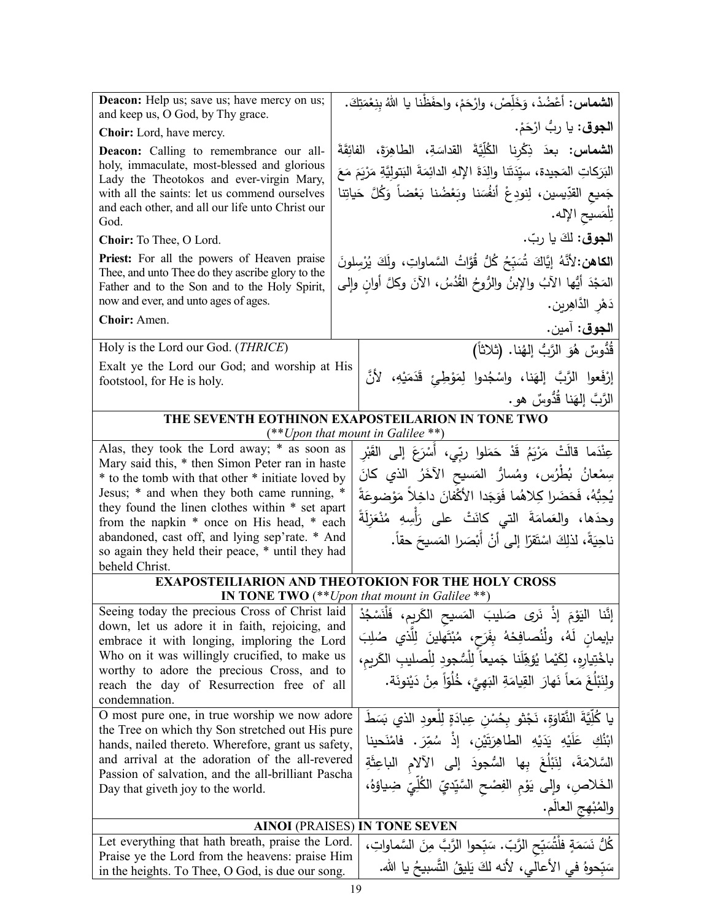| and keep us, O God, by Thy grace.<br>ا <b>لجوق</b> : يا ربُّ ارْحَمْ.<br>Choir: Lord, have mercy.                                                                                         |
|-------------------------------------------------------------------------------------------------------------------------------------------------------------------------------------------|
|                                                                                                                                                                                           |
| ا <b>لشماس: بع</b> دَ ذِكْرِنا الْكُلِّيَّةَ القداسَةِ، الطاهِرَةَ، الفائِقَةَ<br>Deacon: Calling to remembrance our all-                                                                 |
| holy, immaculate, most-blessed and glorious<br>البَرَكاتِ المَجيدة، سيِّدَتَنا والِدَةَ الإِلهِ الدائِمَةَ البَتوليَّةِ مَرْيَمَ مَعَ                                                     |
| Lady the Theotokos and ever-virgin Mary,<br>جَميع القدِّيسين، لِنودِعْ أنفُسَنا وبَعْضُنا بَعْضاً وَكُلَّ حَياتِنا<br>with all the saints: let us commend ourselves                       |
| and each other, and all our life unto Christ our<br>لِلْمَسيحِ الإِلهِ.                                                                                                                   |
| God.                                                                                                                                                                                      |
| ا <b>لجوق:</b> لكَ يا ربّ.<br>Choir: To Thee, O Lord.                                                                                                                                     |
| الكاهن: لأنَّهُ إِيَّاكَ شُبَبِّحُ كُلُّ قُوَّاتُ السَّماواتِ، ولَكَ يُرْسِلونَ<br><b>Priest:</b> For all the powers of Heaven praise<br>Thee, and unto Thee do they ascribe glory to the |
| المَجْدَ أَيُّها الآبُ والإبنُ والرُّوحُ القُدُسُ، الآنَ وكلَّ أوانٍ وإِلى<br>Father and to the Son and to the Holy Spirit,                                                               |
| now and ever, and unto ages of ages.<br>دَهْرِ الدَّاهِرِينِ.                                                                                                                             |
| Choir: Amen.<br>ا <b>لجوق</b> : آمين.                                                                                                                                                     |
| Holy is the Lord our God. (THRICE)<br>قُدُّوسٌ هُوَ الرَّبُّ إِلهُنا. (ثلاثاً)                                                                                                            |
| Exalt ye the Lord our God; and worship at His                                                                                                                                             |
| إِرْفَعوا الرَّبَّ إِلهَنا، واسْجُدوا لِمَوْطِئٍ قَدَمَيْهِ، لأَنَّ<br>footstool, for He is holy.                                                                                         |
| الرَّبِّ إلهَنا قُدُّوسٌ هو .<br>THE SEVENTH EOTHINON EXAPOSTEILARION IN TONE TWO                                                                                                         |
| $(**Upon$ that mount in Galilee **)                                                                                                                                                       |
| Alas, they took the Lord away; * as soon as<br>عِنْدَما قالَتْ مَرْيَمُ قَدْ حَمَلوا ربِّي، أَسْرَعَ إلى القَبْرِ                                                                         |
| Mary said this, * then Simon Peter ran in haste<br>سِمْعانُ بُطْرُس، ومُسارٌ المَسيح الآخَرُ الذي كانَ<br>* to the tomb with that other * initiate loved by                               |
| Jesus; * and when they both came running, *<br>يُحِبُّهُ، فَحَضَرا كِلاهُما فَوَجَدا الأَكْفانَ داخِلاً مَوْضوعَةً                                                                        |
| they found the linen clothes within * set apart                                                                                                                                           |
| وحدَها، والعَمامَةَ التي كانَتْ على رَأْسِهِ مُنْعَزِلَةً<br>from the napkin * once on His head, * each<br>abandoned, cast off, and lying sep'rate. * And                                 |
| ناحِيَةً، لذلِكَ اسْتَقرّا إلى أنْ أَبْصَرا المَسيحَ حقاً.<br>so again they held their peace, * until they had                                                                            |
| beheld Christ.                                                                                                                                                                            |
| <b>EXAPOSTEILIARION AND THEOTOKION FOR THE HOLY CROSS</b><br>IN TONE TWO $(*\cdot" Upon that mount in Galilee **)$                                                                        |
| Seeing today the precious Cross of Christ laid   فَأَنْسَجُدْ   Seeing today the precious Cross of Christ laid                                                                            |
| down, let us adore it in faith, rejoicing, and<br>بإيمانٍ لَهُ، ولْنُصافِحْهُ بِفَرَحٍ، مُبْتَهلينَ لِلَّذي صُلِبَ                                                                        |
| embrace it with longing, imploring the Lord<br>Who on it was willingly crucified, to make us                                                                                              |
| باخْتِيارِهِ، لِكَيْما يُؤَهِّلَنا جَميعاً لِلْسُجودِ لِلْصليبِ الكَريمِ،<br>worthy to adore the precious Cross, and to                                                                   |
| ولِنَبْلُغَ مَعاً نَهارَ القِيامَةِ البَهيَّ، خُلُوّاً مِنْ دَيْنونَة.<br>reach the day of Resurrection free of all                                                                       |
| condemnation.<br>O most pure one, in true worship we now adore                                                                                                                            |
| يا كُلِّيَّةَ النَّقاوَةِ، نَجْثو بِحُسْنِ عِبادَةٍ لِلْعودِ الذي بَسَطَ<br>the Tree on which thy Son stretched out His pure                                                              |
| ابْنُكِ   عَلَيْهِ   يَدَيْهِ   الطاهِرَتَيْنِ،    إِذْ   سُمِّرَ .   فامْنَحينا<br>hands, nailed thereto. Wherefore, grant us safety,                                                    |
| السَّلامَةَ، لِنَبْلُغَ بِها السُّجودَ إلى الآلام الباعِثَةِ<br>and arrival at the adoration of the all-revered<br>Passion of salvation, and the all-brilliant Pascha                     |
| الخَلاصِ، وإلى يَوْمِ الفِصْحِ السَّيِّدِيِّ الْكُلِّيِّ ضِياؤهُ،<br>Day that giveth joy to the world.                                                                                    |
| والمُبْهِج العالم.                                                                                                                                                                        |
| <b>AINOI (PRAISES) IN TONE SEVEN</b>                                                                                                                                                      |
| Let everything that hath breath, praise the Lord.<br>كُلُّ نَسَمَةٍ فَلْثُسَبِّحِ الرَّبِّ. سَبِّحوا الرَّبَّ مِنَ السَّماواتِ،<br>Praise ye the Lord from the heavens: praise Him        |
| سَبِّحوهُ في الأعالي، لأنه لكَ يَليقُ التَّسبيحُ يا الله.<br>in the heights. To Thee, O God, is due our song.                                                                             |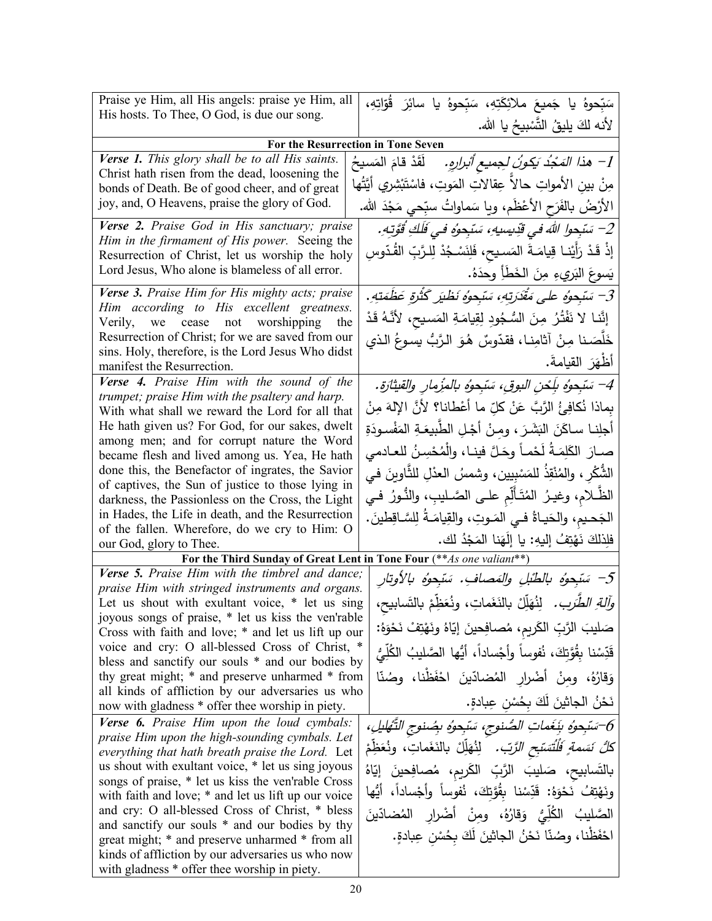| Praise ye Him, all His angels: praise ye Him, all                                                          | سَبّحوهُ يا جَميعَ ملائِكَتِهِ، سَبّحوهُ يا سائِرَ قُوّاتِهِ،                      |  |  |
|------------------------------------------------------------------------------------------------------------|------------------------------------------------------------------------------------|--|--|
| His hosts. To Thee, O God, is due our song.                                                                | لأنه لكَ يليقُ التَّسْبيحُ يا الله.                                                |  |  |
|                                                                                                            | For the Resurrection in Tone Seven                                                 |  |  |
| Verse 1. This glory shall be to all His saints.                                                            | 1− هذ <i>ا المَجْدُ يَكونُ لِجميعِ أُبْرارِهِ.</i> لَقَدْ قامَ المَسيحُ            |  |  |
| Christ hath risen from the dead, loosening the<br>bonds of Death. Be of good cheer, and of great           | مِنْ بين الأمواتِ حالاً عِقالاتِ المَوتِ، فاسْتَبْشِري أَيَّتُها                   |  |  |
| joy, and, O Heavens, praise the glory of God.                                                              | الأَرْضُ بالفَرَحِ الأَعْظُمِ، ويا سَماواتُ سبِّحى مَجْدَ الله.                    |  |  |
| Verse 2. Praise God in His sanctuary; praise                                                               | 2– سَبْحوا اللهَ في قَدِيسِيهِ، سَبْحوُهِ في فَلَكِ قُوَّتِهِ.                     |  |  |
| Him in the firmament of His power. Seeing the<br>Resurrection of Christ, let us worship the holy           | إذْ قَدْ رَأَيْنـا قِيامَـةَ المَسـيح، فَلِنَسْـجُدْ لِلـرَّبِّ القُـدّوسِ         |  |  |
| Lord Jesus, Who alone is blameless of all error.                                                           | يَسوعَ البَريءِ مِنَ الخَطَأِ وحدَهُ.                                              |  |  |
| Verse 3. Praise Him for His mighty acts; praise                                                            | 3– سَبْحوُه على مَقْدَرتهِ، سَبْحوُه نَظْيَر كُثْرَةٍ عَظَمَتِهِ.                  |  |  |
| Him according to His excellent greatness.<br>Verily, we cease not worshipping<br>the                       | ۚ إِنَّنا لا نَفْتُرُ مِنَ السُّجُودِ لِقِيامَةِ المَسيحِ، لأنَّهُ قَدْ            |  |  |
| Resurrection of Christ; for we are saved from our                                                          | خَلَّصَنا مِنْ آثامِنا، فقدّوسٌ هُوَ الرَّبُّ يسوعُ الذي                           |  |  |
| sins. Holy, therefore, is the Lord Jesus Who didst<br>manifest the Resurrection.                           | أَظْهَرَ القيامةَ.                                                                 |  |  |
| Verse 4. Praise Him with the sound of the                                                                  | 4– سَبْحوهُ بِلَحْنِ البوقِ، سَبْحوهُ بالمزْمارِ والقيثارَةِ.                      |  |  |
| trumpet; praise Him with the psaltery and harp.<br>With what shall we reward the Lord for all that         | بماذا نُكافِئُ الرَّبَّ عَنْ كلِّ ما أَعْطانا؟ لأنَّ الإِلهَ مِنْ                  |  |  |
| He hath given us? For God, for our sakes, dwelt                                                            | أجلِنـا سـاكَنَ البَشَرَ ، ومـنْ أَجْـلِ الطَّبيعَـةِ المَفْسـودَةِ                |  |  |
| among men; and for corrupt nature the Word<br>became flesh and lived among us. Yea, He hath                | صـارَ  الكَلِمَـةُ لَحْمـاً وحَـلَّ فينـا، والْمُحْسِنُ للعـادمي                   |  |  |
| done this, the Benefactor of ingrates, the Savior                                                          | الشُّكْرِ ، والمُنْقِذَ للمَسْبِيينِ، وشمسُ العِدْلِ للثَّاوِينَ فـي               |  |  |
| of captives, the Sun of justice to those lying in<br>darkness, the Passionless on the Cross, the Light     | الظَّـلام، وغيـرُ المُتَـألِّمِ علـى الصَّـليبِ، والنُّـورُ فـي                    |  |  |
| in Hades, the Life in death, and the Resurrection                                                          |                                                                                    |  |  |
| of the fallen. Wherefore, do we cry to Him: O                                                              | الجَحيم، والحَيـاةُ فـي المَـوتِ، والقِيامَــةُ لِلسَّـاقِطينَ .                   |  |  |
| our God, glory to Thee.                                                                                    | فلِذلكَ نَهْتِفُ إِليهِ: يا إِلَهَنا المَجْدُ لك.                                  |  |  |
|                                                                                                            | For the Third Sunday of Great Lent in Tone Four (** As one valiant**)              |  |  |
| Verse 5. Praise Him with the timbrel and dance;<br>praise Him with stringed instruments and organs.        | 5– سَبْحِوُه بالطُّبْلِ والمَصافِ. سَبْحِوُه بالأوتارِ                             |  |  |
| Let us shout with exultant voice, * let us sing                                                            | <i>وَٱلةِ الطَّرَب.</i> لِنُهَلِّلْ بِالنَغَماتِ، ونُعَظِّمْ بِالتَسابيحِ،         |  |  |
| joyous songs of praise, * let us kiss the ven'rable<br>Cross with faith and love; * and let us lift up our | صَليبَ الرَّبِّ الكَريمِ، مُصافِحينَ إيّاهُ ونَهْتِفْ نَحْوَهُ:                    |  |  |
| voice and cry: O all-blessed Cross of Christ, *                                                            | قَدِّسْنا بِقُوَّتِكَ، نُفوساً وأجْساداً، أيُّها الصَّليبُ الكُلِّيُّ              |  |  |
| bless and sanctify our souls * and our bodies by<br>thy great might; * and preserve unharmed * from        | وَقَارُهُ، ومِنْ أَضْرارِ المُضادّينَ احْفَظْنا، وصُنّا                            |  |  |
| all kinds of affliction by our adversaries us who                                                          |                                                                                    |  |  |
| now with gladness * offer thee worship in piety.                                                           | نَحْنُ الْجاثينَ لَكَ بِحُسْنِ عِبادةٍ.                                            |  |  |
| <b>Verse 6.</b> Praise Him upon the loud cymbals:                                                          | سَبْحوهُ بِنَغَماتِ الصُّنوجِ، سَبْحوهُ بِصُنوجِ التَّهْليلِ، $\epsilon$           |  |  |
| praise Him upon the high-sounding cymbals. Let                                                             |                                                                                    |  |  |
| everything that hath breath praise the Lord. Let                                                           | ك <i>َّلُّ نَسَمةٍ فَلْتُسَبِّحِ الرَّبِّ.</i> لِنُهَلِّلْ بالنَغَماتِ، ونُعَظِّمْ |  |  |
| us shout with exultant voice, * let us sing joyous<br>songs of praise, * let us kiss the ven'rable Cross   | بالتَسابيح، صَليبَ الرَّبِّ الكَريم، مُصافِحينَ إيّاهُ                             |  |  |
| with faith and love; * and let us lift up our voice                                                        | وِنَهْتِفُ نَحْوَهُ: قَدِّسْنا بِقُوَّتِكَ، نُفوساً وأجْساداً، أَيُّها             |  |  |
| and cry: O all-blessed Cross of Christ, * bless                                                            | الصَّليبُ الكُلِّيُّ وَقَارُهُ، ومِنْ أَضْرارِ المُضادّينَ                         |  |  |
| and sanctify our souls * and our bodies by thy                                                             | احْفَظنا، وصُنّا نَحْنُ الجاثينَ لَكَ بِحُسْنِ عِبادةٍ.                            |  |  |
| great might; * and preserve unharmed * from all<br>kinds of affliction by our adversaries us who now       |                                                                                    |  |  |
| with gladness * offer thee worship in piety.                                                               |                                                                                    |  |  |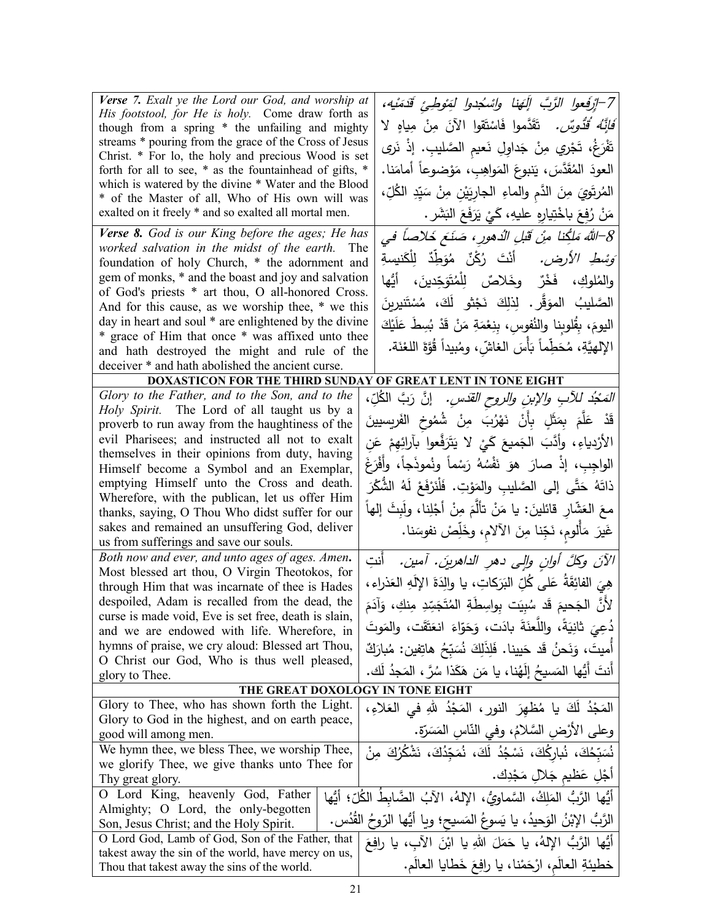| Verse 7. Exalt ye the Lord our God, and worship at                                                            | 7-ارْفَعوا الرَّبَّ إِلَهَنا واسْجُدوا لْمَوْطِئِ قَدَمَيْه،                        |  |  |
|---------------------------------------------------------------------------------------------------------------|-------------------------------------------------------------------------------------|--|--|
| His footstool, for He is holy. Come draw forth as                                                             |                                                                                     |  |  |
| though from a spring * the unfailing and mighty                                                               | َ <i>فَإِنَّهُ قُدُّوسٌ.</i> تَقَدَّموا فَاسْتَقوا الآنَ مِنْ مِياهِ لا             |  |  |
| streams * pouring from the grace of the Cross of Jesus<br>Christ. * For lo, the holy and precious Wood is set | تَفْرَغُ، تَجْرِي مِنْ جَداوِلِ نَعيمِ الصَّليبِ. إذْ نَرِي                         |  |  |
| forth for all to see, * as the fountainhead of gifts, *                                                       | العودَ المُقَدَّسَ، يَنبوعَ المَواهِبِ، مَوْضوعاً أمامَنا.                          |  |  |
| which is watered by the divine * Water and the Blood                                                          | المُرتَوِيَ مِنَ الدَّمِ والماءِ الجارِيَيْنِ مِنْ سَيِّدِ الكُلِّ،                 |  |  |
| * of the Master of all, Who of His own will was                                                               |                                                                                     |  |  |
| exalted on it freely * and so exalted all mortal men.                                                         | مَنْ رُفِعَ باخْتِيارِهِ عليهِ، كَيْ يَرَفَعَ النَشَرِ .                            |  |  |
| Verse 8. God is our King before the ages; He has                                                              | 8–الله مَلِكُنا مِنْ قَبْلِ الدُهورِ ، صَنَعَ خَلاصاً في                            |  |  |
| worked salvation in the midst of the earth.<br>The                                                            | <i>َوسْطِ الأرض.</i> أَنْتَ رُكْنٌ مُوَطِّدٌ لِلْكَنيسةِ                            |  |  |
| foundation of holy Church, * the adornment and<br>gem of monks, * and the boast and joy and salvation         |                                                                                     |  |  |
| of God's priests * art thou, O all-honored Cross.                                                             | والمُلوكِ، فَخْرٌ وخَلاصٌ لِلْمُتَوَحِّدينَ، أَيُّها                                |  |  |
| And for this cause, as we worship thee, * we this                                                             | الصَّليبُ الموَقَّرِ . لِذلِكَ نَجْثو لَكَ، مُسْتَنيرِينَ                           |  |  |
| day in heart and soul * are enlightened by the divine                                                         | اليومَ، بِقُلوبِنا والنُفوسِ، بِنِعْمَةِ مَنْ قَدْ بُسِطَ عَلَيْكَ                  |  |  |
| * grace of Him that once * was affixed unto thee                                                              |                                                                                     |  |  |
| and hath destroyed the might and rule of the                                                                  | الإلهيَّةِ، مُحَطِّماً بَأْسَ الغاشِّ، ومُبيداً قُوَّةَ اللعْنَة.                   |  |  |
| deceiver * and hath abolished the ancient curse.                                                              |                                                                                     |  |  |
| DOXASTICON FOR THE THIRD SUNDAY OF GREAT LENT IN TONE EIGHT                                                   |                                                                                     |  |  |
| Glory to the Father, and to the Son, and to the                                                               | <i>التَّمْجُدُ للآبِ والإبنِ والروحِ القدَّسِ.</i> إنَّ رَبَّ الكُلِّ،              |  |  |
| Holy Spirit. The Lord of all taught us by a                                                                   | قَدْ عَلَّمَ بِمَثَلٍ بِأَنْ نَهْرُبَ مِنْ شُمُوخٍ الفَريسيينَ                      |  |  |
| proverb to run away from the haughtiness of the<br>evil Pharisees; and instructed all not to exalt            |                                                                                     |  |  |
| themselves in their opinions from duty, having                                                                | الأَرْدياءِ، وأَدَّبَ الْجَميعَ كَيْ لا يَتَرَفَّعوا بِأَرائِهِمْ عَن               |  |  |
| Himself become a Symbol and an Exemplar,                                                                      | الواجِبِ، إذْ صارَ  هوَ نَفْسُهُ رَسْماً ونُموذَجاً، وأَفْرَغَ                      |  |  |
| emptying Himself unto the Cross and death.                                                                    | ذاتَهُ حَتَّى إلى الصَّليبِ والمَوْتِ. فَلْنَرْفَعْ لَهُ الشُّكْرَ                  |  |  |
| Wherefore, with the publican, let us offer Him                                                                |                                                                                     |  |  |
| thanks, saying, O Thou Who didst suffer for our                                                               | معَ العَشَّارِ قائلينَ: يا مَنْ تألَّمَ مِنْ أَجْلِنا، ولَبِثَ إلهاً                |  |  |
| sakes and remained an unsuffering God, deliver                                                                | غَيرَ مَأْلُومٍ، نَجِّنا مِنَ الأَلامِ، وخَلِّصْ نفوسَنا.                           |  |  |
| us from sufferings and save our souls.                                                                        |                                                                                     |  |  |
| Both now and ever, and unto ages of ages. Amen.                                                               | الآنَ وكُلَّ أُوانِ وإلى دهرِ الداهرينَ. آمين. أنتِ                                 |  |  |
| Most blessed art thou, O Virgin Theotokos, for                                                                | هِيَ الفائِقَةُ عَلى كُلِّ البَرَكاتِ، يا والِدَةَ الإِلَهِ العَذراءِ،              |  |  |
| through Him that was incarnate of thee is Hades<br>despoiled, Adam is recalled from the dead, the             |                                                                                     |  |  |
| curse is made void, Eve is set free, death is slain,                                                          | لأنَّ الجَحيمَ قَد سُبِيَت بِواسِطَةِ المُتَجَسِّدِ مِنكِ، وَآدَمَ                  |  |  |
| and we are endowed with life. Wherefore, in                                                                   | دُعِيَ ثَانِيَةً، واللُّعنَةَ بادَت، وَحَوّاءَ انعَتَقَت، والمَوتَ                  |  |  |
| hymns of praise, we cry aloud: Blessed art Thou,                                                              | أَميتَ، وَنَحنُ قَد حَيينا. فَلِذَلِكَ نُسَبِّحُ هاتِفين: مُبارَكٌ                  |  |  |
| O Christ our God, Who is thus well pleased,                                                                   |                                                                                     |  |  |
| glory to Thee.                                                                                                | أنتَ أَيُّها المَسيحُ إِلَهُنا، يا مَن هَكَذا سُرَّ ، المَجِدُ لَك.                 |  |  |
| THE GREAT DOXOLOGY IN TONE EIGHT                                                                              |                                                                                     |  |  |
| Glory to Thee, who has shown forth the Light.                                                                 | الْمَجْدُ لَكَ يا مُظْهِرَ النورِ ، الْمَجْدُ للهِ في الْعَلاءِ،                    |  |  |
| Glory to God in the highest, and on earth peace,<br>good will among men.                                      | وعلى الأرْض السَّلامُ، وفي النَّاس المَسَرَّة.                                      |  |  |
| We hymn thee, we bless Thee, we worship Thee,                                                                 |                                                                                     |  |  |
| we glorify Thee, we give thanks unto Thee for                                                                 | نُسَبِّحُكَ، نُبارِكُكَ، نَسْجُدُ لَكَ، نُمَجّدُكَ، نَشْكُرُكَ مِنْ                 |  |  |
| Thy great glory.                                                                                              | أَجْلِ عَظْيم جَلالٍ مَجْدِك.                                                       |  |  |
| O Lord King, heavenly God, Father                                                                             | أَيُّها الرَّبُّ المَلِكُ، السَّماوِيُّ، الإِلهُ، الآبُ الضَّابِطُ الكُلِّ؛ أَيُّها |  |  |
| Almighty; O Lord, the only-begotten                                                                           |                                                                                     |  |  |
| Son, Jesus Christ; and the Holy Spirit.                                                                       | الرَّبُّ الإِبْنُ الوَحيدُ، يا يَسوعُ المَسيح؛ ويا أَيُّها الرّوحُ القُدُس.         |  |  |
| O Lord God, Lamb of God, Son of the Father, that                                                              | أَيُّها الرَّبُّ الإِلهُ، يا حَمَلَ اللهِ يا ابْنَ الآبٍ، يا رافِعَ                 |  |  |
| takest away the sin of the world, have mercy on us,<br>Thou that takest away the sins of the world.           | خطيئةِ العالَمِ، ارْحَمْنا، يا رافِعَ خَطايا العالَمِ.                              |  |  |
|                                                                                                               |                                                                                     |  |  |